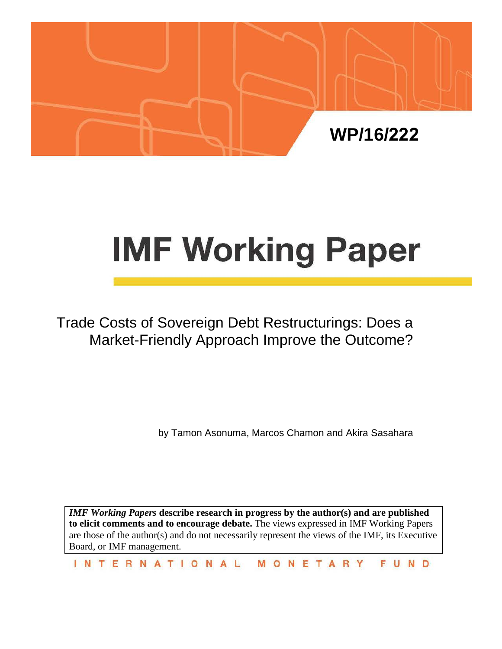

# **IMF Working Paper**

Trade Costs of Sovereign Debt Restructurings: Does a Market-Friendly Approach Improve the Outcome?

by Tamon Asonuma, Marcos Chamon and Akira Sasahara

*IMF Working Papers* **describe research in progress by the author(s) and are published to elicit comments and to encourage debate.** The views expressed in IMF Working Papers are those of the author(s) and do not necessarily represent the views of the IMF, its Executive Board, or IMF management.

**INTERNATIONAL** MONETARY FUND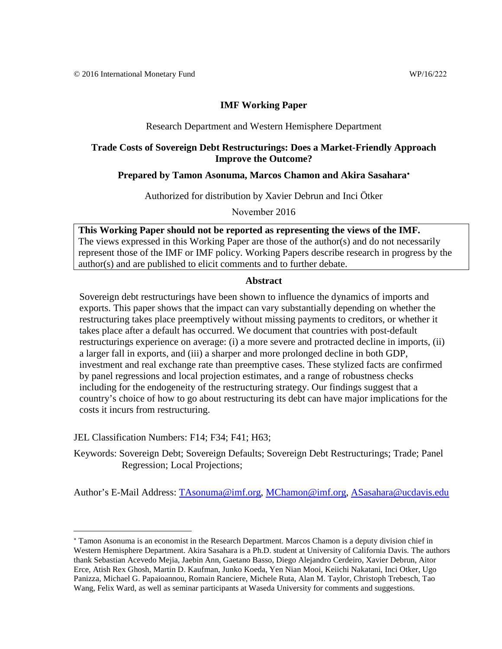#### Research Department and Western Hemisphere Department

### **Trade Costs of Sovereign Debt Restructurings: Does a Market-Friendly Approach Improve the Outcome?**

#### **Prepared by Tamon Asonuma, Marcos Chamon and Akira Sasahara**[∗](#page-1-0)

Authorized for distribution by Xavier Debrun and Inci Ötker

November 2016

**This Working Paper should not be reported as representing the views of the IMF.** The views expressed in this Working Paper are those of the author(s) and do not necessarily represent those of the IMF or IMF policy. Working Papers describe research in progress by the author(s) and are published to elicit comments and to further debate.

#### **Abstract**

Sovereign debt restructurings have been shown to influence the dynamics of imports and exports. This paper shows that the impact can vary substantially depending on whether the restructuring takes place preemptively without missing payments to creditors, or whether it takes place after a default has occurred. We document that countries with post-default restructurings experience on average: (i) a more severe and protracted decline in imports, (ii) a larger fall in exports, and (iii) a sharper and more prolonged decline in both GDP, investment and real exchange rate than preemptive cases. These stylized facts are confirmed by panel regressions and local projection estimates, and a range of robustness checks including for the endogeneity of the restructuring strategy. Our findings suggest that a country's choice of how to go about restructuring its debt can have major implications for the costs it incurs from restructuring.

JEL Classification Numbers: F14; F34; F41; H63;

Keywords: Sovereign Debt; Sovereign Defaults; Sovereign Debt Restructurings; Trade; Panel Regression; Local Projections;

Author's E-Mail Address: [TAsonuma@imf.org,](mailto:TAsonuma@imf.org) [MChamon@imf.org,](mailto:MChamon@imf.org) [ASasahara@ucdavis.edu](mailto:ASasahara@ucdavis.edu)

<span id="page-1-0"></span><sup>∗</sup> Tamon Asonuma is an economist in the Research Department. Marcos Chamon is a deputy division chief in Western Hemisphere Department. Akira Sasahara is a Ph.D. student at University of California Davis. The authors thank Sebastian Acevedo Mejia, Jaebin Ann, Gaetano Basso, Diego Alejandro Cerdeiro, Xavier Debrun, Aitor Erce, Atish Rex Ghosh, Martin D. Kaufman, Junko Koeda, Yen Nian Mooi, Keiichi Nakatani, Inci Otker, Ugo Panizza, Michael G. Papaioannou, Romain Ranciere, Michele Ruta, Alan M. Taylor, Christoph Trebesch, Tao Wang, Felix Ward, as well as seminar participants at Waseda University for comments and suggestions.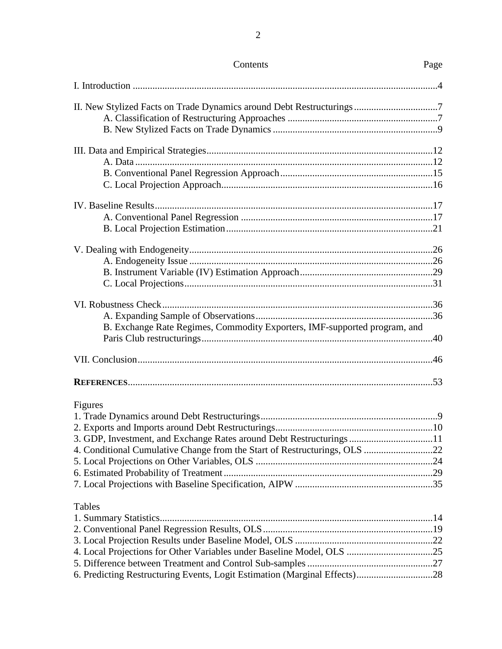| II. New Stylized Facts on Trade Dynamics around Debt Restructurings7      |  |
|---------------------------------------------------------------------------|--|
|                                                                           |  |
|                                                                           |  |
|                                                                           |  |
|                                                                           |  |
|                                                                           |  |
|                                                                           |  |
|                                                                           |  |
|                                                                           |  |
|                                                                           |  |
|                                                                           |  |
|                                                                           |  |
|                                                                           |  |
|                                                                           |  |
|                                                                           |  |
|                                                                           |  |
|                                                                           |  |
|                                                                           |  |
| B. Exchange Rate Regimes, Commodity Exporters, IMF-supported program, and |  |
|                                                                           |  |
|                                                                           |  |
|                                                                           |  |
| Figures                                                                   |  |
|                                                                           |  |
|                                                                           |  |
| 3. GDP, Investment, and Exchange Rates around Debt Restructurings 11      |  |
| 4. Conditional Cumulative Change from the Start of Restructurings, OLS 22 |  |
|                                                                           |  |
|                                                                           |  |
|                                                                           |  |
| Tables                                                                    |  |
|                                                                           |  |
|                                                                           |  |
|                                                                           |  |
| 4. Local Projections for Other Variables under Baseline Model, OLS 25     |  |
|                                                                           |  |
| 6. Predicting Restructuring Events, Logit Estimation (Marginal Effects)28 |  |

# Contents Page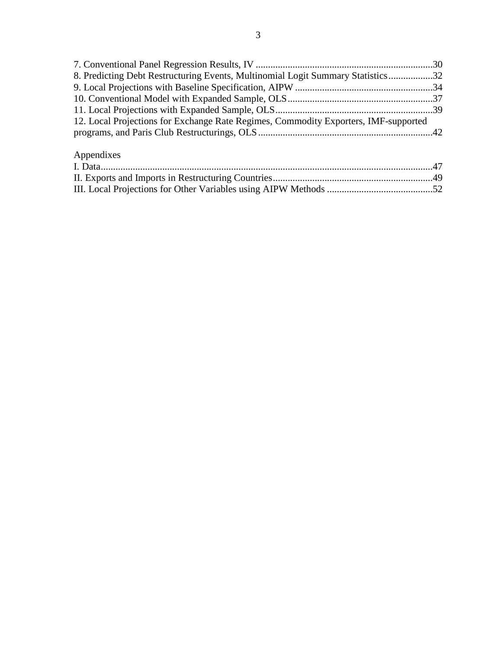| 8. Predicting Debt Restructuring Events, Multinomial Logit Summary Statistics32     |  |
|-------------------------------------------------------------------------------------|--|
|                                                                                     |  |
|                                                                                     |  |
|                                                                                     |  |
| 12. Local Projections for Exchange Rate Regimes, Commodity Exporters, IMF-supported |  |
|                                                                                     |  |
|                                                                                     |  |

# Appendixes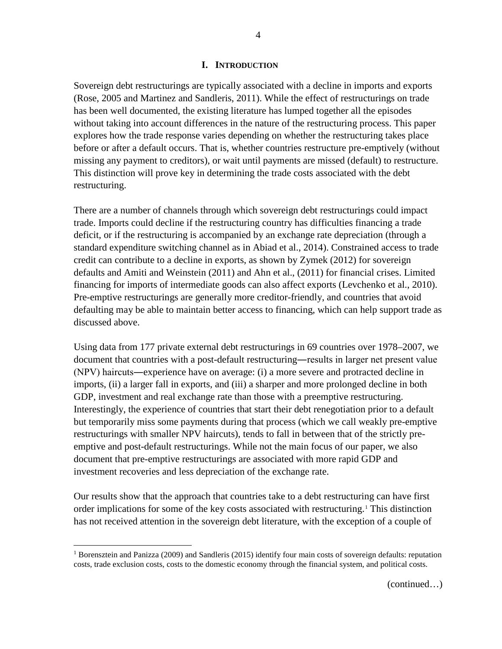#### **I. INTRODUCTION**

Sovereign debt restructurings are typically associated with a decline in imports and exports (Rose, 2005 and Martinez and Sandleris, 2011). While the effect of restructurings on trade has been well documented, the existing literature has lumped together all the episodes without taking into account differences in the nature of the restructuring process. This paper explores how the trade response varies depending on whether the restructuring takes place before or after a default occurs. That is, whether countries restructure pre-emptively (without missing any payment to creditors), or wait until payments are missed (default) to restructure. This distinction will prove key in determining the trade costs associated with the debt restructuring.

There are a number of channels through which sovereign debt restructurings could impact trade. Imports could decline if the restructuring country has difficulties financing a trade deficit, or if the restructuring is accompanied by an exchange rate depreciation (through a standard expenditure switching channel as in Abiad et al., 2014). Constrained access to trade credit can contribute to a decline in exports, as shown by Zymek (2012) for sovereign defaults and Amiti and Weinstein (2011) and Ahn et al., (2011) for financial crises. Limited financing for imports of intermediate goods can also affect exports (Levchenko et al., 2010). Pre-emptive restructurings are generally more creditor-friendly, and countries that avoid defaulting may be able to maintain better access to financing, which can help support trade as discussed above.

Using data from 177 private external debt restructurings in 69 countries over 1978–2007, we document that countries with a post-default restructuring―results in larger net present value (NPV) haircuts―experience have on average: (i) a more severe and protracted decline in imports, (ii) a larger fall in exports, and (iii) a sharper and more prolonged decline in both GDP, investment and real exchange rate than those with a preemptive restructuring. Interestingly, the experience of countries that start their debt renegotiation prior to a default but temporarily miss some payments during that process (which we call weakly pre-emptive restructurings with smaller NPV haircuts), tends to fall in between that of the strictly preemptive and post-default restructurings. While not the main focus of our paper, we also document that pre-emptive restructurings are associated with more rapid GDP and investment recoveries and less depreciation of the exchange rate.

Our results show that the approach that countries take to a debt restructuring can have first order implications for some of the key costs associated with restructuring.<sup>[1](#page-4-0)</sup> This distinction has not received attention in the sovereign debt literature, with the exception of a couple of

<span id="page-4-0"></span><sup>&</sup>lt;sup>1</sup> Borensztein and Panizza (2009) and Sandleris (2015) identify four main costs of sovereign defaults: reputation costs, trade exclusion costs, costs to the domestic economy through the financial system, and political costs.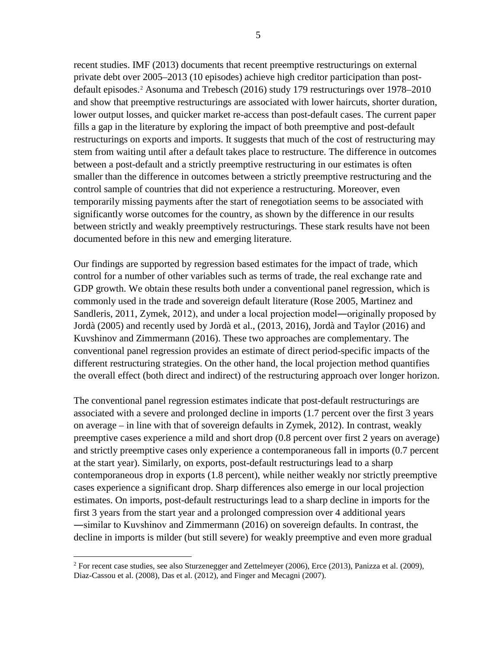recent studies. IMF (2013) documents that recent preemptive restructurings on external private debt over 2005–2013 (10 episodes) achieve high creditor participation than postdefault episodes.[2](#page-5-0) Asonuma and Trebesch (2016) study 179 restructurings over 1978–2010 and show that preemptive restructurings are associated with lower haircuts, shorter duration, lower output losses, and quicker market re-access than post-default cases. The current paper fills a gap in the literature by exploring the impact of both preemptive and post-default restructurings on exports and imports. It suggests that much of the cost of restructuring may stem from waiting until after a default takes place to restructure. The difference in outcomes between a post-default and a strictly preemptive restructuring in our estimates is often smaller than the difference in outcomes between a strictly preemptive restructuring and the control sample of countries that did not experience a restructuring. Moreover, even temporarily missing payments after the start of renegotiation seems to be associated with significantly worse outcomes for the country, as shown by the difference in our results between strictly and weakly preemptively restructurings. These stark results have not been documented before in this new and emerging literature.

Our findings are supported by regression based estimates for the impact of trade, which control for a number of other variables such as terms of trade, the real exchange rate and GDP growth. We obtain these results both under a conventional panel regression, which is commonly used in the trade and sovereign default literature (Rose 2005, Martinez and Sandleris, 2011, Zymek, 2012), and under a local projection model―originally proposed by Jordà (2005) and recently used by Jordà et al., (2013, 2016), Jordà and Taylor (2016) and Kuvshinov and Zimmermann (2016). These two approaches are complementary. The conventional panel regression provides an estimate of direct period-specific impacts of the different restructuring strategies. On the other hand, the local projection method quantifies the overall effect (both direct and indirect) of the restructuring approach over longer horizon.

The conventional panel regression estimates indicate that post-default restructurings are associated with a severe and prolonged decline in imports (1.7 percent over the first 3 years on average – in line with that of sovereign defaults in Zymek, 2012). In contrast, weakly preemptive cases experience a mild and short drop (0.8 percent over first 2 years on average) and strictly preemptive cases only experience a contemporaneous fall in imports (0.7 percent at the start year). Similarly, on exports, post-default restructurings lead to a sharp contemporaneous drop in exports (1.8 percent), while neither weakly nor strictly preemptive cases experience a significant drop. Sharp differences also emerge in our local projection estimates. On imports, post-default restructurings lead to a sharp decline in imports for the first 3 years from the start year and a prolonged compression over 4 additional years ―similar to Kuvshinov and Zimmermann (2016) on sovereign defaults. In contrast, the decline in imports is milder (but still severe) for weakly preemptive and even more gradual

<span id="page-5-0"></span><sup>&</sup>lt;sup>2</sup> For recent case studies, see also Sturzenegger and Zettelmeyer (2006), Erce (2013), Panizza et al. (2009), Diaz-Cassou et al. (2008), Das et al. (2012), and Finger and Mecagni (2007).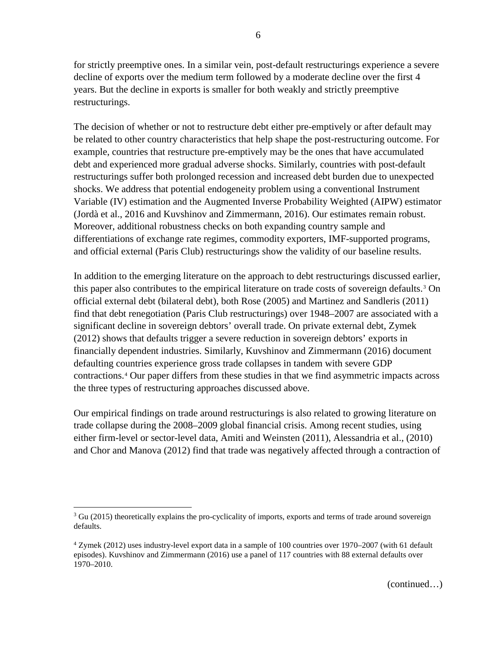for strictly preemptive ones. In a similar vein, post-default restructurings experience a severe decline of exports over the medium term followed by a moderate decline over the first 4 years. But the decline in exports is smaller for both weakly and strictly preemptive restructurings.

The decision of whether or not to restructure debt either pre-emptively or after default may be related to other country characteristics that help shape the post-restructuring outcome. For example, countries that restructure pre-emptively may be the ones that have accumulated debt and experienced more gradual adverse shocks. Similarly, countries with post-default restructurings suffer both prolonged recession and increased debt burden due to unexpected shocks. We address that potential endogeneity problem using a conventional Instrument Variable (IV) estimation and the Augmented Inverse Probability Weighted (AIPW) estimator (Jordà et al., 2016 and Kuvshinov and Zimmermann, 2016). Our estimates remain robust. Moreover, additional robustness checks on both expanding country sample and differentiations of exchange rate regimes, commodity exporters, IMF-supported programs, and official external (Paris Club) restructurings show the validity of our baseline results.

In addition to the emerging literature on the approach to debt restructurings discussed earlier, this paper also contributes to the empirical literature on trade costs of sovereign defaults.[3](#page-6-0) On official external debt (bilateral debt), both Rose (2005) and Martinez and Sandleris (2011) find that debt renegotiation (Paris Club restructurings) over 1948–2007 are associated with a significant decline in sovereign debtors' overall trade. On private external debt, Zymek (2012) shows that defaults trigger a severe reduction in sovereign debtors' exports in financially dependent industries. Similarly, Kuvshinov and Zimmermann (2016) document defaulting countries experience gross trade collapses in tandem with severe GDP contractions.[4](#page-6-1) Our paper differs from these studies in that we find asymmetric impacts across the three types of restructuring approaches discussed above.

Our empirical findings on trade around restructurings is also related to growing literature on trade collapse during the 2008–2009 global financial crisis. Among recent studies, using either firm-level or sector-level data, Amiti and Weinsten (2011), Alessandria et al., (2010) and Chor and Manova (2012) find that trade was negatively affected through a contraction of

<span id="page-6-0"></span><sup>&</sup>lt;sup>3</sup> Gu (2015) theoretically explains the pro-cyclicality of imports, exports and terms of trade around sovereign defaults.

<span id="page-6-1"></span><sup>4</sup> Zymek (2012) uses industry-level export data in a sample of 100 countries over 1970–2007 (with 61 default episodes). Kuvshinov and Zimmermann (2016) use a panel of 117 countries with 88 external defaults over 1970–2010.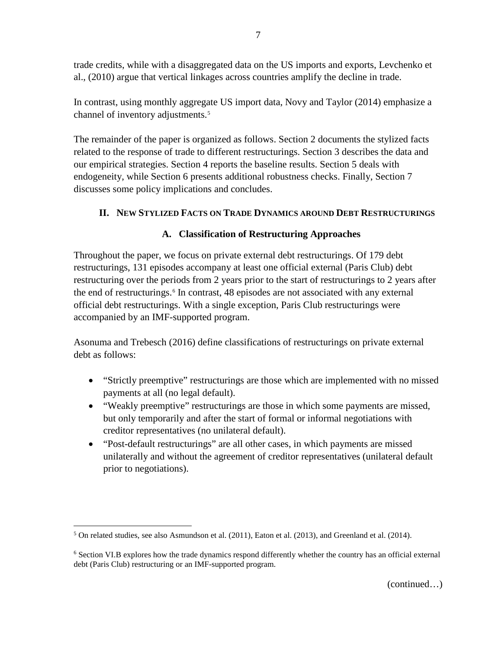trade credits, while with a disaggregated data on the US imports and exports, Levchenko et al., (2010) argue that vertical linkages across countries amplify the decline in trade.

In contrast, using monthly aggregate US import data, Novy and Taylor (2014) emphasize a channel of inventory adjustments.<sup>[5](#page-7-0)</sup>

The remainder of the paper is organized as follows. Section 2 documents the stylized facts related to the response of trade to different restructurings. Section 3 describes the data and our empirical strategies. Section 4 reports the baseline results. Section 5 deals with endogeneity, while Section 6 presents additional robustness checks. Finally, Section 7 discusses some policy implications and concludes.

# **II. NEW STYLIZED FACTS ON TRADE DYNAMICS AROUND DEBT RESTRUCTURINGS**

# **A. Classification of Restructuring Approaches**

Throughout the paper, we focus on private external debt restructurings. Of 179 debt restructurings, 131 episodes accompany at least one official external (Paris Club) debt restructuring over the periods from 2 years prior to the start of restructurings to 2 years after the end of restructurings.<sup>[6](#page-7-1)</sup> In contrast, 48 episodes are not associated with any external official debt restructurings. With a single exception, Paris Club restructurings were accompanied by an IMF-supported program.

Asonuma and Trebesch (2016) define classifications of restructurings on private external debt as follows:

- "Strictly preemptive" restructurings are those which are implemented with no missed payments at all (no legal default).
- "Weakly preemptive" restructurings are those in which some payments are missed, but only temporarily and after the start of formal or informal negotiations with creditor representatives (no unilateral default).
- "Post-default restructurings" are all other cases, in which payments are missed unilaterally and without the agreement of creditor representatives (unilateral default prior to negotiations).

<span id="page-7-0"></span> $5$  On related studies, see also Asmundson et al. (2011), Eaton et al. (2013), and Greenland et al. (2014).

<span id="page-7-1"></span><sup>&</sup>lt;sup>6</sup> Section VI.B explores how the trade dynamics respond differently whether the country has an official external debt (Paris Club) restructuring or an IMF-supported program.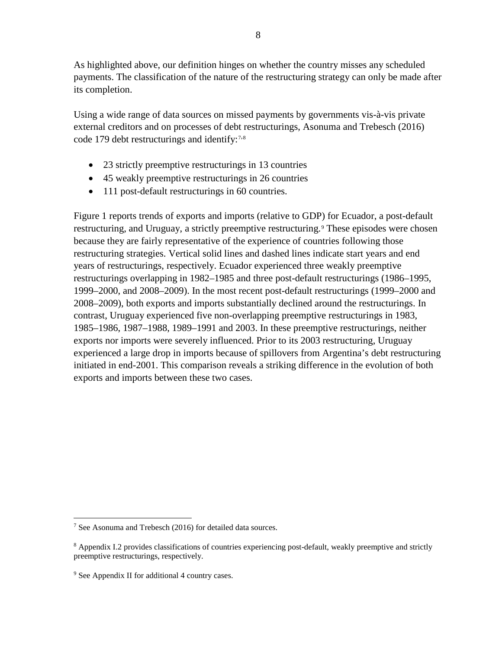As highlighted above, our definition hinges on whether the country misses any scheduled payments. The classification of the nature of the restructuring strategy can only be made after its completion.

Using a wide range of data sources on missed payments by governments vis-à-vis private external creditors and on processes of debt restructurings, Asonuma and Trebesch (2016) code 1[7](#page-8-0)9 debt restructurings and identify:<sup>7,[8](#page-8-1)</sup>

- 23 strictly preemptive restructurings in 13 countries
- 45 weakly preemptive restructurings in 26 countries
- 111 post-default restructurings in 60 countries.

Figure 1 reports trends of exports and imports (relative to GDP) for Ecuador, a post-default restructuring, and Uruguay, a strictly preemptive restructuring.<sup>[9](#page-8-2)</sup> These episodes were chosen because they are fairly representative of the experience of countries following those restructuring strategies. Vertical solid lines and dashed lines indicate start years and end years of restructurings, respectively. Ecuador experienced three weakly preemptive restructurings overlapping in 1982–1985 and three post-default restructurings (1986–1995, 1999–2000, and 2008–2009). In the most recent post-default restructurings (1999–2000 and 2008–2009), both exports and imports substantially declined around the restructurings. In contrast, Uruguay experienced five non-overlapping preemptive restructurings in 1983, 1985–1986, 1987–1988, 1989–1991 and 2003. In these preemptive restructurings, neither exports nor imports were severely influenced. Prior to its 2003 restructuring, Uruguay experienced a large drop in imports because of spillovers from Argentina's debt restructuring initiated in end-2001. This comparison reveals a striking difference in the evolution of both exports and imports between these two cases.

<span id="page-8-0"></span> <sup>7</sup> See Asonuma and Trebesch (2016) for detailed data sources.

<span id="page-8-1"></span><sup>&</sup>lt;sup>8</sup> Appendix I.2 provides classifications of countries experiencing post-default, weakly preemptive and strictly preemptive restructurings, respectively.

<span id="page-8-2"></span><sup>9</sup> See Appendix II for additional 4 country cases.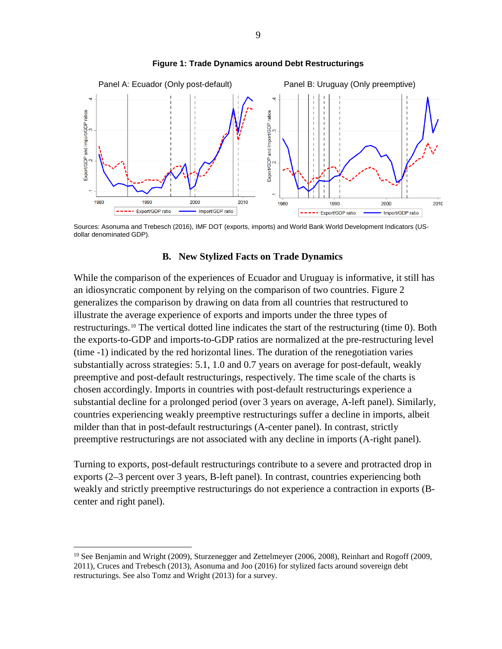

#### **Figure 1: Trade Dynamics around Debt Restructurings**

Sources: Asonuma and Trebesch (2016), IMF DOT (exports, imports) and World Bank World Development Indicators (USdollar denominated GDP).

#### **B. New Stylized Facts on Trade Dynamics**

While the comparison of the experiences of Ecuador and Uruguay is informative, it still has an idiosyncratic component by relying on the comparison of two countries. Figure 2 generalizes the comparison by drawing on data from all countries that restructured to illustrate the average experience of exports and imports under the three types of restructurings.[10](#page-9-0) The vertical dotted line indicates the start of the restructuring (time 0). Both the exports-to-GDP and imports-to-GDP ratios are normalized at the pre-restructuring level (time -1) indicated by the red horizontal lines. The duration of the renegotiation varies substantially across strategies: 5.1, 1.0 and 0.7 years on average for post-default, weakly preemptive and post-default restructurings, respectively. The time scale of the charts is chosen accordingly. Imports in countries with post-default restructurings experience a substantial decline for a prolonged period (over 3 years on average, A-left panel). Similarly, countries experiencing weakly preemptive restructurings suffer a decline in imports, albeit milder than that in post-default restructurings (A-center panel). In contrast, strictly preemptive restructurings are not associated with any decline in imports (A-right panel).

Turning to exports, post-default restructurings contribute to a severe and protracted drop in exports (2–3 percent over 3 years, B-left panel). In contrast, countries experiencing both weakly and strictly preemptive restructurings do not experience a contraction in exports (Bcenter and right panel).

<span id="page-9-0"></span><sup>&</sup>lt;sup>10</sup> See Benjamin and Wright (2009), Sturzenegger and Zettelmeyer (2006, 2008), Reinhart and Rogoff (2009, 2011), Cruces and Trebesch (2013), Asonuma and Joo (2016) for stylized facts around sovereign debt restructurings. See also Tomz and Wright (2013) for a survey.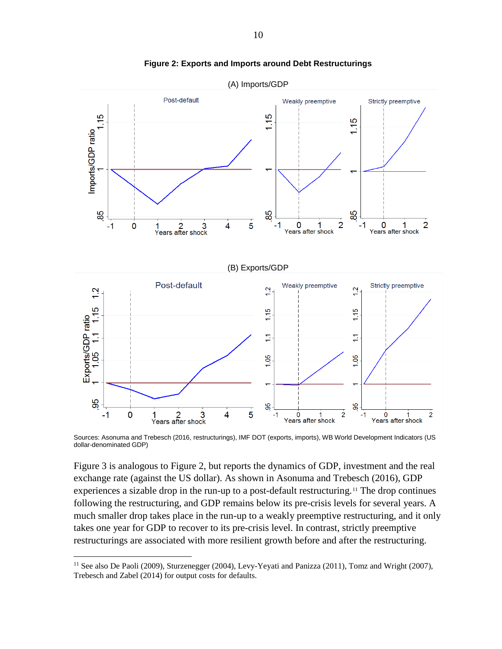



Sources: Asonuma and Trebesch (2016, restructurings), IMF DOT (exports, imports), WB World Development Indicators (US dollar-denominated GDP)

Figure 3 is analogous to Figure 2, but reports the dynamics of GDP, investment and the real exchange rate (against the US dollar). As shown in Asonuma and Trebesch (2016), GDP experiences a sizable drop in the run-up to a post-default restructuring.<sup>[11](#page-10-0)</sup> The drop continues following the restructuring, and GDP remains below its pre-crisis levels for several years. A much smaller drop takes place in the run-up to a weakly preemptive restructuring, and it only takes one year for GDP to recover to its pre-crisis level. In contrast, strictly preemptive restructurings are associated with more resilient growth before and after the restructuring.

<span id="page-10-0"></span> $11$  See also De Paoli (2009), Sturzenegger (2004), Levy-Yeyati and Panizza (2011), Tomz and Wright (2007), Trebesch and Zabel (2014) for output costs for defaults.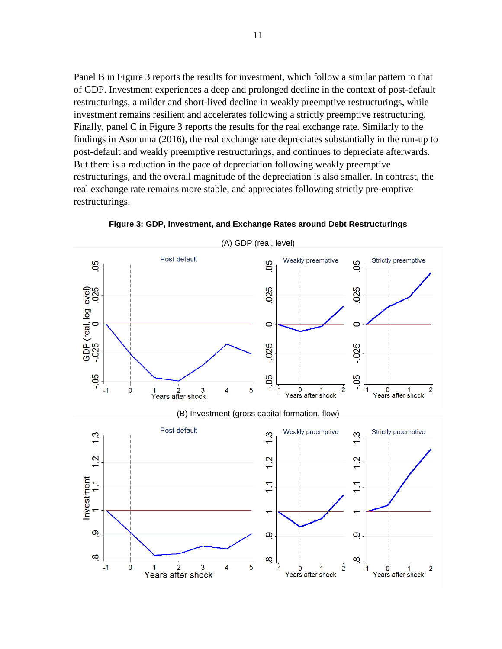Panel B in Figure 3 reports the results for investment, which follow a similar pattern to that of GDP. Investment experiences a deep and prolonged decline in the context of post-default restructurings, a milder and short-lived decline in weakly preemptive restructurings, while investment remains resilient and accelerates following a strictly preemptive restructuring. Finally, panel C in Figure 3 reports the results for the real exchange rate. Similarly to the findings in Asonuma (2016), the real exchange rate depreciates substantially in the run-up to post-default and weakly preemptive restructurings, and continues to depreciate afterwards. But there is a reduction in the pace of depreciation following weakly preemptive restructurings, and the overall magnitude of the depreciation is also smaller. In contrast, the real exchange rate remains more stable, and appreciates following strictly pre-emptive restructurings.



**Figure 3: GDP, Investment, and Exchange Rates around Debt Restructurings**

11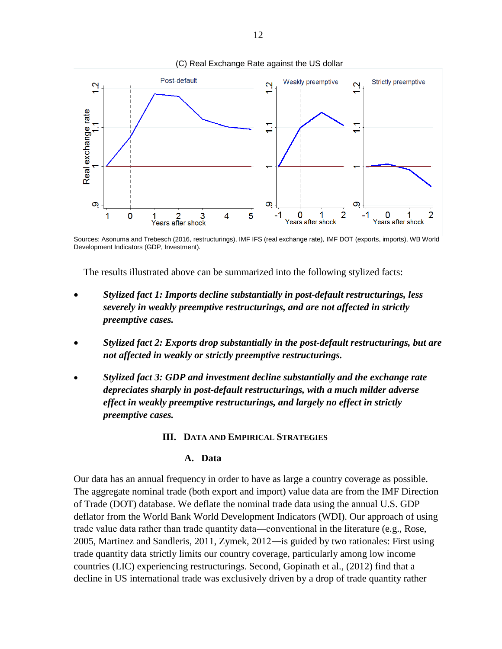

Sources: Asonuma and Trebesch (2016, restructurings), IMF IFS (real exchange rate), IMF DOT (exports, imports), WB World Development Indicators (GDP, Investment)*.* 

The results illustrated above can be summarized into the following stylized facts:

- *Stylized fact 1: Imports decline substantially in post-default restructurings, less severely in weakly preemptive restructurings, and are not affected in strictly preemptive cases.*
- *Stylized fact 2: Exports drop substantially in the post-default restructurings, but are not affected in weakly or strictly preemptive restructurings.*
- *Stylized fact 3: GDP and investment decline substantially and the exchange rate depreciates sharply in post-default restructurings, with a much milder adverse effect in weakly preemptive restructurings, and largely no effect in strictly preemptive cases.*

#### **III. DATA AND EMPIRICAL STRATEGIES**

#### **A. Data**

Our data has an annual frequency in order to have as large a country coverage as possible. The aggregate nominal trade (both export and import) value data are from the IMF Direction of Trade (DOT) database. We deflate the nominal trade data using the annual U.S. GDP deflator from the World Bank World Development Indicators (WDI). Our approach of using trade value data rather than trade quantity data―conventional in the literature (e.g., Rose, 2005, Martinez and Sandleris, 2011, Zymek, 2012―is guided by two rationales: First using trade quantity data strictly limits our country coverage, particularly among low income countries (LIC) experiencing restructurings. Second, Gopinath et al., (2012) find that a decline in US international trade was exclusively driven by a drop of trade quantity rather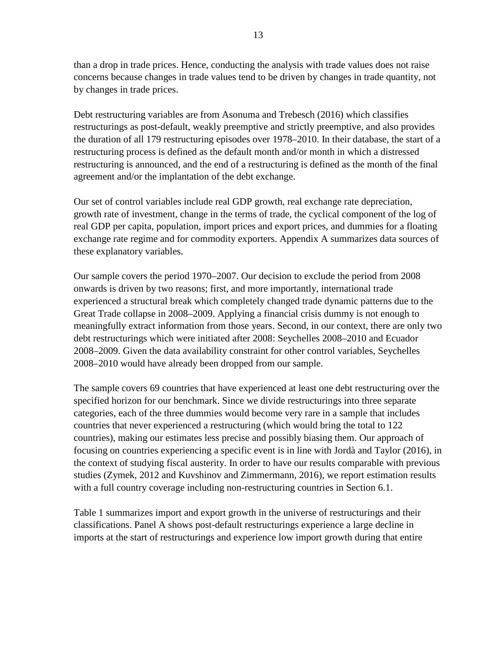than a drop in trade prices. Hence, conducting the analysis with trade values does not raise concerns because changes in trade values tend to be driven by changes in trade quantity, not by changes in trade prices.

Debt restructuring variables are from Asonuma and Trebesch (2016) which classifies restructurings as post-default, weakly preemptive and strictly preemptive, and also provides the duration of all 179 restructuring episodes over 1978–2010. In their database, the start of a restructuring process is defined as the default month and/or month in which a distressed restructuring is announced, and the end of a restructuring is defined as the month of the final agreement and/or the implantation of the debt exchange.

Our set of control variables include real GDP growth, real exchange rate depreciation, growth rate of investment, change in the terms of trade, the cyclical component of the log of real GDP per capita, population, import prices and export prices, and dummies for a floating exchange rate regime and for commodity exporters. Appendix A summarizes data sources of these explanatory variables.

Our sample covers the period 1970–2007. Our decision to exclude the period from 2008 onwards is driven by two reasons; first, and more importantly, international trade experienced a structural break which completely changed trade dynamic patterns due to the Great Trade collapse in 2008–2009. Applying a financial crisis dummy is not enough to meaningfully extract information from those years. Second, in our context, there are only two debt restructurings which were initiated after 2008: Seychelles 2008–2010 and Ecuador 2008–2009. Given the data availability constraint for other control variables, Seychelles 2008–2010 would have already been dropped from our sample.

The sample covers 69 countries that have experienced at least one debt restructuring over the specified horizon for our benchmark. Since we divide restructurings into three separate categories, each of the three dummies would become very rare in a sample that includes countries that never experienced a restructuring (which would bring the total to 122 countries), making our estimates less precise and possibly biasing them. Our approach of focusing on countries experiencing a specific event is in line with Jordà and Taylor (2016), in the context of studying fiscal austerity. In order to have our results comparable with previous studies (Zymek, 2012 and Kuvshinov and Zimmermann, 2016), we report estimation results with a full country coverage including non-restructuring countries in Section 6.1.

Table 1 summarizes import and export growth in the universe of restructurings and their classifications. Panel A shows post-default restructurings experience a large decline in imports at the start of restructurings and experience low import growth during that entire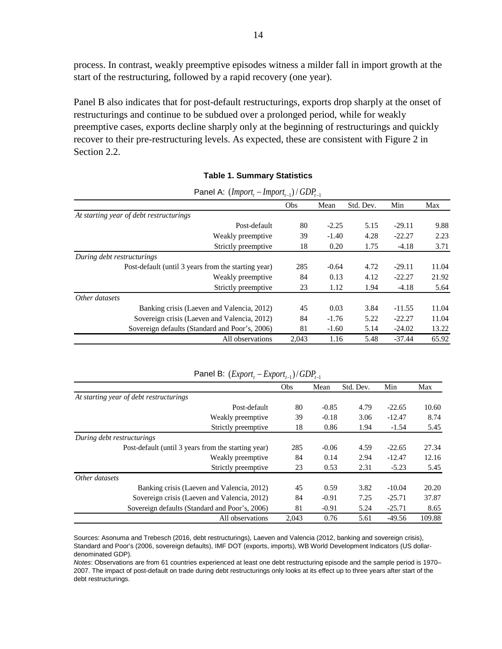process. In contrast, weakly preemptive episodes witness a milder fall in import growth at the start of the restructuring, followed by a rapid recovery (one year).

Panel B also indicates that for post-default restructurings, exports drop sharply at the onset of restructurings and continue to be subdued over a prolonged period, while for weakly preemptive cases, exports decline sharply only at the beginning of restructurings and quickly recover to their pre-restructuring levels. As expected, these are consistent with Figure 2 in Section 2.2.

| Panel A: $(Importt - Importt-1) / GDPt-1$           |       |         |           |          |       |
|-----------------------------------------------------|-------|---------|-----------|----------|-------|
|                                                     | Obs   | Mean    | Std. Dev. | Min      | Max   |
| At starting year of debt restructurings             |       |         |           |          |       |
| Post-default                                        | 80    | $-2.25$ | 5.15      | $-29.11$ | 9.88  |
| Weakly preemptive.                                  | 39    | $-1.40$ | 4.28      | $-22.27$ | 2.23  |
| Strictly preemptive                                 | 18    | 0.20    | 1.75      | $-4.18$  | 3.71  |
| During debt restructurings                          |       |         |           |          |       |
| Post-default (until 3 years from the starting year) | 285   | $-0.64$ | 4.72      | $-29.11$ | 11.04 |
| Weakly preemptive                                   | 84    | 0.13    | 4.12      | $-22.27$ | 21.92 |
| Strictly preemptive                                 | 23    | 1.12    | 1.94      | $-4.18$  | 5.64  |
| Other datasets                                      |       |         |           |          |       |
| Banking crisis (Laeven and Valencia, 2012)          | 45    | 0.03    | 3.84      | $-11.55$ | 11.04 |
| Sovereign crisis (Laeven and Valencia, 2012)        | 84    | $-1.76$ | 5.22      | $-22.27$ | 11.04 |
| Sovereign defaults (Standard and Poor's, 2006)      | 81    | $-1.60$ | 5.14      | $-24.02$ | 13.22 |
| All observations                                    | 2.043 | 1.16    | 5.48      | $-37.44$ | 65.92 |

#### **Table 1. Summary Statistics**

|                                                     | Obs   | Mean    | Std. Dev. | Min      | Max    |
|-----------------------------------------------------|-------|---------|-----------|----------|--------|
| At starting year of debt restructurings             |       |         |           |          |        |
| Post-default                                        | 80    | $-0.85$ | 4.79      | $-22.65$ | 10.60  |
| Weakly preemptive                                   | 39    | $-0.18$ | 3.06      | $-12.47$ | 8.74   |
| Strictly preemptive                                 | 18    | 0.86    | 1.94      | $-1.54$  | 5.45   |
| During debt restructurings                          |       |         |           |          |        |
| Post-default (until 3 years from the starting year) | 285   | $-0.06$ | 4.59      | $-22.65$ | 27.34  |
| Weakly preemptive.                                  | 84    | 0.14    | 2.94      | $-12.47$ | 12.16  |
| Strictly preemptive                                 | 23    | 0.53    | 2.31      | $-5.23$  | 5.45   |
| Other datasets                                      |       |         |           |          |        |
| Banking crisis (Laeven and Valencia, 2012)          | 45    | 0.59    | 3.82      | $-10.04$ | 20.20  |
| Sovereign crisis (Laeven and Valencia, 2012)        | 84    | $-0.91$ | 7.25      | $-25.71$ | 37.87  |
| Sovereign defaults (Standard and Poor's, 2006)      | 81    | $-0.91$ | 5.24      | $-25.71$ | 8.65   |
| All observations                                    | 2,043 | 0.76    | 5.61      | $-49.56$ | 109.88 |

Panel B:  $(Expert, − Expert, )/GDP, \Box$ 

Sources: Asonuma and Trebesch (2016, debt restructurings), Laeven and Valencia (2012, banking and sovereign crisis), Standard and Poor's (2006, sovereign defaults), IMF DOT (exports, imports), WB World Development Indicators (US dollardenominated GDP).

*Notes*: Observations are from 61 countries experienced at least one debt restructuring episode and the sample period is 1970– 2007. The impact of post-default on trade during debt restructurings only looks at its effect up to three years after start of the debt restructurings.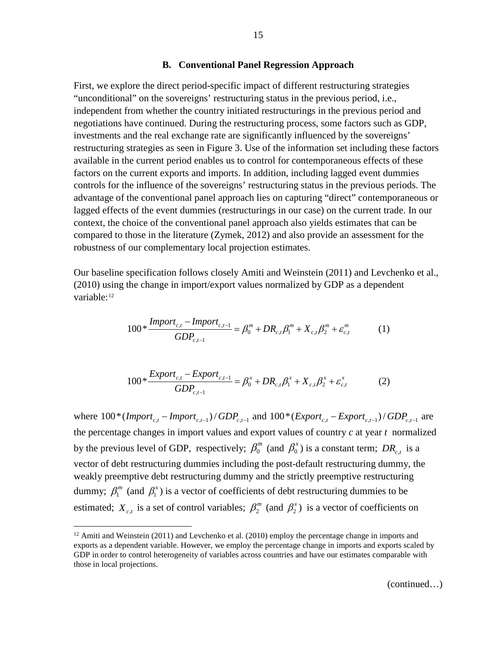#### **B. Conventional Panel Regression Approach**

First, we explore the direct period-specific impact of different restructuring strategies "unconditional" on the sovereigns' restructuring status in the previous period, i.e., independent from whether the country initiated restructurings in the previous period and negotiations have continued. During the restructuring process, some factors such as GDP, investments and the real exchange rate are significantly influenced by the sovereigns' restructuring strategies as seen in Figure 3. Use of the information set including these factors available in the current period enables us to control for contemporaneous effects of these factors on the current exports and imports. In addition, including lagged event dummies controls for the influence of the sovereigns' restructuring status in the previous periods. The advantage of the conventional panel approach lies on capturing "direct" contemporaneous or lagged effects of the event dummies (restructurings in our case) on the current trade. In our context, the choice of the conventional panel approach also yields estimates that can be compared to those in the literature (Zymek, 2012) and also provide an assessment for the robustness of our complementary local projection estimates.

Our baseline specification follows closely Amiti and Weinstein (2011) and Levchenko et al., (2010) using the change in import/export values normalized by GDP as a dependent variable:<sup>[12](#page-15-0)</sup>

$$
100 * \frac{Import_{c,t} - Import_{c,t-1}}{GDP_{c,t-1}} = \beta_0^m + DR_{c,t}\beta_1^m + X_{c,t}\beta_2^m + \varepsilon_{c,t}^m \tag{1}
$$

$$
100 * \frac{Expert_{c,t} - Expert_{c,t-1}}{GDP_{c,t-1}} = \beta_0^x + DR_{c,t}\beta_1^x + X_{c,t}\beta_2^x + \varepsilon_{c,t}^x
$$
 (2)

where  $100*(\text{Import}_{c,t} - \text{Import}_{c,t-1})/\text{GDP}_{c,t-1}$  and  $100*(\text{Export}_{c,t} - \text{Export}_{c,t-1})/\text{GDP}_{c,t-1}$  are the percentage changes in import values and export values of country *c* at year *t* normalized by the previous level of GDP, respectively;  $\beta_0^m$  (and  $\beta_0^x$ ) is a constant term; *DR<sub>ct</sub>* is a vector of debt restructuring dummies including the post-default restructuring dummy, the weakly preemptive debt restructuring dummy and the strictly preemptive restructuring dummy;  $\beta_1^m$  (and  $\beta_1^x$ ) is a vector of coefficients of debt restructuring dummies to be estimated;  $X_{c,t}$  is a set of control variables;  $\beta_2^m$  (and  $\beta_2^x$ ) is a vector of coefficients on

<span id="page-15-0"></span> $12$  Amiti and Weinstein (2011) and Levchenko et al. (2010) employ the percentage change in imports and exports as a dependent variable. However, we employ the percentage change in imports and exports scaled by GDP in order to control heterogeneity of variables across countries and have our estimates comparable with those in local projections.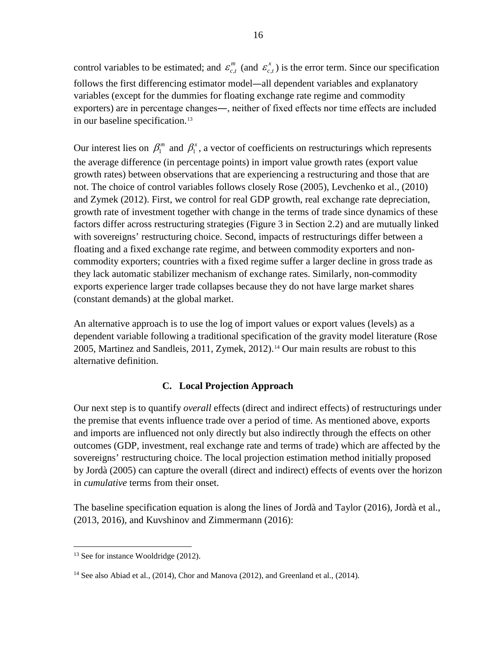control variables to be estimated; and  $\varepsilon_{c,t}^m$  (and  $\varepsilon_{c,t}^x$ ) is the error term. Since our specification follows the first differencing estimator model―all dependent variables and explanatory variables (except for the dummies for floating exchange rate regime and commodity exporters) are in percentage changes―, neither of fixed effects nor time effects are included in our baseline specification.<sup>[13](#page-16-0)</sup>

Our interest lies on  $\beta_1^m$  and  $\beta_1^x$ , a vector of coefficients on restructurings which represents the average difference (in percentage points) in import value growth rates (export value growth rates) between observations that are experiencing a restructuring and those that are not. The choice of control variables follows closely Rose (2005), Levchenko et al., (2010) and Zymek (2012). First, we control for real GDP growth, real exchange rate depreciation, growth rate of investment together with change in the terms of trade since dynamics of these factors differ across restructuring strategies (Figure 3 in Section 2.2) and are mutually linked with sovereigns' restructuring choice. Second, impacts of restructurings differ between a floating and a fixed exchange rate regime, and between commodity exporters and noncommodity exporters; countries with a fixed regime suffer a larger decline in gross trade as they lack automatic stabilizer mechanism of exchange rates. Similarly, non-commodity exports experience larger trade collapses because they do not have large market shares (constant demands) at the global market.

An alternative approach is to use the log of import values or export values (levels) as a dependent variable following a traditional specification of the gravity model literature (Rose 2005, Martinez and Sandleis, 2011, Zymek, 2012).[14](#page-16-1) Our main results are robust to this alternative definition.

## **C. Local Projection Approach**

Our next step is to quantify *overall* effects (direct and indirect effects) of restructurings under the premise that events influence trade over a period of time. As mentioned above, exports and imports are influenced not only directly but also indirectly through the effects on other outcomes (GDP, investment, real exchange rate and terms of trade) which are affected by the sovereigns' restructuring choice. The local projection estimation method initially proposed by Jordà (2005) can capture the overall (direct and indirect) effects of events over the horizon in *cumulative* terms from their onset.

The baseline specification equation is along the lines of Jordà and Taylor (2016), Jordà et al., (2013, 2016), and Kuvshinov and Zimmermann (2016):

<span id="page-16-0"></span> $13$  See for instance Wooldridge (2012).

<span id="page-16-1"></span><sup>&</sup>lt;sup>14</sup> See also Abiad et al., (2014), Chor and Manova (2012), and Greenland et al., (2014).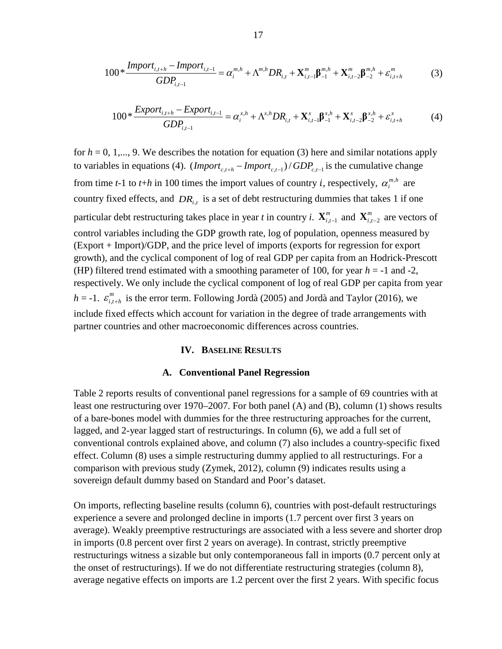$$
100*\frac{Import_{i,t+h} - Import_{i,t-1}}{GDP_{i,t-1}} = \alpha_i^{m,h} + \Lambda^{m,h} DR_{i,t} + \mathbf{X}_{i,t-1}^m \beta_{-1}^{m,h} + \mathbf{X}_{i,t-2}^m \beta_{-2}^{m,h} + \varepsilon_{i,t+h}^m
$$
(3)

$$
100 * \frac{Export_{i,t+h} - Export_{i,t-1}}{GDP_{i,t-1}} = \alpha_i^{x,h} + \Lambda^{x,h} DR_{i,t} + \mathbf{X}_{i,t-1}^x \beta_{-1}^{x,h} + \mathbf{X}_{i,t-2}^x \beta_{-2}^{x,h} + \varepsilon_{i,t+h}^x
$$
(4)

for  $h = 0, 1, \ldots, 9$ . We describes the notation for equation (3) here and similar notations apply to variables in equations (4).  $\frac{(\text{Import}_{c,t+h} - \text{Import}_{c,t-1})}{GDP_{c,t-1}}$  is the cumulative change from time *t*-1 to *t*+*h* in 100 times the import values of country *i*, respectively,  $\alpha_i^{m,h}$  are country fixed effects, and *DRi*,*<sup>t</sup>* is a set of debt restructuring dummies that takes 1 if one particular debt restructuring takes place in year *t* in country *i*.  $X_{i,t-1}^m$  and  $X_{i,t-2}^m$  are vectors of control variables including the GDP growth rate, log of population, openness measured by (Export + Import)/GDP, and the price level of imports (exports for regression for export growth), and the cyclical component of log of real GDP per capita from an Hodrick-Prescott (HP) filtered trend estimated with a smoothing parameter of 100, for year  $h = -1$  and  $-2$ , respectively. We only include the cyclical component of log of real GDP per capita from year *h* = -1.  $\varepsilon_{i,t+h}^{m}$  is the error term. Following Jordà (2005) and Jordà and Taylor (2016), we include fixed effects which account for variation in the degree of trade arrangements with partner countries and other macroeconomic differences across countries.

#### **IV. BASELINE RESULTS**

#### **A. Conventional Panel Regression**

Table 2 reports results of conventional panel regressions for a sample of 69 countries with at least one restructuring over 1970–2007. For both panel (A) and (B), column (1) shows results of a bare-bones model with dummies for the three restructuring approaches for the current, lagged, and 2-year lagged start of restructurings. In column (6), we add a full set of conventional controls explained above, and column (7) also includes a country-specific fixed effect. Column (8) uses a simple restructuring dummy applied to all restructurings. For a comparison with previous study (Zymek, 2012), column (9) indicates results using a sovereign default dummy based on Standard and Poor's dataset.

On imports, reflecting baseline results (column 6), countries with post-default restructurings experience a severe and prolonged decline in imports (1.7 percent over first 3 years on average). Weakly preemptive restructurings are associated with a less severe and shorter drop in imports (0.8 percent over first 2 years on average). In contrast, strictly preemptive restructurings witness a sizable but only contemporaneous fall in imports (0.7 percent only at the onset of restructurings). If we do not differentiate restructuring strategies (column 8), average negative effects on imports are 1.2 percent over the first 2 years. With specific focus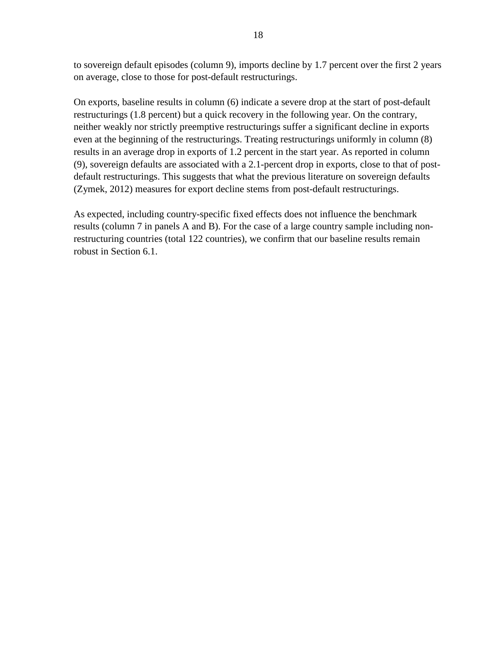to sovereign default episodes (column 9), imports decline by 1.7 percent over the first 2 years on average, close to those for post-default restructurings.

On exports, baseline results in column (6) indicate a severe drop at the start of post-default restructurings (1.8 percent) but a quick recovery in the following year. On the contrary, neither weakly nor strictly preemptive restructurings suffer a significant decline in exports even at the beginning of the restructurings. Treating restructurings uniformly in column (8) results in an average drop in exports of 1.2 percent in the start year. As reported in column (9), sovereign defaults are associated with a 2.1-percent drop in exports, close to that of postdefault restructurings. This suggests that what the previous literature on sovereign defaults (Zymek, 2012) measures for export decline stems from post-default restructurings.

As expected, including country-specific fixed effects does not influence the benchmark results (column 7 in panels A and B). For the case of a large country sample including nonrestructuring countries (total 122 countries), we confirm that our baseline results remain robust in Section 6.1.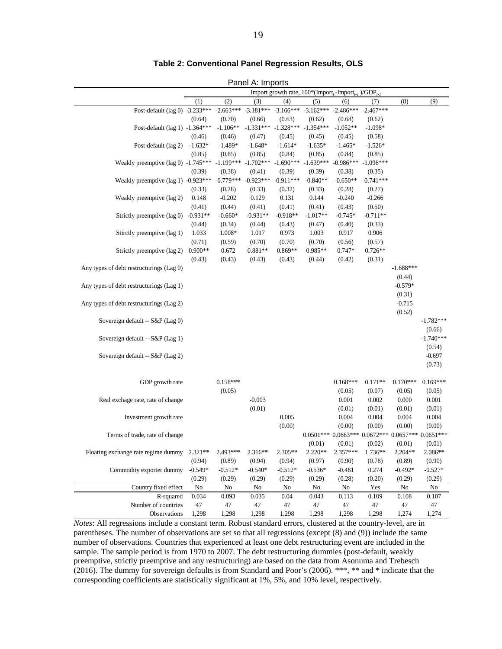#### **Table 2: Conventional Panel Regression Results, OLS**

Panel A: Imports

|                                                         |                     |                 |                                     |                         | Import growth rate, $100^*$ (Import, -Import, )/GDP <sub>t-1</sub> |                    |                                                 |             |             |
|---------------------------------------------------------|---------------------|-----------------|-------------------------------------|-------------------------|--------------------------------------------------------------------|--------------------|-------------------------------------------------|-------------|-------------|
|                                                         | (1)                 | (2)             | (3)                                 | (4)                     | (5)                                                                | (6)                | (7)                                             | (8)         | (9)         |
| Post-default (lag 0) -3.233***                          |                     | $-2.663***$     | $-3.181***$ $-3.166***$ $-3.162***$ |                         |                                                                    | $-2.486***$        | $-2.467***$                                     |             |             |
|                                                         | (0.64)              | (0.70)          | (0.66)                              | (0.63)                  | (0.62)                                                             | (0.68)             | (0.62)                                          |             |             |
| Post-default (lag 1) -1.364***                          |                     | $-1.106**$      | $-1.331***$                         | $-1.328***$ $-1.354***$ |                                                                    | $-1.052**$         | $-1.098*$                                       |             |             |
|                                                         | (0.46)              | (0.46)          | (0.47)                              | (0.45)                  | (0.45)                                                             | (0.45)             | (0.58)                                          |             |             |
| Post-default (lag 2)                                    | $-1.632*$           | $-1.489*$       | $-1.648*$                           | $-1.614*$               | $-1.635*$                                                          | $-1.465*$          | $-1.526*$                                       |             |             |
|                                                         | (0.85)              | (0.85)          | (0.85)                              | (0.84)                  | (0.85)                                                             | (0.84)             | (0.85)                                          |             |             |
| Weakly preemptive $(\text{lag } 0)$ -1.745***           |                     | $-1.199***$     | $-1.702***$                         | $-1.690***$             | $-1.639***$                                                        | $-0.986***$        | $-1.096***$                                     |             |             |
|                                                         | (0.39)              | (0.38)          | (0.41)                              | (0.39)                  | (0.39)                                                             | (0.38)             | (0.35)                                          |             |             |
| Weakly preemptive $(\text{lag 1})$ -0.923***            |                     | $-0.779***$     | $-0.923***$                         | $-0.911***$             | $-0.840**$                                                         | $-0.650**$         | $-0.741***$                                     |             |             |
|                                                         | (0.33)              | (0.28)          | (0.33)                              | (0.32)                  | (0.33)                                                             | (0.28)             | (0.27)                                          |             |             |
| Weakly preemptive (lag 2)                               | 0.148               | $-0.202$        | 0.129                               | 0.131                   | 0.144                                                              | $-0.240$           | $-0.266$                                        |             |             |
|                                                         | (0.41)              | (0.44)          | (0.41)                              | (0.41)                  | (0.41)                                                             | (0.43)             | (0.50)                                          |             |             |
| Strictly preemptive (lag 0)                             | $-0.931**$          | $-0.660*$       | $-0.931**$                          | $-0.918**$              | $-1.017**$                                                         | $-0.745*$          | $-0.711**$                                      |             |             |
|                                                         | (0.44)              | (0.34)          | (0.44)                              | (0.43)                  | (0.47)                                                             | (0.40)             | (0.33)                                          |             |             |
| Stirctly preemptive (lag 1)                             | 1.033               | 1.008*          | 1.017                               | 0.973                   | 1.003                                                              | 0.917              | 0.906                                           |             |             |
| Strictly preemptive (lag 2)                             | (0.71)<br>$0.900**$ | (0.59)<br>0.672 | (0.70)<br>0.881**                   | (0.70)<br>0.869**       | (0.70)<br>0.985**                                                  | (0.56)<br>$0.747*$ | (0.57)<br>$0.726**$                             |             |             |
|                                                         | (0.43)              | (0.43)          | (0.43)                              | (0.43)                  | (0.44)                                                             | (0.42)             | (0.31)                                          |             |             |
| Any types of debt restructurings (Lag 0)                |                     |                 |                                     |                         |                                                                    |                    |                                                 | $-1.688***$ |             |
|                                                         |                     |                 |                                     |                         |                                                                    |                    |                                                 | (0.44)      |             |
| Any types of debt restructurings (Lag 1)                |                     |                 |                                     |                         |                                                                    |                    |                                                 | $-0.579*$   |             |
|                                                         |                     |                 |                                     |                         |                                                                    |                    |                                                 | (0.31)      |             |
| Any types of debt restructurings (Lag 2)                |                     |                 |                                     |                         |                                                                    |                    |                                                 | $-0.715$    |             |
|                                                         |                     |                 |                                     |                         |                                                                    |                    |                                                 | (0.52)      |             |
| Sovereign default -- S&P (Lag 0)                        |                     |                 |                                     |                         |                                                                    |                    |                                                 |             | $-1.782***$ |
|                                                         |                     |                 |                                     |                         |                                                                    |                    |                                                 |             | (0.66)      |
| Sovereign default -- S&P (Lag 1)                        |                     |                 |                                     |                         |                                                                    |                    |                                                 |             | $-1.740***$ |
|                                                         |                     |                 |                                     |                         |                                                                    |                    |                                                 |             | (0.54)      |
| Sovereign default -- S&P (Lag 2)                        |                     |                 |                                     |                         |                                                                    |                    |                                                 |             | $-0.697$    |
|                                                         |                     |                 |                                     |                         |                                                                    |                    |                                                 |             | (0.73)      |
|                                                         |                     |                 |                                     |                         |                                                                    |                    |                                                 |             |             |
| GDP growth rate                                         |                     | $0.158***$      |                                     |                         |                                                                    | $0.168***$         | $0.171**$                                       | $0.170***$  | $0.169***$  |
|                                                         |                     | (0.05)          |                                     |                         |                                                                    | (0.05)             | (0.07)                                          | (0.05)      | (0.05)      |
| Real exchage rate, rate of change                       |                     |                 | $-0.003$                            |                         |                                                                    | 0.001              | 0.002                                           | 0.000       | 0.001       |
|                                                         |                     |                 | (0.01)                              |                         |                                                                    | (0.01)             | (0.01)                                          | (0.01)      | (0.01)      |
| Investment growth rate                                  |                     |                 |                                     | 0.005                   |                                                                    | 0.004              | 0.004                                           | 0.004       | 0.004       |
|                                                         |                     |                 |                                     | (0.00)                  |                                                                    | (0.00)             | (0.00)                                          | (0.00)      | (0.00)      |
| Terms of trade, rate of change                          |                     |                 |                                     |                         |                                                                    |                    | $0.0501***0.0663***0.0672***0.0657***0.0651***$ |             |             |
|                                                         |                     |                 |                                     |                         | (0.01)                                                             | (0.01)             | (0.02)                                          | (0.01)      | (0.01)      |
| Floating exchange rate regime dummy 2.321 <sup>**</sup> |                     | 2.493***        | 2.316**                             | $2.305**$               | $2.220**$                                                          | 2.357***           | 1.736**                                         | 2.204**     | 2.086**     |
|                                                         | (0.94)              | (0.89)          | (0.94)                              | (0.94)                  | (0.97)                                                             | (0.90)             | (0.78)                                          | (0.89)      | (0.90)      |
| Commodity exporter dummy                                | $-0.549*$           | $-0.512*$       | $-0.540*$                           | $-0.512*$               | $-0.536*$                                                          | $-0.461$           | 0.274                                           | $-0.492*$   | $-0.527*$   |
|                                                         | (0.29)              | (0.29)          | (0.29)                              | (0.29)                  | (0.29)                                                             | (0.28)             | (0.20)                                          | (0.29)      | (0.29)      |
| Country fixed effect                                    | No                  | No              | No                                  | No                      | No                                                                 | No                 | Yes                                             | No          | No          |
| R-squared                                               | 0.034               | 0.093           | 0.035                               | 0.04                    | 0.043                                                              | 0.113              | 0.109                                           | 0.108       | 0.107       |
| Number of countries                                     | $47\,$              | 47              | 47                                  | 47                      | 47                                                                 | 47                 | 47                                              | 47          | 47          |
| Observations                                            | 1,298               | 1,298           | 1,298                               | 1,298                   | 1,298                                                              | 1,298              | 1,298                                           | 1,274       | 1,274       |

*Notes*: All regressions include a constant term. Robust standard errors, clustered at the country-level, are in parentheses. The number of observations are set so that all regressions (except (8) and (9)) include the same number of observations. Countries that experienced at least one debt restructuring event are included in the sample. The sample period is from 1970 to 2007. The debt restructuring dummies (post-default, weakly preemptive, strictly preemptive and any restructuring) are based on the data from Asonuma and Trebesch (2016). The dummy for sovereign defaults is from Standard and Poor's (2006). \*\*\*, \*\* and \* indicate that the corresponding coefficients are statistically significant at 1%, 5%, and 10% level, respectively.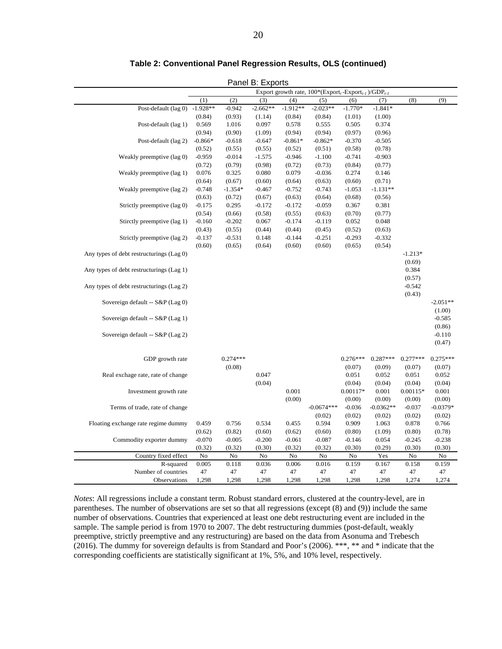|                                          |            |            | ι αποι σ. Ελροπο |            | Export growth rate, $100^*$ (Export, -Export, )/GDP <sub>t-1</sub> |                      |                 |                      |                 |
|------------------------------------------|------------|------------|------------------|------------|--------------------------------------------------------------------|----------------------|-----------------|----------------------|-----------------|
|                                          | (1)        | (2)        | (3)              | (4)        | (5)                                                                | (6)                  | (7)             | (8)                  | (9)             |
| Post-default (lag 0)                     | $-1.928**$ | $-0.942$   | $-2.662**$       | $-1.912**$ | $-2.023**$                                                         | $-1.770*$            | $-1.841*$       |                      |                 |
|                                          | (0.84)     | (0.93)     | (1.14)           | (0.84)     | (0.84)                                                             | (1.01)               | (1.00)          |                      |                 |
| Post-default (lag 1)                     | 0.569      | 1.016      | 0.097            | 0.578      | 0.555                                                              | 0.505                | 0.374           |                      |                 |
|                                          | (0.94)     | (0.90)     | (1.09)           | (0.94)     | (0.94)                                                             | (0.97)               | (0.96)          |                      |                 |
| Post-default (lag 2)                     | $-0.866*$  | $-0.618$   | $-0.647$         | $-0.861*$  | $-0.862*$                                                          | $-0.370$             | $-0.505$        |                      |                 |
|                                          | (0.52)     | (0.55)     | (0.55)           | (0.52)     | (0.51)                                                             | (0.58)               | (0.78)          |                      |                 |
| Weakly preemptive (lag 0)                | $-0.959$   | $-0.014$   | $-1.575$         | $-0.946$   | $-1.100$                                                           | $-0.741$             | $-0.903$        |                      |                 |
|                                          | (0.72)     | (0.79)     | (0.98)           | (0.72)     | (0.73)                                                             | (0.84)               | (0.77)          |                      |                 |
| Weakly preemptive (lag 1)                | 0.076      | 0.325      | 0.080            | 0.079      | $-0.036$                                                           | 0.274                | 0.146           |                      |                 |
|                                          | (0.64)     | (0.67)     | (0.60)           | (0.64)     | (0.63)                                                             | (0.60)               | (0.71)          |                      |                 |
| Weakly preemptive (lag 2)                | $-0.748$   | $-1.354*$  | $-0.467$         | $-0.752$   | $-0.743$                                                           | $-1.053$             | $-1.131**$      |                      |                 |
|                                          | (0.63)     | (0.72)     | (0.67)           | (0.63)     | (0.64)                                                             | (0.68)               | (0.56)          |                      |                 |
| Strictly preemptive (lag 0)              | $-0.175$   | 0.295      | $-0.172$         | $-0.172$   | $-0.059$                                                           | 0.367                | 0.381           |                      |                 |
|                                          | (0.54)     | (0.66)     | (0.58)           | (0.55)     | (0.63)                                                             | (0.70)               | (0.77)          |                      |                 |
| Stirctly preemptive (lag 1)              | $-0.160$   | $-0.202$   | 0.067            | $-0.174$   | $-0.119$                                                           | 0.052                | 0.048           |                      |                 |
|                                          | (0.43)     | (0.55)     | (0.44)           | (0.44)     | (0.45)                                                             | (0.52)               | (0.63)          |                      |                 |
| Strictly preemptive (lag 2)              | $-0.137$   | $-0.531$   | 0.148            | $-0.144$   | $-0.251$                                                           | $-0.293$             | $-0.332$        |                      |                 |
|                                          | (0.60)     | (0.65)     | (0.64)           | (0.60)     | (0.60)                                                             | (0.65)               | (0.54)          |                      |                 |
| Any types of debt restructurings (Lag 0) |            |            |                  |            |                                                                    |                      |                 | $-1.213*$            |                 |
|                                          |            |            |                  |            |                                                                    |                      |                 | (0.69)               |                 |
| Any types of debt restructurings (Lag 1) |            |            |                  |            |                                                                    |                      |                 | 0.384                |                 |
|                                          |            |            |                  |            |                                                                    |                      |                 | (0.57)               |                 |
| Any types of debt restructurings (Lag 2) |            |            |                  |            |                                                                    |                      |                 | $-0.542$             |                 |
|                                          |            |            |                  |            |                                                                    |                      |                 | (0.43)               |                 |
| Sovereign default -- S&P (Lag 0)         |            |            |                  |            |                                                                    |                      |                 |                      | $-2.051**$      |
|                                          |            |            |                  |            |                                                                    |                      |                 |                      | (1.00)          |
| Sovereign default -- S&P (Lag 1)         |            |            |                  |            |                                                                    |                      |                 |                      | $-0.585$        |
|                                          |            |            |                  |            |                                                                    |                      |                 |                      | (0.86)          |
| Sovereign default -- S&P (Lag 2)         |            |            |                  |            |                                                                    |                      |                 |                      | $-0.110$        |
|                                          |            |            |                  |            |                                                                    |                      |                 |                      | (0.47)          |
|                                          |            |            |                  |            |                                                                    |                      |                 |                      |                 |
| GDP growth rate                          |            | $0.274***$ |                  |            |                                                                    | $0.276***$           | $0.287***$      | $0.277***$           | $0.275***$      |
|                                          |            | (0.08)     |                  |            |                                                                    | (0.07)               | (0.09)          | (0.07)               | (0.07)          |
| Real exchage rate, rate of change        |            |            | 0.047            |            |                                                                    | 0.051                | 0.052           | 0.051                | 0.052           |
|                                          |            |            | (0.04)           | $0.001\,$  |                                                                    | (0.04)<br>$0.00117*$ | (0.04)<br>0.001 | (0.04)<br>$0.00115*$ | (0.04)<br>0.001 |
| Investment growth rate                   |            |            |                  | (0.00)     |                                                                    | (0.00)               | (0.00)          | (0.00)               | (0.00)          |
| Terms of trade, rate of change           |            |            |                  |            | $-0.0674***$                                                       | $-0.036$             | $-0.0362**$     | $-0.037$             | $-0.0379*$      |
|                                          |            |            |                  |            | (0.02)                                                             | (0.02)               | (0.02)          | (0.02)               | (0.02)          |
| Floating exchange rate regime dummy      | 0.459      | 0.756      | 0.534            | 0.455      | 0.594                                                              | 0.909                | 1.063           | 0.878                | 0.766           |
|                                          | (0.62)     | (0.82)     | (0.60)           | (0.62)     | (0.60)                                                             | (0.80)               | (1.09)          | (0.80)               | (0.78)          |
| Commodity exporter dummy                 | $-0.070$   | $-0.005$   | $-0.200$         | $-0.061$   | $-0.087$                                                           | $-0.146$             | 0.054           | $-0.245$             | $-0.238$        |
|                                          | (0.32)     | (0.32)     | (0.30)           | (0.32)     | (0.32)                                                             | (0.30)               | (0.29)          | (0.30)               | (0.30)          |
| Country fixed effect                     | No         | No         | No               | No         | No                                                                 | No                   | Yes             | No                   | No              |
| R-squared                                | 0.005      | 0.118      | 0.036            | 0.006      | 0.016                                                              | 0.159                | 0.167           | 0.158                | 0.159           |
| Number of countries                      | 47         | 47         | 47               | 47         | 47                                                                 | 47                   | 47              | 47                   | 47              |
| Observations                             | 1,298      | 1,298      | 1,298            | 1,298      | 1,298                                                              | 1,298                | 1,298           | 1,274                | 1,274           |

#### **Table 2: Conventional Panel Regression Results, OLS (continued)**

Panel B: Exports

*Notes*: All regressions include a constant term. Robust standard errors, clustered at the country-level, are in parentheses. The number of observations are set so that all regressions (except (8) and (9)) include the same number of observations. Countries that experienced at least one debt restructuring event are included in the sample. The sample period is from 1970 to 2007. The debt restructuring dummies (post-default, weakly preemptive, strictly preemptive and any restructuring) are based on the data from Asonuma and Trebesch (2016). The dummy for sovereign defaults is from Standard and Poor's (2006). \*\*\*, \*\* and \* indicate that the corresponding coefficients are statistically significant at 1%, 5%, and 10% level, respectively.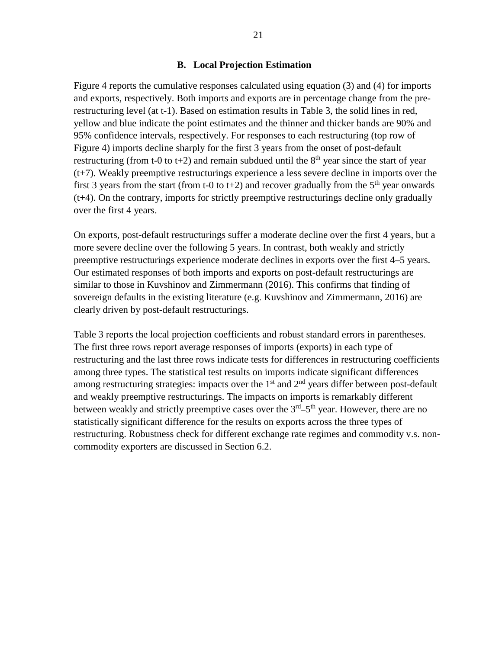#### **B. Local Projection Estimation**

Figure 4 reports the cumulative responses calculated using equation (3) and (4) for imports and exports, respectively. Both imports and exports are in percentage change from the prerestructuring level (at t-1). Based on estimation results in Table 3, the solid lines in red, yellow and blue indicate the point estimates and the thinner and thicker bands are 90% and 95% confidence intervals, respectively. For responses to each restructuring (top row of Figure 4) imports decline sharply for the first 3 years from the onset of post-default restructuring (from t-0 to t+2) and remain subdued until the  $8<sup>th</sup>$  year since the start of year (t+7). Weakly preemptive restructurings experience a less severe decline in imports over the first 3 years from the start (from t-0 to t+2) and recover gradually from the  $5<sup>th</sup>$  year onwards (t+4). On the contrary, imports for strictly preemptive restructurings decline only gradually over the first 4 years.

On exports, post-default restructurings suffer a moderate decline over the first 4 years, but a more severe decline over the following 5 years. In contrast, both weakly and strictly preemptive restructurings experience moderate declines in exports over the first 4–5 years. Our estimated responses of both imports and exports on post-default restructurings are similar to those in Kuvshinov and Zimmermann (2016). This confirms that finding of sovereign defaults in the existing literature (e.g. Kuvshinov and Zimmermann, 2016) are clearly driven by post-default restructurings.

Table 3 reports the local projection coefficients and robust standard errors in parentheses. The first three rows report average responses of imports (exports) in each type of restructuring and the last three rows indicate tests for differences in restructuring coefficients among three types. The statistical test results on imports indicate significant differences among restructuring strategies: impacts over the  $1<sup>st</sup>$  and  $2<sup>nd</sup>$  years differ between post-default and weakly preemptive restructurings. The impacts on imports is remarkably different between weakly and strictly preemptive cases over the  $3<sup>rd</sup>-5<sup>th</sup>$  year. However, there are no statistically significant difference for the results on exports across the three types of restructuring. Robustness check for different exchange rate regimes and commodity v.s. noncommodity exporters are discussed in Section 6.2.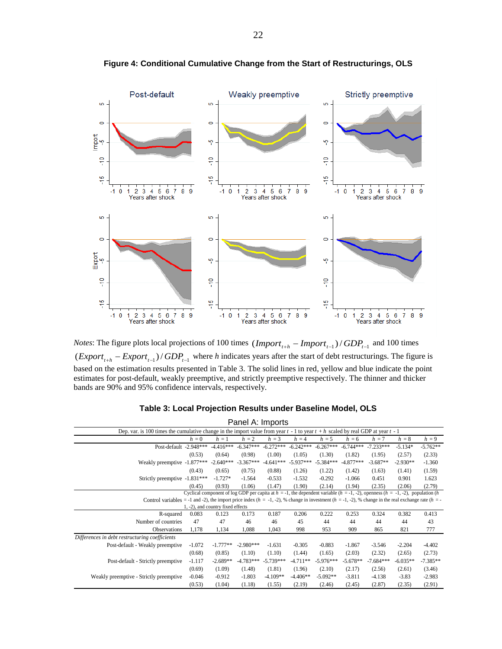

**Figure 4: Conditional Cumulative Change from the Start of Restructurings, OLS**

*Notes*: The figure plots local projections of 100 times  $(Import_{t+h} - Import_{t-1})/ GDP_{t-1}$  and 100 times  $\frac{1}{(Expert_{t+h} - Expert_{t-1})/GDP_{t-1}}$  where *h* indicates years after the start of debt restructurings. The figure is based on the estimation results presented in Table 3. The solid lines in red, yellow and blue indicate the point estimates for post-default, weakly preemptive, and strictly preemptive respectively. The thinner and thicker bands are 90% and 95% confidence intervals, respectively.

|                                                                                                                                                                   |                                   |             | Panel A: Imports |             |             |             |             |                                                                                                                                          |            |            |
|-------------------------------------------------------------------------------------------------------------------------------------------------------------------|-----------------------------------|-------------|------------------|-------------|-------------|-------------|-------------|------------------------------------------------------------------------------------------------------------------------------------------|------------|------------|
| Dep. var. is 100 times the cumulative change in the import value from year $t - 1$ to year $t + h$ scaled by real GDP at year $t - 1$                             |                                   |             |                  |             |             |             |             |                                                                                                                                          |            |            |
|                                                                                                                                                                   | $h=0$                             | $h=1$       | $h = 2$          | $h = 3$     | $h = 4$     | $h = 5$     | $h = 6$     | $h = 7$                                                                                                                                  | $h=8$      | $h = 9$    |
| Post-default -2.948***                                                                                                                                            |                                   | $-4.416***$ | $-6.347***$      | $-6.272***$ | $-6.242***$ | $-6.267***$ | $-6.744***$ | $-7.233***$                                                                                                                              | $-5.134*$  | $-5.762**$ |
|                                                                                                                                                                   | (0.53)                            | (0.64)      | (0.98)           | (1.00)      | (1.05)      | (1.30)      | (1.82)      | (1.95)                                                                                                                                   | (2.57)     | (2.33)     |
| Weakly preemptive -1.877***                                                                                                                                       |                                   | $-2.640***$ | $-3.367***$      | $-4.641***$ | $-5.937***$ | $-5.384***$ | $-4.877***$ | $-3.687**$                                                                                                                               | $-2.930**$ | $-1.360$   |
|                                                                                                                                                                   | (0.43)                            | (0.65)      | (0.75)           | (0.88)      | (1.26)      | (1.22)      | (1.42)      | (1.63)                                                                                                                                   | (1.41)     | (1.59)     |
| Strictly preemptive -1.831***                                                                                                                                     |                                   | $-1.727*$   | $-1.564$         | $-0.533$    | $-1.532$    | $-0.292$    | $-1.066$    | 0.451                                                                                                                                    | 0.901      | 1.623      |
|                                                                                                                                                                   | (0.45)                            | (0.93)      | (1.06)           | (1.47)      | (1.90)      | (2.14)      | (1.94)      | (2.35)                                                                                                                                   | (2.06)     | (2.79)     |
|                                                                                                                                                                   |                                   |             |                  |             |             |             |             | Cyclical component of log GDP per capita at $h = -1$ , the dependent variable $(h = -1, -2)$ , openness $(h = -1, -2)$ , population $(h$ |            |            |
| Control variables = -1 and -2), the import price index $(h = -1, -2)$ , % change in investment $(h = -1, -2)$ , % change in the real exchange rate $(h = -1, -2)$ |                                   |             |                  |             |             |             |             |                                                                                                                                          |            |            |
|                                                                                                                                                                   | 1, -2), and country fixed effects |             |                  |             |             |             |             |                                                                                                                                          |            |            |
| R-squared                                                                                                                                                         | 0.083                             | 0.123       | 0.173            | 0.187       | 0.206       | 0.222       | 0.253       | 0.324                                                                                                                                    | 0.382      | 0.413      |
| Number of countries                                                                                                                                               | 47                                | 47          | 46               | 46          | 45          | 44          | 44          | 44                                                                                                                                       | 44         | 43         |
| <b>Observations</b>                                                                                                                                               | 1,178                             | 1,134       | 1,088            | 1,043       | 998         | 953         | 909         | 865                                                                                                                                      | 821        | 777        |
| Differences in debt restructuring coefficients                                                                                                                    |                                   |             |                  |             |             |             |             |                                                                                                                                          |            |            |
| Post-default - Weakly preemptive                                                                                                                                  | $-1.072$                          | $-1.777**$  | $-2.980***$      | $-1.631$    | $-0.305$    | $-0.883$    | $-1.867$    | $-3.546$                                                                                                                                 | $-2.204$   | $-4.402$   |
|                                                                                                                                                                   | (0.68)                            | (0.85)      | (1.10)           | (1.10)      | (1.44)      | (1.65)      | (2.03)      | (2.32)                                                                                                                                   | (2.65)     | (2.73)     |
| Post-default - Strictly preemptive                                                                                                                                | $-1.117$                          | $-2.689**$  | $-4.783***$      | $-5.739***$ | $-4.711**$  | $-5.976***$ | $-5.678**$  | $-7.684***$                                                                                                                              | $-6.035**$ | $-7.385**$ |
|                                                                                                                                                                   | (0.69)                            | (1.09)      | (1.48)           | (1.81)      | (1.96)      | (2.10)      | (2.17)      | (2.56)                                                                                                                                   | (2.61)     | (3.46)     |
| Weakly preemptive - Strictly preemptive                                                                                                                           | $-0.046$                          | $-0.912$    | $-1.803$         | $-4.109**$  | $-4.406**$  | $-5.092**$  | $-3.811$    | $-4.138$                                                                                                                                 | $-3.83$    | $-2.983$   |
|                                                                                                                                                                   | (0.53)                            | (1.04)      | (1.18)           | (1.55)      | (2.19)      | (2.46)      | (2.45)      | (2.87)                                                                                                                                   | (2.35)     | (2.91)     |

**Table 3: Local Projection Results under Baseline Model, OLS**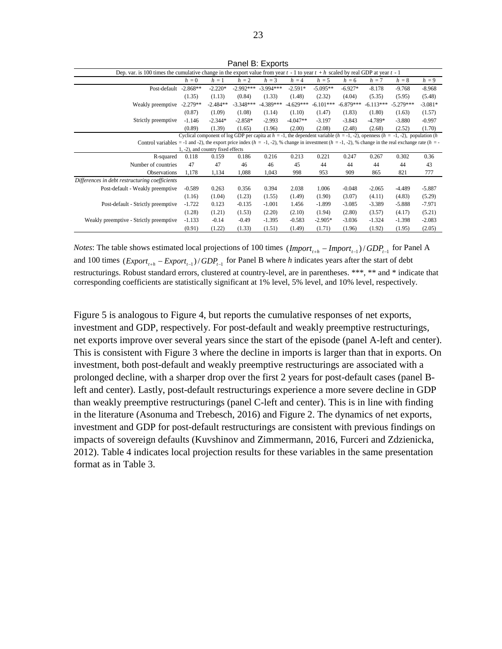| Dep. var. is 100 times the cumulative change in the export value from year $t - 1$ to year $t + h$ scaled by real GDP at year $t - 1$                             |            |                                   |             |             |             |             |             |             |                                                                                                                                          |           |
|-------------------------------------------------------------------------------------------------------------------------------------------------------------------|------------|-----------------------------------|-------------|-------------|-------------|-------------|-------------|-------------|------------------------------------------------------------------------------------------------------------------------------------------|-----------|
|                                                                                                                                                                   | $h = 0$    | $h=1$                             | $h = 2$     | $h = 3$     | $h = 4$     | $h = 5$     | $h = 6$     | $h = 7$     | $h=8$                                                                                                                                    | $h = 9$   |
| Post-default                                                                                                                                                      | $-2.868**$ | $-2.220*$                         | $-2.992***$ | $-3.994***$ | $-2.591*$   | $-5.095**$  | $-6.927*$   | $-8.178$    | $-9.768$                                                                                                                                 | $-8.968$  |
|                                                                                                                                                                   | (1.35)     | (1.13)                            | (0.84)      | (1.33)      | (1.48)      | (2.32)      | (4.04)      | (5.35)      | (5.95)                                                                                                                                   | (5.48)    |
| Weakly preemptive                                                                                                                                                 | $-2.279**$ | $-2.484**$                        | $-3.348***$ | $-4.389***$ | $-4.629***$ | $-6.101***$ | $-6.879***$ | $-6.113***$ | $-5.279***$                                                                                                                              | $-3.081*$ |
|                                                                                                                                                                   | (0.87)     | (1.09)                            | (1.08)      | (1.14)      | (1.10)      | (1.47)      | (1.83)      | (1.80)      | (1.63)                                                                                                                                   | (1.57)    |
| Strictly preemptive                                                                                                                                               | $-1.146$   | $-2.344*$                         | $-2.858*$   | $-2.993$    | $-4.047**$  | $-3.197$    | $-3.843$    | $-4.789*$   | $-3.880$                                                                                                                                 | $-0.997$  |
|                                                                                                                                                                   | (0.89)     | (1.39)                            | (1.65)      | (1.96)      | (2.00)      | (2.08)      | (2.48)      | (2.68)      | (2.52)                                                                                                                                   | (1.70)    |
|                                                                                                                                                                   |            |                                   |             |             |             |             |             |             | Cyclical component of log GDP per capita at $h = -1$ , the dependent variable $(h = -1, -2)$ , openness $(h = -1, -2)$ , population $(h$ |           |
| Control variables = -1 and -2), the export price index $(h = -1, -2)$ , % change in investment $(h = -1, -2)$ , % change in the real exchange rate $(h = -1, -2)$ |            |                                   |             |             |             |             |             |             |                                                                                                                                          |           |
|                                                                                                                                                                   |            | 1, -2), and country fixed effects |             |             |             |             |             |             |                                                                                                                                          |           |
| R-squared                                                                                                                                                         | 0.118      | 0.159                             | 0.186       | 0.216       | 0.213       | 0.221       | 0.247       | 0.267       | 0.302                                                                                                                                    | 0.36      |
| Number of countries                                                                                                                                               | 47         | 47                                | 46          | 46          | 45          | 44          | 44          | 44          | 44                                                                                                                                       | 43        |
| Observations                                                                                                                                                      | 1,178      | 1,134                             | 1,088       | 1,043       | 998         | 953         | 909         | 865         | 821                                                                                                                                      | 777       |
| Differences in debt restructuring coefficients                                                                                                                    |            |                                   |             |             |             |             |             |             |                                                                                                                                          |           |
| Post-default - Weakly preemptive                                                                                                                                  | $-0.589$   | 0.263                             | 0.356       | 0.394       | 2.038       | 1.006       | $-0.048$    | $-2.065$    | $-4.489$                                                                                                                                 | $-5.887$  |
|                                                                                                                                                                   | (1.16)     | (1.04)                            | (1.23)      | (1.55)      | (1.49)      | (1.90)      | (3.07)      | (4.11)      | (4.83)                                                                                                                                   | (5.29)    |
| Post-default - Strictly preemptive                                                                                                                                | $-1.722$   | 0.123                             | $-0.135$    | $-1.001$    | 1.456       | $-1.899$    | $-3.085$    | $-3.389$    | $-5.888$                                                                                                                                 | $-7.971$  |
|                                                                                                                                                                   | (1.28)     | (1.21)                            | (1.53)      | (2.20)      | (2.10)      | (1.94)      | (2.80)      | (3.57)      | (4.17)                                                                                                                                   | (5.21)    |
| Weakly preemptive - Strictly preemptive                                                                                                                           | $-1.133$   | $-0.14$                           | $-0.49$     | $-1.395$    | $-0.583$    | $-2.905*$   | $-3.036$    | $-1.324$    | $-1.398$                                                                                                                                 | $-2.083$  |
|                                                                                                                                                                   | (0.91)     | (1.22)                            | (1.33)      | (1.51)      | (1.49)      | (1.71)      | (1.96)      | (1.92)      | (1.95)                                                                                                                                   | (2.05)    |

Panel B: Exports

*Notes*: The table shows estimated local projections of 100 times  $(Import_{t+h} - Import_{t-1})/ GDP_{t-1}$  for Panel A and 100 times  $\frac{[Expert_{t+h} - Expert_{t-1})}{GDP_{t-1}}$  for Panel B where *h* indicates years after the start of debt restructurings. Robust standard errors, clustered at country-level, are in parentheses. \*\*\*, \*\* and \* indicate that corresponding coefficients are statistically significant at 1% level, 5% level, and 10% level, respectively.

Figure 5 is analogous to Figure 4, but reports the cumulative responses of net exports, investment and GDP, respectively. For post-default and weakly preemptive restructurings, net exports improve over several years since the start of the episode (panel A-left and center). This is consistent with Figure 3 where the decline in imports is larger than that in exports. On investment, both post-default and weakly preemptive restructurings are associated with a prolonged decline, with a sharper drop over the first 2 years for post-default cases (panel Bleft and center). Lastly, post-default restructurings experience a more severe decline in GDP than weakly preemptive restructurings (panel C-left and center). This is in line with finding in the literature (Asonuma and Trebesch, 2016) and Figure 2. The dynamics of net exports, investment and GDP for post-default restructurings are consistent with previous findings on impacts of sovereign defaults (Kuvshinov and Zimmermann, 2016, Furceri and Zdzienicka, 2012). Table 4 indicates local projection results for these variables in the same presentation format as in Table 3.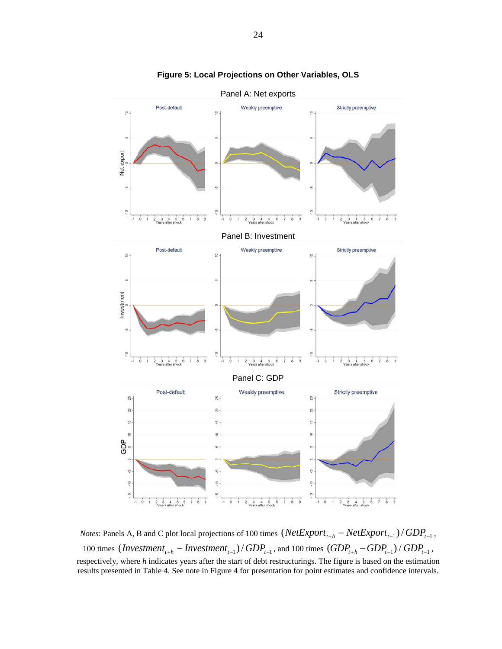

**Figure 5: Local Projections on Other Variables, OLS**

*Notes*: Panels A, B and C plot local projections of 100 times  $(NetExport_{t+h} - NetExport_{t-1}) / GDP_{t-1}$ , 100 times  $(Investment_{t+h} - Investment_{t-1}) / GDP_{t-1}$ , and 100 times  $(GDP_{t+h} - GDP_{t-1}) / GDP_{t-1}$ , respectively, where *h* indicates years after the start of debt restructurings. The figure is based on the estimation results presented in Table 4. See note in Figure 4 for presentation for point estimates and confidence intervals.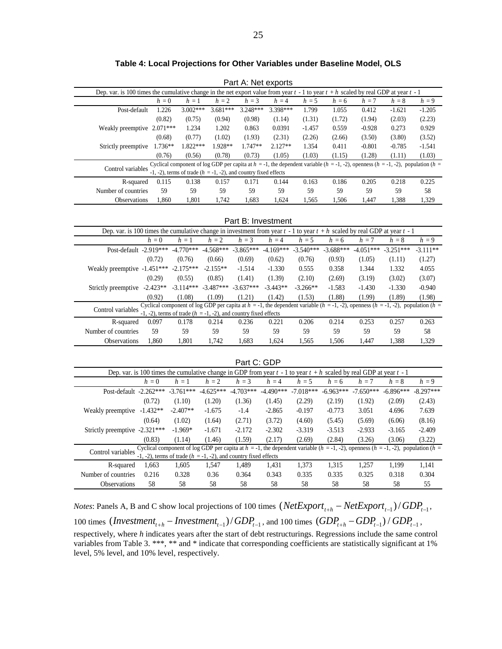| Dep. var. is 100 times the cumulative change in the net export value from year $t - 1$ to year $t + h$ scaled by real GDP at year $t - 1$<br>$h = \overline{9}$<br>$h = 0$<br>$h=1$<br>$h = 2$<br>$h = 3$<br>$h = 5$<br>$h = 7$<br>$h = 4$<br>$h = 6$<br>$h=8$<br>$3.002***$<br>$3.681***$<br>3.248***<br>3.398***<br>1.226<br>1.799<br>1.055<br>0.412<br>$-1.621$<br>Post-default<br>$-1.205$<br>(2.23)<br>(0.82)<br>(0.75)<br>(0.94)<br>(1.31)<br>(1.72)<br>(1.94)<br>(2.03)<br>(0.98)<br>(1.14)<br>Weakly preemptive 2.071***<br>1.234<br>1.202<br>0.863<br>0.0391<br>$-1.457$<br>0.559<br>$-0.928$<br>0.273<br>0.929<br>(1.02)<br>(3.50)<br>(3.52)<br>(0.68)<br>(0.77)<br>(1.93)<br>(2.31)<br>(2.26)<br>(2.66)<br>(3.80)<br>1.822***<br>Strictly preemptive 1.736**<br>1.928**<br>1.747**<br>2.127**<br>1.354<br>0.411<br>$-0.801$<br>$-0.785$<br>$-1.541$<br>(1.03)<br>(1.28)<br>(1.03)<br>(0.76)<br>(0.56)<br>(0.78)<br>(0.73)<br>(1.05)<br>(1.15)<br>(1.11)<br>Cyclical component of log GDP per capita at $h = -1$ , the dependent variable ( $h = -1, -2$ ), openness ( $h = -1, -2$ ), population ( $h =$ |
|---------------------------------------------------------------------------------------------------------------------------------------------------------------------------------------------------------------------------------------------------------------------------------------------------------------------------------------------------------------------------------------------------------------------------------------------------------------------------------------------------------------------------------------------------------------------------------------------------------------------------------------------------------------------------------------------------------------------------------------------------------------------------------------------------------------------------------------------------------------------------------------------------------------------------------------------------------------------------------------------------------------------------------------------------------------------------------------------------------------------|
|                                                                                                                                                                                                                                                                                                                                                                                                                                                                                                                                                                                                                                                                                                                                                                                                                                                                                                                                                                                                                                                                                                                     |
|                                                                                                                                                                                                                                                                                                                                                                                                                                                                                                                                                                                                                                                                                                                                                                                                                                                                                                                                                                                                                                                                                                                     |
|                                                                                                                                                                                                                                                                                                                                                                                                                                                                                                                                                                                                                                                                                                                                                                                                                                                                                                                                                                                                                                                                                                                     |
|                                                                                                                                                                                                                                                                                                                                                                                                                                                                                                                                                                                                                                                                                                                                                                                                                                                                                                                                                                                                                                                                                                                     |
|                                                                                                                                                                                                                                                                                                                                                                                                                                                                                                                                                                                                                                                                                                                                                                                                                                                                                                                                                                                                                                                                                                                     |
|                                                                                                                                                                                                                                                                                                                                                                                                                                                                                                                                                                                                                                                                                                                                                                                                                                                                                                                                                                                                                                                                                                                     |
|                                                                                                                                                                                                                                                                                                                                                                                                                                                                                                                                                                                                                                                                                                                                                                                                                                                                                                                                                                                                                                                                                                                     |
|                                                                                                                                                                                                                                                                                                                                                                                                                                                                                                                                                                                                                                                                                                                                                                                                                                                                                                                                                                                                                                                                                                                     |
| Control variables                                                                                                                                                                                                                                                                                                                                                                                                                                                                                                                                                                                                                                                                                                                                                                                                                                                                                                                                                                                                                                                                                                   |
| -1, -2), terms of trade ( $h = -1, -2$ ), and country fixed effects                                                                                                                                                                                                                                                                                                                                                                                                                                                                                                                                                                                                                                                                                                                                                                                                                                                                                                                                                                                                                                                 |
| 0.115<br>0.138<br>0.157<br>0.171<br>0.144<br>0.163<br>0.186<br>0.205<br>0.218<br>0.225<br>R-squared                                                                                                                                                                                                                                                                                                                                                                                                                                                                                                                                                                                                                                                                                                                                                                                                                                                                                                                                                                                                                 |
| 59<br>59<br>Number of countries<br>59<br>59<br>59<br>59<br>59<br>59<br>59<br>58                                                                                                                                                                                                                                                                                                                                                                                                                                                                                                                                                                                                                                                                                                                                                                                                                                                                                                                                                                                                                                     |
| Observations<br>1,860<br>1,801<br>1,683<br>1,624<br>1,565<br>1,506<br>1,388<br>1,329<br>1,742<br>1,447                                                                                                                                                                                                                                                                                                                                                                                                                                                                                                                                                                                                                                                                                                                                                                                                                                                                                                                                                                                                              |
|                                                                                                                                                                                                                                                                                                                                                                                                                                                                                                                                                                                                                                                                                                                                                                                                                                                                                                                                                                                                                                                                                                                     |
| Part B: Investment                                                                                                                                                                                                                                                                                                                                                                                                                                                                                                                                                                                                                                                                                                                                                                                                                                                                                                                                                                                                                                                                                                  |
| Dep. var. is 100 times the cumulative change in investment from year $t - 1$ to year $t + h$ scaled by real GDP at year $t - 1$                                                                                                                                                                                                                                                                                                                                                                                                                                                                                                                                                                                                                                                                                                                                                                                                                                                                                                                                                                                     |
| $h = 3$<br>$h = 5$<br>$h = 9$<br>$h=0$<br>$h=1$<br>$h=2$<br>$h = 4$<br>$h = 6$<br>$h = 7$<br>$h=8$                                                                                                                                                                                                                                                                                                                                                                                                                                                                                                                                                                                                                                                                                                                                                                                                                                                                                                                                                                                                                  |
| Post-default -2.919*** -4.770*** -4.568*** -3.865***<br>$-4.169***$<br>$-3.540***$<br>$-3.688***$<br>$-4.051***$ $-3.251***$<br>$-3.111**$                                                                                                                                                                                                                                                                                                                                                                                                                                                                                                                                                                                                                                                                                                                                                                                                                                                                                                                                                                          |
| (0.69)<br>(0.72)<br>(0.76)<br>(0.66)<br>(0.62)<br>(0.76)<br>(0.93)<br>(1.05)<br>(1.11)<br>(1.27)                                                                                                                                                                                                                                                                                                                                                                                                                                                                                                                                                                                                                                                                                                                                                                                                                                                                                                                                                                                                                    |
| Weakly preemptive -1.451*** -2.175***<br>$-2.155**$<br>$-1.514$<br>4.055<br>$-1.330$<br>0.555<br>0.358<br>1.344<br>1.332                                                                                                                                                                                                                                                                                                                                                                                                                                                                                                                                                                                                                                                                                                                                                                                                                                                                                                                                                                                            |
| (0.29)<br>(0.55)<br>(0.85)<br>(1.41)<br>(1.39)<br>(2.10)<br>(2.69)<br>(3.19)<br>(3.02)<br>(3.07)                                                                                                                                                                                                                                                                                                                                                                                                                                                                                                                                                                                                                                                                                                                                                                                                                                                                                                                                                                                                                    |
| $-3.114***$ $-3.487***$ $-3.637***$<br>Strictly preemptive -2.423**<br>$-3.443**$<br>$-3.266**$<br>$-1.583$<br>$-1.430$<br>$-1.330$<br>$-0.940$                                                                                                                                                                                                                                                                                                                                                                                                                                                                                                                                                                                                                                                                                                                                                                                                                                                                                                                                                                     |
| (1.08)<br>(1.09)<br>(1.42)<br>(1.53)<br>(1.88)<br>(1.99)<br>(1.89)<br>(1.98)<br>(0.92)<br>(1.21)                                                                                                                                                                                                                                                                                                                                                                                                                                                                                                                                                                                                                                                                                                                                                                                                                                                                                                                                                                                                                    |
| Cyclical component of log GDP per capita at $h = -1$ , the dependent variable ( $h = -1, -2$ ), openness ( $h = -1, -2$ ), population ( $h =$                                                                                                                                                                                                                                                                                                                                                                                                                                                                                                                                                                                                                                                                                                                                                                                                                                                                                                                                                                       |
| Control variables<br>-1, -2), terms of trade ( $h = -1$ , -2), and country fixed effects                                                                                                                                                                                                                                                                                                                                                                                                                                                                                                                                                                                                                                                                                                                                                                                                                                                                                                                                                                                                                            |
| 0.206<br>0.097<br>0.178<br>0.214<br>0.236<br>0.214<br>0.253<br>0.257<br>0.263<br>R-squared<br>0.221                                                                                                                                                                                                                                                                                                                                                                                                                                                                                                                                                                                                                                                                                                                                                                                                                                                                                                                                                                                                                 |
| 59<br>59<br>59<br>59<br>59<br>59<br>59<br>59<br>59<br>58<br>Number of countries                                                                                                                                                                                                                                                                                                                                                                                                                                                                                                                                                                                                                                                                                                                                                                                                                                                                                                                                                                                                                                     |
| 1,860<br>1,801<br>1,742<br>1,624<br>1,506<br>1,329<br>Observations<br>1,683<br>1,565<br>1,447<br>1,388                                                                                                                                                                                                                                                                                                                                                                                                                                                                                                                                                                                                                                                                                                                                                                                                                                                                                                                                                                                                              |
|                                                                                                                                                                                                                                                                                                                                                                                                                                                                                                                                                                                                                                                                                                                                                                                                                                                                                                                                                                                                                                                                                                                     |
| Part C: GDP                                                                                                                                                                                                                                                                                                                                                                                                                                                                                                                                                                                                                                                                                                                                                                                                                                                                                                                                                                                                                                                                                                         |
| Dep. var. is 100 times the cumulative change in GDP from year $t - 1$ to year $t + h$ scaled by real GDP at year $t - 1$                                                                                                                                                                                                                                                                                                                                                                                                                                                                                                                                                                                                                                                                                                                                                                                                                                                                                                                                                                                            |
| $h\,=2$<br>$h=\sqrt{3}$<br>$h = 4$<br>$h = 5$<br>$h = 9$<br>$h=1$<br>$h=6$<br>$h = 7$<br>$h=8$<br>$h=0$                                                                                                                                                                                                                                                                                                                                                                                                                                                                                                                                                                                                                                                                                                                                                                                                                                                                                                                                                                                                             |
| $-4.490***$<br>$-8.297***$<br>Post-default -2.262***<br>$-3.761***$<br>$-4.625***$<br>$-4.703***$<br>$-7.018***$<br>$-6.963***$<br>$-7.650***$<br>$-6.896***$                                                                                                                                                                                                                                                                                                                                                                                                                                                                                                                                                                                                                                                                                                                                                                                                                                                                                                                                                       |
| (0.72)<br>(1.10)<br>(1.45)<br>(2.29)<br>(2.19)<br>(1.92)<br>(2.09)<br>(2.43)<br>(1.20)<br>(1.36)                                                                                                                                                                                                                                                                                                                                                                                                                                                                                                                                                                                                                                                                                                                                                                                                                                                                                                                                                                                                                    |
| $-2.407**$<br>Weakly preemptive -1.432**<br>$-1.675$<br>$-1.4$<br>$-2.865$<br>$-0.197$<br>$-0.773$<br>3.051<br>4.696<br>7.639                                                                                                                                                                                                                                                                                                                                                                                                                                                                                                                                                                                                                                                                                                                                                                                                                                                                                                                                                                                       |
| (2.71)<br>(3.72)<br>(5.69)<br>(6.06)<br>(0.64)<br>(1.02)                                                                                                                                                                                                                                                                                                                                                                                                                                                                                                                                                                                                                                                                                                                                                                                                                                                                                                                                                                                                                                                            |
| (1.64)<br>(4.60)<br>(5.45)<br>(8.16)                                                                                                                                                                                                                                                                                                                                                                                                                                                                                                                                                                                                                                                                                                                                                                                                                                                                                                                                                                                                                                                                                |
| Strictly preemptive -2.321***<br>$-1.969*$<br>$-1.671$<br>$-2.172$<br>$-2.302$<br>$-3.319$<br>$-3.513$<br>$-2.933$<br>$-3.165$<br>$-2.409$                                                                                                                                                                                                                                                                                                                                                                                                                                                                                                                                                                                                                                                                                                                                                                                                                                                                                                                                                                          |
| (1.59)<br>(2.17)<br>(2.69)<br>(2.84)<br>(3.26)<br>(3.06)<br>(1.14)<br>(1.46)<br>(3.22)<br>(0.83)<br>Cyclical component of log GDP per capita at $h = -1$ , the dependent variable $(h = -1, -2)$ , openness $(h = -1, -2)$ , population $(h = -1, -2)$                                                                                                                                                                                                                                                                                                                                                                                                                                                                                                                                                                                                                                                                                                                                                                                                                                                              |
| Control variables $\frac{1}{-1}$ , -2), terms of trade ( $h = -1, -2$ ), and country fixed effects                                                                                                                                                                                                                                                                                                                                                                                                                                                                                                                                                                                                                                                                                                                                                                                                                                                                                                                                                                                                                  |

**Table 4: Local Projections for Other Variables under Baseline Model, OLS**

 $\overline{\phantom{a}}$  $\overline{a}$ 

*Notes*: Panels A, B and C show local projections of 100 times  $(NetExport_{t+h} - NetExport_{t-1}) / GDP_{t-1}$ , 100 times  $(Investment_{t+h} - Investment_{t-1}) / GDP_{t-1}$ , and 100 times  $(GDP_{t+h} - GDP_{t-1}) / GDP_{t-1}$ , Number of countries 0.216 0.328 0.36 0.364 0.343 0.335 0.335 0.325 0.318 0.304 Observations 58 58 58 58 58 58 58 58 58 55

R-squared 1,663 1,605 1,547 1,489 1,431 1,373 1,315 1,257 1,199 1,141

respectively, where *h* indicates years after the start of debt restructurings. Regressions include the same control variables from Table 3. \*\*\*, \*\* and \* indicate that corresponding coefficients are statistically significant at 1% level, 5% level, and 10% level, respectively.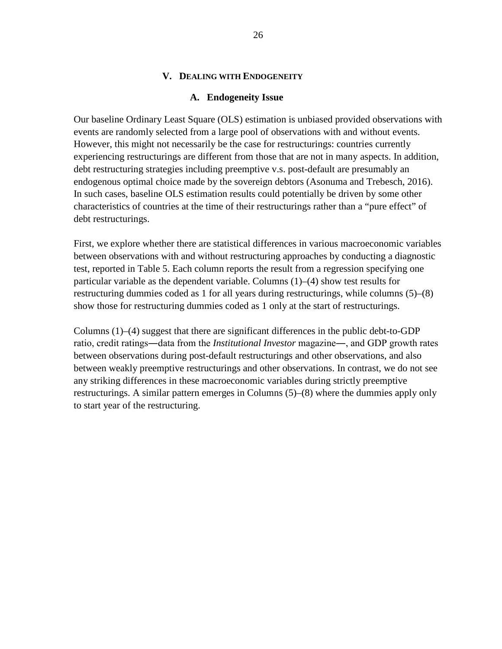#### **V. DEALING WITH ENDOGENEITY**

#### **A. Endogeneity Issue**

Our baseline Ordinary Least Square (OLS) estimation is unbiased provided observations with events are randomly selected from a large pool of observations with and without events. However, this might not necessarily be the case for restructurings: countries currently experiencing restructurings are different from those that are not in many aspects. In addition, debt restructuring strategies including preemptive v.s. post-default are presumably an endogenous optimal choice made by the sovereign debtors (Asonuma and Trebesch, 2016). In such cases, baseline OLS estimation results could potentially be driven by some other characteristics of countries at the time of their restructurings rather than a "pure effect" of debt restructurings.

First, we explore whether there are statistical differences in various macroeconomic variables between observations with and without restructuring approaches by conducting a diagnostic test, reported in Table 5. Each column reports the result from a regression specifying one particular variable as the dependent variable. Columns (1)–(4) show test results for restructuring dummies coded as 1 for all years during restructurings, while columns (5)–(8) show those for restructuring dummies coded as 1 only at the start of restructurings.

Columns  $(1)$ – $(4)$  suggest that there are significant differences in the public debt-to-GDP ratio, credit ratings―data from the *Institutional Investor* magazine―, and GDP growth rates between observations during post-default restructurings and other observations, and also between weakly preemptive restructurings and other observations. In contrast, we do not see any striking differences in these macroeconomic variables during strictly preemptive restructurings. A similar pattern emerges in Columns (5)–(8) where the dummies apply only to start year of the restructuring.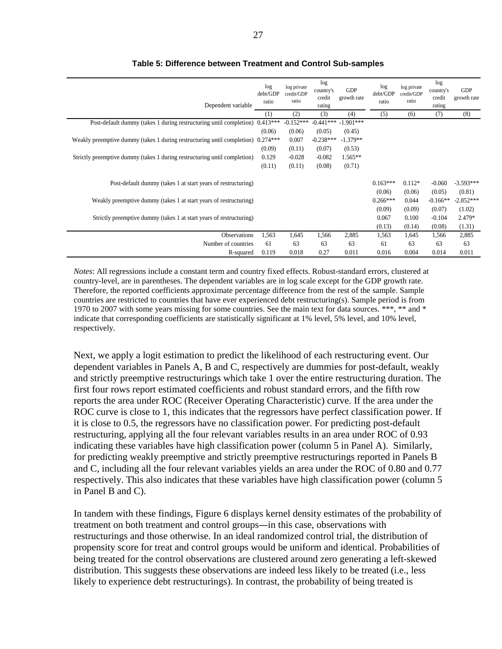| Dependent variable                                                        | log<br>debt/GDP<br>ratio | log private<br>credit/GDP<br>ratio | log<br>country's<br>credit<br>rating | GDP<br>growth rate | log<br>debt/GDP<br>ratio  | log private<br>credit/GDP<br>ratio | log<br>country's<br>credit<br>rating | GDP<br>growth rate         |
|---------------------------------------------------------------------------|--------------------------|------------------------------------|--------------------------------------|--------------------|---------------------------|------------------------------------|--------------------------------------|----------------------------|
|                                                                           | (1)                      | (2)                                | (3)                                  | (4)                | (5)                       | (6)                                | (7)                                  | (8)                        |
| Post-default dummy (takes 1 during restructuring until completion)        | $0.413***$               | $-0.152***$                        | $-0.441***$                          | $-1.901***$        |                           |                                    |                                      |                            |
|                                                                           | (0.06)                   | (0.06)                             | (0.05)                               | (0.45)             |                           |                                    |                                      |                            |
| Weakly preemptive dummy (takes 1 during restructuring until completion)   | $0.274***$               | 0.007                              | $-0.238***$                          | $-1.379**$         |                           |                                    |                                      |                            |
|                                                                           | (0.09)                   | (0.11)                             | (0.07)                               | (0.53)             |                           |                                    |                                      |                            |
| Strictly preemptive dummy (takes 1 during restructuring until completion) | 0.129                    | $-0.028$                           | $-0.082$                             | $1.565**$          |                           |                                    |                                      |                            |
|                                                                           | (0.11)                   | (0.11)                             | (0.08)                               | (0.71)             |                           |                                    |                                      |                            |
| Post-default dummy (takes 1 at start years of restructuring)              |                          |                                    |                                      |                    | $0.163***$                | $0.112*$                           | $-0.060$                             | $-3.593***$                |
| Weakly preemptive dummy (takes 1 at start years of restructuring)         |                          |                                    |                                      |                    | (0.06)<br>$0.266***$      | (0.06)<br>0.044                    | (0.05)<br>$-0.166**$                 | (0.81)<br>$-2.852***$      |
| Strictly preemptive dummy (takes 1 at start years of restructuring)       |                          |                                    |                                      |                    | (0.09)<br>0.067<br>(0.13) | (0.09)<br>0.100<br>(0.14)          | (0.07)<br>$-0.104$<br>(0.08)         | (1.02)<br>2.479*<br>(1.31) |
| <b>Observations</b>                                                       | 1,563                    | 1,645                              | 1,566                                | 2,885              | 1,563                     | 1,645                              | 1,566                                | 2,885                      |
| Number of countries                                                       | 61                       | 63                                 | 63                                   | 63                 | 61                        | 63                                 | 63                                   | 63                         |
| R-squared                                                                 | 0.119                    | 0.018                              | 0.27                                 | 0.011              | 0.016                     | 0.004                              | 0.014                                | 0.011                      |

#### **Table 5: Difference between Treatment and Control Sub-samples**

*Notes*: All regressions include a constant term and country fixed effects. Robust-standard errors, clustered at country-level, are in parentheses. The dependent variables are in log scale except for the GDP growth rate. Therefore, the reported coefficients approximate percentage difference from the rest of the sample. Sample countries are restricted to countries that have ever experienced debt restructuring(s). Sample period is from 1970 to 2007 with some years missing for some countries. See the main text for data sources. \*\*\*, \*\* and \* indicate that corresponding coefficients are statistically significant at 1% level, 5% level, and 10% level, respectively.

Next, we apply a logit estimation to predict the likelihood of each restructuring event. Our dependent variables in Panels A, B and C, respectively are dummies for post-default, weakly and strictly preemptive restructurings which take 1 over the entire restructuring duration. The first four rows report estimated coefficients and robust standard errors, and the fifth row reports the area under ROC (Receiver Operating Characteristic) curve. If the area under the ROC curve is close to 1, this indicates that the regressors have perfect classification power. If it is close to 0.5, the regressors have no classification power. For predicting post-default restructuring, applying all the four relevant variables results in an area under ROC of 0.93 indicating these variables have high classification power (column 5 in Panel A). Similarly, for predicting weakly preemptive and strictly preemptive restructurings reported in Panels B and C, including all the four relevant variables yields an area under the ROC of 0.80 and 0.77 respectively. This also indicates that these variables have high classification power (column 5 in Panel B and C).

In tandem with these findings, Figure 6 displays kernel density estimates of the probability of treatment on both treatment and control groups―in this case, observations with restructurings and those otherwise. In an ideal randomized control trial, the distribution of propensity score for treat and control groups would be uniform and identical. Probabilities of being treated for the control observations are clustered around zero generating a left-skewed distribution. This suggests these observations are indeed less likely to be treated (i.e., less likely to experience debt restructurings). In contrast, the probability of being treated is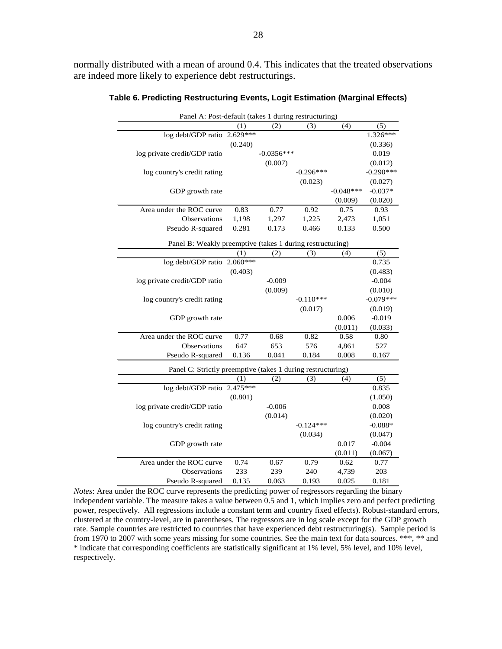normally distributed with a mean of around 0.4. This indicates that the treated observations are indeed more likely to experience debt restructurings.

| Panel A: Post-default (takes 1 during restructuring)        |            |              |             |             |             |
|-------------------------------------------------------------|------------|--------------|-------------|-------------|-------------|
|                                                             | (1)        | (2)          | (3)         | (4)         | (5)         |
| log debt/GDP ratio                                          | $2.629***$ |              |             |             | $1.326***$  |
|                                                             | (0.240)    |              |             |             | (0.336)     |
| log private credit/GDP ratio                                |            | $-0.0356***$ |             |             | 0.019       |
|                                                             |            | (0.007)      |             |             | (0.012)     |
| log country's credit rating                                 |            |              | $-0.296***$ |             | $-0.290***$ |
|                                                             |            |              | (0.023)     |             | (0.027)     |
| GDP growth rate                                             |            |              |             | $-0.048***$ | $-0.037*$   |
|                                                             |            |              |             | (0.009)     | (0.020)     |
| Area under the ROC curve                                    | 0.83       | 0.77         | 0.92        | 0.75        | 0.93        |
| <b>Observations</b>                                         | 1,198      | 1,297        | 1,225       | 2,473       | 1,051       |
| Pseudo R-squared                                            | 0.281      | 0.173        | 0.466       | 0.133       | 0.500       |
| Panel B: Weakly preemptive (takes 1 during restructuring)   |            |              |             |             |             |
|                                                             | (1)        | (2)          | (3)         | (4)         | (5)         |
| log debt/GDP ratio                                          | $2.060***$ |              |             |             | 0.735       |
|                                                             | (0.403)    |              |             |             | (0.483)     |
| log private credit/GDP ratio                                |            | $-0.009$     |             |             | $-0.004$    |
|                                                             |            | (0.009)      |             |             | (0.010)     |
| log country's credit rating                                 |            |              | $-0.110***$ |             | $-0.079***$ |
|                                                             |            |              | (0.017)     |             | (0.019)     |
| GDP growth rate                                             |            |              |             | 0.006       | $-0.019$    |
|                                                             |            |              |             | (0.011)     | (0.033)     |
| Area under the ROC curve                                    | 0.77       | 0.68         | 0.82        | 0.58        | 0.80        |
| Observations                                                | 647        | 653          | 576         | 4,861       | 527         |
| Pseudo R-squared                                            | 0.136      | 0.041        | 0.184       | 0.008       | 0.167       |
| Panel C: Strictly preemptive (takes 1 during restructuring) |            |              |             |             |             |
|                                                             | (1)        | (2)          | (3)         | (4)         | (5)         |
| log debt/GDP ratio                                          | $2.475***$ |              |             |             | 0.835       |
|                                                             | (0.801)    |              |             |             | (1.050)     |
| log private credit/GDP ratio                                |            | $-0.006$     |             |             | 0.008       |
|                                                             |            | (0.014)      |             |             | (0.020)     |
| log country's credit rating                                 |            |              | $-0.124***$ |             | $-0.088*$   |
|                                                             |            |              | (0.034)     |             | (0.047)     |
| GDP growth rate                                             |            |              |             | 0.017       | $-0.004$    |
|                                                             |            |              |             | (0.011)     | (0.067)     |
| Area under the ROC curve                                    | 0.74       | 0.67         | 0.79        | 0.62        | 0.77        |
| Observations                                                | 233        | 239          | 240         | 4,739       | 203         |
| Pseudo R-squared                                            | 0.135      | 0.063        | 0.193       | 0.025       | 0.181       |

**Table 6. Predicting Restructuring Events, Logit Estimation (Marginal Effects)**

*Notes*: Area under the ROC curve represents the predicting power of regressors regarding the binary independent variable. The measure takes a value between 0.5 and 1, which implies zero and perfect predicting power, respectively. All regressions include a constant term and country fixed effects). Robust-standard errors, clustered at the country-level, are in parentheses. The regressors are in log scale except for the GDP growth rate. Sample countries are restricted to countries that have experienced debt restructuring(s). Sample period is from 1970 to 2007 with some years missing for some countries. See the main text for data sources. \*\*\*, \*\* and \* indicate that corresponding coefficients are statistically significant at 1% level, 5% level, and 10% level, respectively.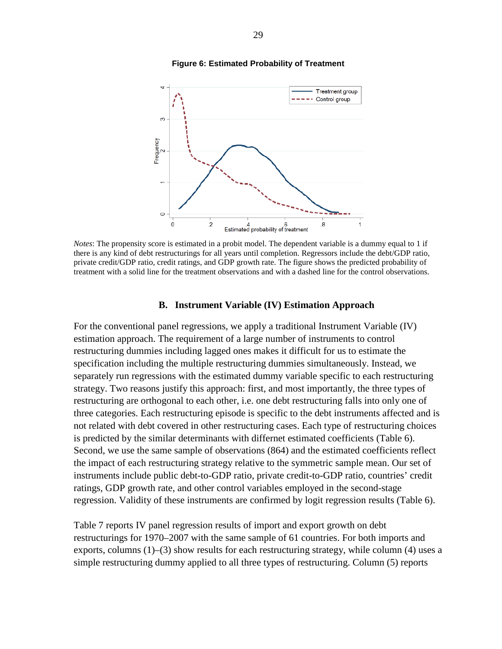

#### **Figure 6: Estimated Probability of Treatment**

*Notes*: The propensity score is estimated in a probit model. The dependent variable is a dummy equal to 1 if there is any kind of debt restructurings for all years until completion. Regressors include the debt/GDP ratio, private credit/GDP ratio, credit ratings, and GDP growth rate. The figure shows the predicted probability of treatment with a solid line for the treatment observations and with a dashed line for the control observations.

#### **B. Instrument Variable (IV) Estimation Approach**

For the conventional panel regressions, we apply a traditional Instrument Variable (IV) estimation approach. The requirement of a large number of instruments to control restructuring dummies including lagged ones makes it difficult for us to estimate the specification including the multiple restructuring dummies simultaneously. Instead, we separately run regressions with the estimated dummy variable specific to each restructuring strategy. Two reasons justify this approach: first, and most importantly, the three types of restructuring are orthogonal to each other, i.e. one debt restructuring falls into only one of three categories. Each restructuring episode is specific to the debt instruments affected and is not related with debt covered in other restructuring cases. Each type of restructuring choices is predicted by the similar determinants with differnet estimated coefficients (Table 6). Second, we use the same sample of observations (864) and the estimated coefficients reflect the impact of each restructuring strategy relative to the symmetric sample mean. Our set of instruments include public debt-to-GDP ratio, private credit-to-GDP ratio, countries' credit ratings, GDP growth rate, and other control variables employed in the second-stage regression. Validity of these instruments are confirmed by logit regression results (Table 6).

Table 7 reports IV panel regression results of import and export growth on debt restructurings for 1970–2007 with the same sample of 61 countries. For both imports and exports, columns (1)–(3) show results for each restructuring strategy, while column (4) uses a simple restructuring dummy applied to all three types of restructuring. Column (5) reports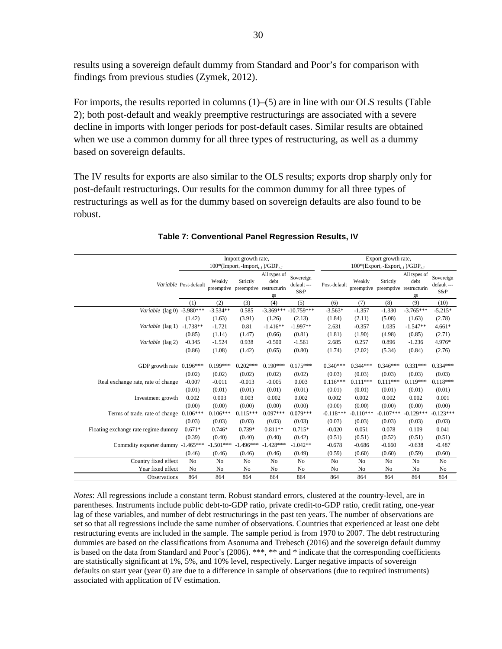results using a sovereign default dummy from Standard and Poor's for comparison with findings from previous studies (Zymek, 2012).

For imports, the results reported in columns (1)–(5) are in line with our OLS results (Table 2); both post-default and weakly preemptive restructurings are associated with a severe decline in imports with longer periods for post-default cases. Similar results are obtained when we use a common dummy for all three types of restructuring, as well as a dummy based on sovereign defaults.

The IV results for exports are also similar to the OLS results; exports drop sharply only for post-default restructurings. Our results for the common dummy for all three types of restructurings as well as for the dummy based on sovereign defaults are also found to be robust.

|                                     |                       |             | Import growth rate,                                            |                            |                                | Export growth rate,<br>$100*(\text{Export}_t - \text{Export}_{t-1})/\text{GDP}_{t-1}$ |             |                                                |                            |                                 |  |
|-------------------------------------|-----------------------|-------------|----------------------------------------------------------------|----------------------------|--------------------------------|---------------------------------------------------------------------------------------|-------------|------------------------------------------------|----------------------------|---------------------------------|--|
|                                     |                       |             | $100*(\text{Import}_t - \text{Import}_{t-1})/\text{GDP}_{t-1}$ |                            |                                |                                                                                       |             |                                                |                            |                                 |  |
|                                     | Variable Post-default | Weakly      | Strictly<br>preemptive preemptive restructurin                 | All types of<br>debt<br>gs | Sovereign<br>default---<br>S&P | Post-default                                                                          | Weakly      | Strictly<br>preemptive preemptive restructurin | All types of<br>debt<br>gs | Sovereign<br>default ---<br>S&P |  |
|                                     | (1)                   | (2)         | (3)                                                            | (4)                        | (5)                            | (6)                                                                                   | (7)         | (8)                                            | (9)                        | (10)                            |  |
| Variable (lag 0) -3.980***          |                       | $-3.534**$  | 0.585                                                          |                            | $-3.369*** -10.759***$         | $-3.563*$                                                                             | $-1.357$    | $-1.330$                                       | $-3.765***$                | $-5.215*$                       |  |
|                                     | (1.42)                | (1.63)      | (3.91)                                                         | (1.26)                     | (2.13)                         | (1.84)                                                                                | (2.11)      | (5.08)                                         | (1.63)                     | (2.78)                          |  |
| Variable (lag 1)                    | $-1.738**$            | $-1.721$    | 0.81                                                           | $-1.416**$                 | $-1.997**$                     | 2.631                                                                                 | $-0.357$    | 1.035                                          | $-1.547**$                 | $4.661*$                        |  |
|                                     | (0.85)                | (1.14)      | (1.47)                                                         | (0.66)                     | (0.81)                         | (1.81)                                                                                | (1.90)      | (4.98)                                         | (0.85)                     | (2.71)                          |  |
| Variable (lag 2)                    | $-0.345$              | $-1.524$    | 0.938                                                          | $-0.500$                   | $-1.561$                       | 2.685                                                                                 | 0.257       | 0.896                                          | $-1.236$                   | 4.976*                          |  |
|                                     | (0.86)                | (1.08)      | (1.42)                                                         | (0.65)                     | (0.80)                         | (1.74)                                                                                | (2.02)      | (5.34)                                         | (0.84)                     | (2.76)                          |  |
|                                     |                       |             |                                                                |                            |                                |                                                                                       |             |                                                |                            |                                 |  |
| GDP growth rate 0.196***            |                       | $0.199***$  | $0.202***$                                                     | $0.190***$                 | $0.175***$                     | $0.340***$                                                                            | $0.344***$  | $0.346***$                                     | $0.331***$                 | $0.334***$                      |  |
|                                     | (0.02)                | (0.02)      | (0.02)                                                         | (0.02)                     | (0.02)                         | (0.03)                                                                                | (0.03)      | (0.03)                                         | (0.03)                     | (0.03)                          |  |
| Real exchange rate, rate of change  | $-0.007$              | $-0.011$    | $-0.013$                                                       | $-0.005$                   | 0.003                          | $0.116***$                                                                            | $0.111***$  | $0.111***$                                     | $0.119***$                 | $0.118***$                      |  |
|                                     | (0.01)                | (0.01)      | (0.01)                                                         | (0.01)                     | (0.01)                         | (0.01)                                                                                | (0.01)      | (0.01)                                         | (0.01)                     | (0.01)                          |  |
| Investment growth                   | 0.002                 | 0.003       | 0.003                                                          | 0.002                      | 0.002                          | 0.002                                                                                 | 0.002       | 0.002                                          | 0.002                      | 0.001                           |  |
|                                     | (0.00)                | (0.00)      | (0.00)                                                         | (0.00)                     | (0.00)                         | (0.00)                                                                                | (0.00)      | (0.00)                                         | (0.00)                     | (0.00)                          |  |
| Terms of trade, rate of change      | $0.106***$            | $0.106***$  | $0.115***$                                                     | $0.097***$                 | $0.079***$                     | $-0.118***$                                                                           | $-0.110***$ | $-0.107***$                                    | $-0.129***$                | $-0.123***$                     |  |
|                                     | (0.03)                | (0.03)      | (0.03)                                                         | (0.03)                     | (0.03)                         | (0.03)                                                                                | (0.03)      | (0.03)                                         | (0.03)                     | (0.03)                          |  |
| Floating exchange rate regime dummy | $0.671*$              | $0.746*$    | $0.739*$                                                       | $0.811**$                  | $0.715*$                       | $-0.020$                                                                              | 0.051       | 0.078                                          | 0.109                      | 0.041                           |  |
|                                     | (0.39)                | (0.40)      | (0.40)                                                         | (0.40)                     | (0.42)                         | (0.51)                                                                                | (0.51)      | (0.52)                                         | (0.51)                     | (0.51)                          |  |
| Commdity exporter dummy -1.465***   |                       | $-1.501***$ | $-1.496***$                                                    | $-1.428***$                | $-1.042**$                     | $-0.678$                                                                              | $-0.686$    | $-0.660$                                       | $-0.638$                   | $-0.487$                        |  |
|                                     | (0.46)                | (0.46)      | (0.46)                                                         | (0.46)                     | (0.49)                         | (0.59)                                                                                | (0.60)      | (0.60)                                         | (0.59)                     | (0.60)                          |  |
| Country fixed effect                | No                    | No          | N <sub>0</sub>                                                 | N <sub>0</sub>             | No                             | No                                                                                    | No          | N <sub>0</sub>                                 | No                         | No                              |  |
| Year fixed effect                   | No                    | No          | No                                                             | No                         | No                             | No                                                                                    | No          | No                                             | No                         | No                              |  |
| Observations                        | 864                   | 864         | 864                                                            | 864                        | 864                            | 864                                                                                   | 864         | 864                                            | 864                        | 864                             |  |

#### **Table 7: Conventional Panel Regression Results, IV**

*Notes*: All regressions include a constant term. Robust standard errors, clustered at the country-level, are in parentheses. Instruments include public debt-to-GDP ratio, private credit-to-GDP ratio, credit rating, one-year lag of these variables, and number of debt restructurings in the past ten years. The number of observations are set so that all regressions include the same number of observations. Countries that experienced at least one debt restructuring events are included in the sample. The sample period is from 1970 to 2007. The debt restructuring dummies are based on the classifications from Asonuma and Trebesch (2016) and the sovereign default dummy is based on the data from Standard and Poor's (2006). \*\*\*, \*\* and \* indicate that the corresponding coefficients are statistically significant at 1%, 5%, and 10% level, respectively. Larger negative impacts of sovereign defaults on start year (year 0) are due to a difference in sample of observations (due to required instruments) associated with application of IV estimation.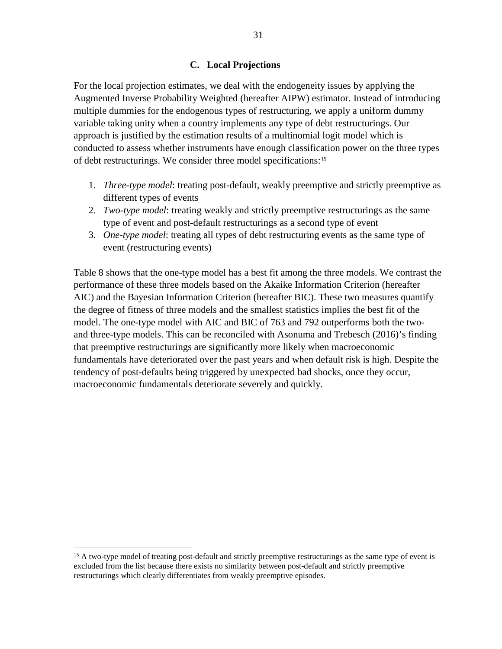### **C. Local Projections**

For the local projection estimates, we deal with the endogeneity issues by applying the Augmented Inverse Probability Weighted (hereafter AIPW) estimator. Instead of introducing multiple dummies for the endogenous types of restructuring, we apply a uniform dummy variable taking unity when a country implements any type of debt restructurings. Our approach is justified by the estimation results of a multinomial logit model which is conducted to assess whether instruments have enough classification power on the three types of debt restructurings. We consider three model specifications:[15](#page-31-0)

- 1. *Three-type model*: treating post-default, weakly preemptive and strictly preemptive as different types of events
- 2. *Two-type model*: treating weakly and strictly preemptive restructurings as the same type of event and post-default restructurings as a second type of event
- 3. *One-type model*: treating all types of debt restructuring events as the same type of event (restructuring events)

Table 8 shows that the one-type model has a best fit among the three models. We contrast the performance of these three models based on the Akaike Information Criterion (hereafter AIC) and the Bayesian Information Criterion (hereafter BIC). These two measures quantify the degree of fitness of three models and the smallest statistics implies the best fit of the model. The one-type model with AIC and BIC of 763 and 792 outperforms both the twoand three-type models. This can be reconciled with Asonuma and Trebesch (2016)'s finding that preemptive restructurings are significantly more likely when macroeconomic fundamentals have deteriorated over the past years and when default risk is high. Despite the tendency of post-defaults being triggered by unexpected bad shocks, once they occur, macroeconomic fundamentals deteriorate severely and quickly.

<span id="page-31-0"></span><sup>&</sup>lt;sup>15</sup> A two-type model of treating post-default and strictly preemptive restructurings as the same type of event is excluded from the list because there exists no similarity between post-default and strictly preemptive restructurings which clearly differentiates from weakly preemptive episodes.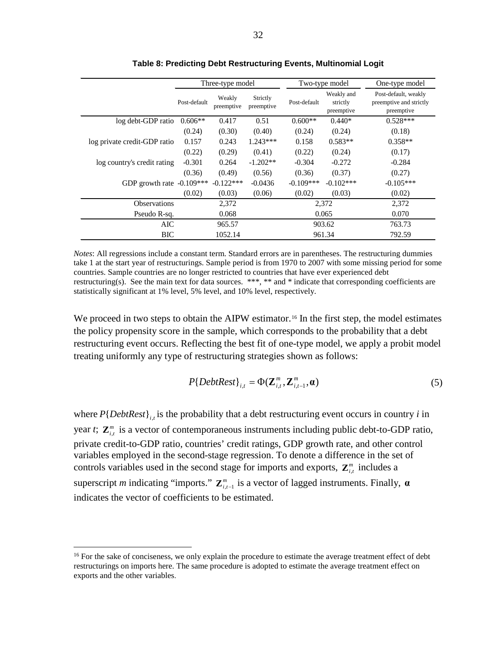|                              |              | Three-type model     |                        |              | Two-type model                       | One-type model                                                |
|------------------------------|--------------|----------------------|------------------------|--------------|--------------------------------------|---------------------------------------------------------------|
|                              | Post-default | Weakly<br>preemptive | Strictly<br>preemptive | Post-default | Weakly and<br>strictly<br>preemptive | Post-default, weakly<br>preemptive and strictly<br>preemptive |
| log debt-GDP ratio           | $0.606**$    | 0.417                | 0.51                   | $0.600**$    | $0.440*$                             | $0.528***$                                                    |
|                              | (0.24)       | (0.30)               | (0.40)                 | (0.24)       | (0.24)                               | (0.18)                                                        |
| log private credit-GDP ratio | 0.157        | 0.243                | $1.243***$             | 0.158        | $0.583**$                            | $0.358**$                                                     |
|                              | (0.22)       | (0.29)               | (0.41)                 | (0.22)       | (0.24)                               | (0.17)                                                        |
| log country's credit rating  | $-0.301$     | 0.264                | $-1.202**$             | $-0.304$     | $-0.272$                             | $-0.284$                                                      |
|                              | (0.36)       | (0.49)               | (0.56)                 | (0.36)       | (0.37)                               | (0.27)                                                        |
| GDP growth rate $-0.109***$  |              | $-0.122***$          | $-0.0436$              | $-0.109***$  | $-0.102$ ***                         | $-0.105***$                                                   |
|                              | (0.02)       | (0.03)               | (0.06)                 | (0.02)       | (0.03)                               | (0.02)                                                        |
| <b>Observations</b>          |              | 2,372                |                        |              | 2,372                                | 2,372                                                         |
| Pseudo R-sq.                 |              | 0.068                |                        |              | 0.065                                | 0.070                                                         |
| AIC                          |              |                      | 965.57                 |              | 903.62                               | 763.73                                                        |
| BIC                          |              | 1052.14              |                        |              | 961.34                               | 792.59                                                        |

**Table 8: Predicting Debt Restructuring Events, Multinomial Logit**

*Notes*: All regressions include a constant term. Standard errors are in parentheses. The restructuring dummies take 1 at the start year of restructurings. Sample period is from 1970 to 2007 with some missing period for some countries. Sample countries are no longer restricted to countries that have ever experienced debt restructuring(s). See the main text for data sources. \*\*\*, \*\* and \* indicate that corresponding coefficients are statistically significant at 1% level, 5% level, and 10% level, respectively.

We proceed in two steps to obtain the AIPW estimator.<sup>[16](#page-32-0)</sup> In the first step, the model estimates the policy propensity score in the sample, which corresponds to the probability that a debt restructuring event occurs. Reflecting the best fit of one-type model, we apply a probit model treating uniformly any type of restructuring strategies shown as follows:

$$
P\{DebtRest\}_{i,t} = \Phi(\mathbf{Z}_{i,t}^m, \mathbf{Z}_{i,t-1}^m, \mathbf{a})
$$
\n<sup>(5)</sup>

where  $P{DebtRest}_{i,t}$  is the probability that a debt restructuring event occurs in country *i* in year *t*;  $\mathbf{Z}_{i,t}^m$  is a vector of contemporaneous instruments including public debt-to-GDP ratio, private credit-to-GDP ratio, countries' credit ratings, GDP growth rate, and other control variables employed in the second-stage regression. To denote a difference in the set of controls variables used in the second stage for imports and exports,  $\mathbf{Z}_{i,t}^{m}$  includes a superscript *m* indicating "imports."  $\mathbf{Z}_{i,t-1}^m$  is a vector of lagged instruments. Finally,  $\boldsymbol{\alpha}$ indicates the vector of coefficients to be estimated.

<span id="page-32-0"></span><sup>&</sup>lt;sup>16</sup> For the sake of conciseness, we only explain the procedure to estimate the average treatment effect of debt restructurings on imports here. The same procedure is adopted to estimate the average treatment effect on exports and the other variables.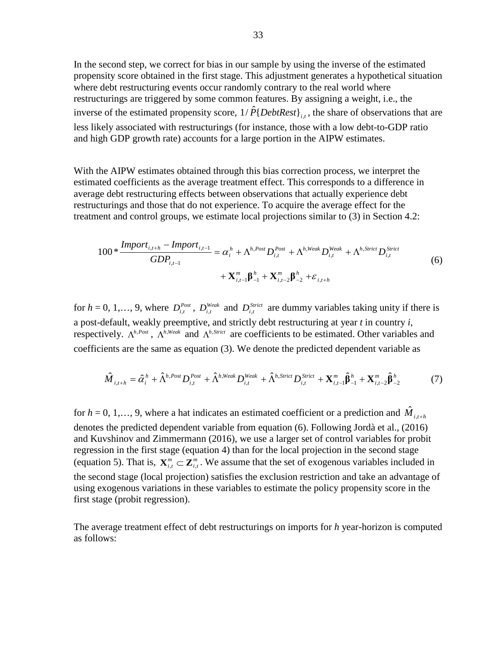In the second step, we correct for bias in our sample by using the inverse of the estimated propensity score obtained in the first stage. This adjustment generates a hypothetical situation where debt restructuring events occur randomly contrary to the real world where restructurings are triggered by some common features. By assigning a weight, i.e., the inverse of the estimated propensity score,  $1/\hat{P} \{DebtRest\}_{i,j}$ , the share of observations that are less likely associated with restructurings (for instance, those with a low debt-to-GDP ratio and high GDP growth rate) accounts for a large portion in the AIPW estimates.

With the AIPW estimates obtained through this bias correction process, we interpret the estimated coefficients as the average treatment effect. This corresponds to a difference in average debt restructuring effects between observations that actually experience debt restructurings and those that do not experience. To acquire the average effect for the treatment and control groups, we estimate local projections similar to (3) in Section 4.2:

$$
100 * \frac{Import_{i,t+h} - Import_{i,t-1}}{GDP_{i,t-1}} = \alpha_i^h + \Lambda^{h, Post} D_{i,t}^{Post} + \Lambda^{h, Weak} D_{i,t}^{Weak} + \Lambda^{h, Strict} D_{i,t}^{Strict}
$$
  
+  $\mathbf{X}_{i,t-1}^m \boldsymbol{\beta}_{-1}^h + \mathbf{X}_{i,t-2}^m \boldsymbol{\beta}_{-2}^h + \varepsilon_{i,t+h}$  (6)

for  $h = 0, 1, \ldots, 9$ , where  $D_{i,t}^{Post}$ ,  $D_{i,t}^{Weak}$  and  $D_{i,t}^{Strict}$  are dummy variables taking unity if there is a post-default, weakly preemptive, and strictly debt restructuring at year *t* in country *i*, respectively.  $\Lambda^{h,Post}$ ,  $\Lambda^{h,Weak}$  and  $\Lambda^{h,Strict}$  are coefficients to be estimated. Other variables and coefficients are the same as equation (3). We denote the predicted dependent variable as

$$
\hat{M}_{i,t+h} = \hat{\alpha}_i^h + \hat{\Lambda}^{h,Post} D_{i,t}^{Post} + \hat{\Lambda}^{h, Weak} D_{i,t}^{Weak} + \hat{\Lambda}^{h, Strict} D_{i,t}^{Strict} + \mathbf{X}_{i,t-1}^m \hat{\beta}_{-1}^h + \mathbf{X}_{i,t-2}^m \hat{\beta}_{-2}^h
$$
(7)

for  $h = 0, 1, \ldots, 9$ , where a hat indicates an estimated coefficient or a prediction and  $\hat{M}_{i,t+h}$ denotes the predicted dependent variable from equation (6). Following Jordà et al., (2016) and Kuvshinov and Zimmermann (2016), we use a larger set of control variables for probit regression in the first stage (equation 4) than for the local projection in the second stage (equation 5). That is,  $\mathbf{X}_{i,t}^m \subset \mathbf{Z}_{i,t}^m$ . We assume that the set of exogenous variables included in the second stage (local projection) satisfies the exclusion restriction and take an advantage of using exogenous variations in these variables to estimate the policy propensity score in the first stage (probit regression).

The average treatment effect of debt restructurings on imports for *h* year-horizon is computed as follows: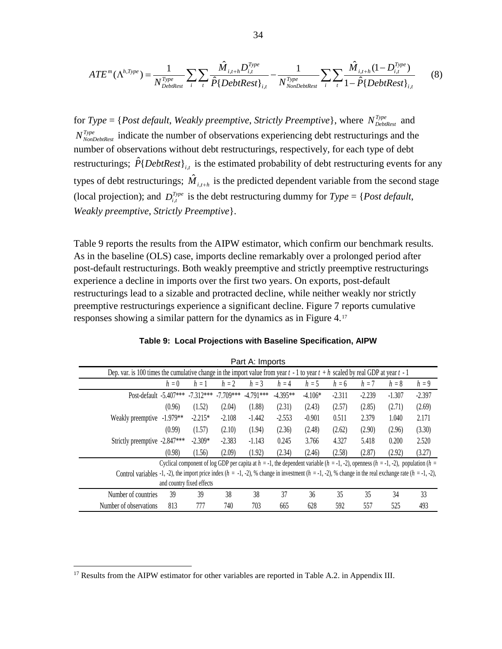$$
ATE^{m}(\Lambda^{h, Type}) = \frac{1}{N_{DebtRest}^{Type}} \sum_{i} \sum_{t} \frac{\hat{M}_{i, t+h} D_{i, t}^{Type}}{\hat{P} \{DebtRest\}_{i, t}} - \frac{1}{N_{NonDebtRest}^{Type}} \sum_{i} \sum_{t} \frac{\hat{M}_{i, t+h} (1 - D_{i, t}^{Type})}{1 - \hat{P} \{DebtRest\}_{i, t}}
$$
(8)

for *Type* = {*Post default, Weakly preemptive, Strictly Preemptive*}, where  $N_{DebbRest}^{Type}$  and *N*<sup>Type</sup> *N*<sub>NonDebtRest</sub> indicate the number of observations experiencing debt restructurings and the number of observations without debt restructurings, respectively, for each type of debt restructurings;  $\hat{P} \{DebtRest\}_{i,t}$  is the estimated probability of debt restructuring events for any types of debt restructurings;  $\hat{M}_{i,t+h}$  is the predicted dependent variable from the second stage (local projection); and  $D_{i,t}^{Type}$  is the debt restructuring dummy for  $Type = \{Post\ default,$ *Weakly preemptive*, *Strictly Preemptive*}.

Table 9 reports the results from the AIPW estimator, which confirm our benchmark results. As in the baseline (OLS) case, imports decline remarkably over a prolonged period after post-default restructurings. Both weakly preemptive and strictly preemptive restructurings experience a decline in imports over the first two years. On exports, post-default restructurings lead to a sizable and protracted decline, while neither weakly nor strictly preemptive restructurings experience a significant decline. Figure 7 reports cumulative responses showing a similar pattern for the dynamics as in Figure 4.[17](#page-34-0)

|                                                                                                                                                                |            |                           |             | Part A: Imports                                                                                                                                    |            |           |          |          |          |          |
|----------------------------------------------------------------------------------------------------------------------------------------------------------------|------------|---------------------------|-------------|----------------------------------------------------------------------------------------------------------------------------------------------------|------------|-----------|----------|----------|----------|----------|
| Dep. var. is 100 times the cumulative change in the import value from year $t - 1$ to year $t + h$ scaled by real GDP at year $t - 1$                          |            |                           |             |                                                                                                                                                    |            |           |          |          |          |          |
|                                                                                                                                                                | $h=0$      | $h=1$                     | $h = 2$     | $h = 3$                                                                                                                                            | $h = 4$    | $h = 5$   | $h = 6$  | $h = 7$  | $h = 8$  | $h = 9$  |
| Post-default $-5.407***$                                                                                                                                       |            | $-7.312***$               | $-7.709***$ | $-4.791***$                                                                                                                                        | $-4.395**$ | $-4.106*$ | $-2.311$ | $-2.239$ | $-1.307$ | $-2.397$ |
|                                                                                                                                                                | (0.96)     | (1.52)                    | (2.04)      | (1.88)                                                                                                                                             | (2.31)     | (2.43)    | (2.57)   | (2.85)   | (2.71)   | (2.69)   |
| Weakly preemptive                                                                                                                                              | $-1.979**$ | $-2.215*$                 | $-2.108$    | $-1.442$                                                                                                                                           | $-2.553$   | $-0.901$  | 0.511    | 2.379    | 1.040    | 2.171    |
|                                                                                                                                                                | (0.99)     | (1.57)                    | (2.10)      | (1.94)                                                                                                                                             | (2.36)     | (2.48)    | (2.62)   | (2.90)   | (2.96)   | (3.30)   |
| Strictly preemptive -2.847***                                                                                                                                  |            | $-2.309*$                 | $-2.383$    | $-1.143$                                                                                                                                           | 0.245      | 3.766     | 4.327    | 5.418    | 0.200    | 2.520    |
|                                                                                                                                                                | (0.98)     | (1.56)                    | (2.09)      | (1.92)                                                                                                                                             | (2.34)     | (2.46)    | (2.58)   | (2.87)   | (2.92)   | (3.27)   |
|                                                                                                                                                                |            |                           |             | Cyclical component of log GDP per capita at $h = -1$ , the dependent variable $(h = -1, -2)$ , openness $(h = -1, -2)$ , population $(h = -1, -2)$ |            |           |          |          |          |          |
| Control variables -1, -2), the import price index $(h = -1, -2)$ , % change in investment $(h = -1, -2)$ , % change in the real exchange rate $(h = -1, -2)$ , |            |                           |             |                                                                                                                                                    |            |           |          |          |          |          |
|                                                                                                                                                                |            | and country fixed effects |             |                                                                                                                                                    |            |           |          |          |          |          |
| Number of countries                                                                                                                                            | 39         | 39                        | 38          | 38                                                                                                                                                 | 37         | 36        | 35       | 35       | 34       | 33       |
| Number of observations                                                                                                                                         | 813        | 777                       | 740         | 703                                                                                                                                                | 665        | 628       | 592      | 557      | 525      | 493      |

|  |  |  |  |  | Table 9: Local Projections with Baseline Specification, AIPW |  |
|--|--|--|--|--|--------------------------------------------------------------|--|
|--|--|--|--|--|--------------------------------------------------------------|--|

<span id="page-34-0"></span><sup>&</sup>lt;sup>17</sup> Results from the AIPW estimator for other variables are reported in Table A.2. in Appendix III.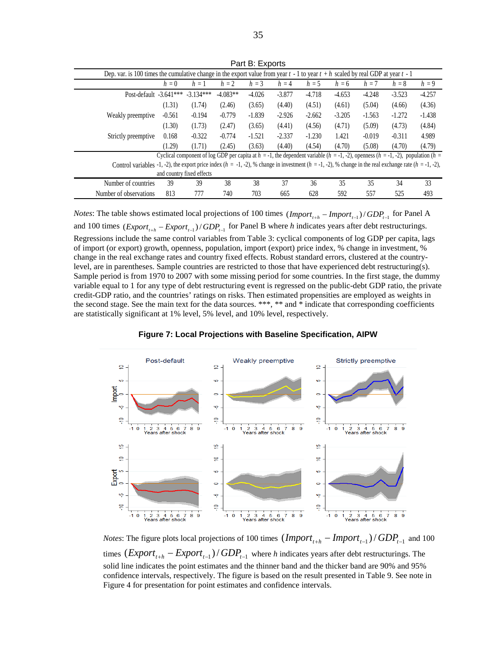| Dep. var. is 100 times the cumulative change in the export value from year $t - 1$ to year $t + h$ scaled by real GDP at year $t - 1$                          |          |                                                                                                                                                    |            |          |          |          |          |          |          |          |
|----------------------------------------------------------------------------------------------------------------------------------------------------------------|----------|----------------------------------------------------------------------------------------------------------------------------------------------------|------------|----------|----------|----------|----------|----------|----------|----------|
|                                                                                                                                                                | $h=0$    | $h=1$                                                                                                                                              | $h = 2$    | $h = 3$  | $h = 4$  | $h = 5$  | $h = 6$  | $h = 7$  | $h = 8$  | $h = 9$  |
| Post-default -3.641***                                                                                                                                         |          | $-3.134***$                                                                                                                                        | $-4.083**$ | $-4.026$ | $-3.877$ | $-4.718$ | $-4.653$ | $-4.248$ | $-3.523$ | $-4.257$ |
|                                                                                                                                                                | (1.31)   | (1.74)                                                                                                                                             | (2.46)     | (3.65)   | (4.40)   | (4.51)   | (4.61)   | (5.04)   | (4.66)   | (4.36)   |
| Weakly preemptive                                                                                                                                              | $-0.561$ | $-0.194$                                                                                                                                           | $-0.779$   | $-1.839$ | $-2.926$ | $-2.662$ | $-3.205$ | $-1.563$ | $-1.272$ | $-1.438$ |
|                                                                                                                                                                | (1.30)   | (1.73)                                                                                                                                             | (2.47)     | (3.65)   | (4.41)   | (4.56)   | (4.71)   | (5.09)   | (4.73)   | (4.84)   |
| Strictly preemptive                                                                                                                                            | 0.168    | $-0.322$                                                                                                                                           | $-0.774$   | $-1.521$ | $-2.337$ | $-1.230$ | 1.421    | $-0.019$ | $-0.311$ | 4.989    |
|                                                                                                                                                                | (1.29)   | (1.71)                                                                                                                                             | (2.45)     | (3.63)   | (4.40)   | (4.54)   | (4.70)   | (5.08)   | (4.70)   | (4.79)   |
|                                                                                                                                                                |          | Cyclical component of log GDP per capita at $h = -1$ , the dependent variable $(h = -1, -2)$ , openness $(h = -1, -2)$ , population $(h = -1, -2)$ |            |          |          |          |          |          |          |          |
| Control variables -1, -2), the export price index $(h = -1, -2)$ , % change in investment $(h = -1, -2)$ , % change in the real exchange rate $(h = -1, -2)$ . |          |                                                                                                                                                    |            |          |          |          |          |          |          |          |
|                                                                                                                                                                |          | and country fixed effects                                                                                                                          |            |          |          |          |          |          |          |          |
| Number of countries                                                                                                                                            | 39       | 39                                                                                                                                                 | 38         | 38       | 37       | 36       | 35       | 35       | 34       | 33       |
| Number of observations                                                                                                                                         | 813      | 777                                                                                                                                                | 740        | 703      | 665      | 628      | 592      | 557      | 525      | 493      |

Part B: Exports

*Notes*: The table shows estimated local projections of 100 times  $(Import_{t+h} - Import_{t-1})/GDP_{t-1}$  for Panel A and 100 times  $\frac{1}{(Expert_{t+h} - Expert_{t-1})/GDP_{t-1}}$  for Panel B where *h* indicates years after debt restructurings. Regressions include the same control variables from Table 3: cyclical components of log GDP per capita, lags of import (or export) growth, openness, population, import (export) price index, % change in investment, % change in the real exchange rates and country fixed effects. Robust standard errors, clustered at the countrylevel, are in parentheses. Sample countries are restricted to those that have experienced debt restructuring(s). Sample period is from 1970 to 2007 with some missing period for some countries. In the first stage, the dummy variable equal to 1 for any type of debt restructuring event is regressed on the public-debt GDP ratio, the private credit-GDP ratio, and the countries' ratings on risks. Then estimated propensities are employed as weights in the second stage. See the main text for the data sources. \*\*\*, \*\* and \* indicate that corresponding coefficients are statistically significant at 1% level, 5% level, and 10% level, respectively.





*Notes*: The figure plots local projections of 100 times  $($ *Import*<sub> $t_{+h}$ </sub> − *Import*<sub> $t_{-1}$ </sub> $)/$  *GDP*<sub> $t_{-1}$ </sub> and 100 times  $\frac{1}{\text{Export}_{t+h}} - \frac{Expert_{t-1}}{GDP_{t-1}}$  where *h* indicates years after debt restructurings. The solid line indicates the point estimates and the thinner band and the thicker band are 90% and 95% confidence intervals, respectively. The figure is based on the result presented in Table 9. See note in Figure 4 for presentation for point estimates and confidence intervals.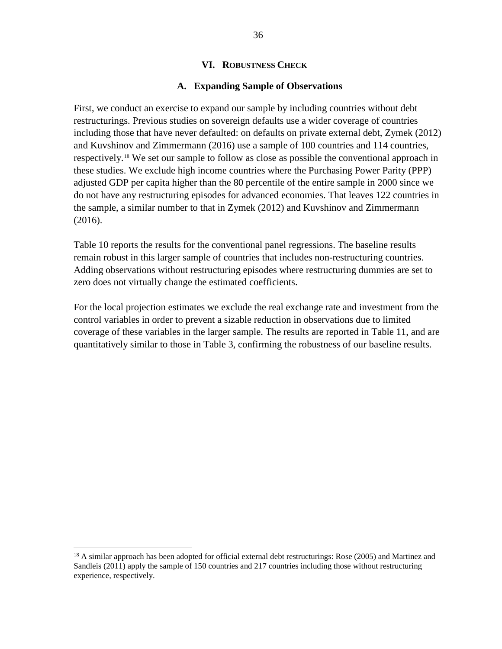#### **VI. ROBUSTNESS CHECK**

#### **A. Expanding Sample of Observations**

First, we conduct an exercise to expand our sample by including countries without debt restructurings. Previous studies on sovereign defaults use a wider coverage of countries including those that have never defaulted: on defaults on private external debt, Zymek (2012) and Kuvshinov and Zimmermann (2016) use a sample of 100 countries and 114 countries, respectively.[18](#page-36-0) We set our sample to follow as close as possible the conventional approach in these studies. We exclude high income countries where the Purchasing Power Parity (PPP) adjusted GDP per capita higher than the 80 percentile of the entire sample in 2000 since we do not have any restructuring episodes for advanced economies. That leaves 122 countries in the sample, a similar number to that in Zymek (2012) and Kuvshinov and Zimmermann (2016).

Table 10 reports the results for the conventional panel regressions. The baseline results remain robust in this larger sample of countries that includes non-restructuring countries. Adding observations without restructuring episodes where restructuring dummies are set to zero does not virtually change the estimated coefficients.

For the local projection estimates we exclude the real exchange rate and investment from the control variables in order to prevent a sizable reduction in observations due to limited coverage of these variables in the larger sample. The results are reported in Table 11, and are quantitatively similar to those in Table 3, confirming the robustness of our baseline results.

<span id="page-36-0"></span><sup>&</sup>lt;sup>18</sup> A similar approach has been adopted for official external debt restructurings: Rose (2005) and Martinez and Sandleis (2011) apply the sample of 150 countries and 217 countries including those without restructuring experience, respectively.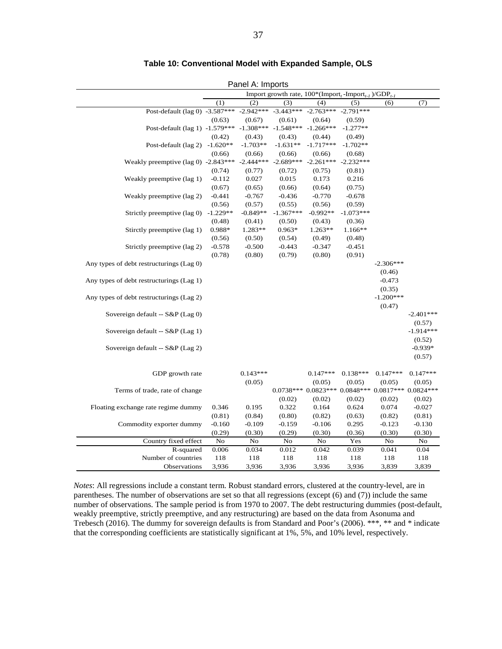| $\mathsf{r}$ and $\mathsf{r}$ , impond<br>Import growth rate, $100^*$ (Import, -Import, )/GDP <sub>t-1</sub> |            |             |             |                                                             |             |             |             |  |
|--------------------------------------------------------------------------------------------------------------|------------|-------------|-------------|-------------------------------------------------------------|-------------|-------------|-------------|--|
|                                                                                                              |            |             |             |                                                             |             |             |             |  |
|                                                                                                              | (1)        | (2)         | (3)         | (4)                                                         | (5)         | (6)         | (7)         |  |
| Post-default (lag 0) $-3.587***$                                                                             |            | $-2.942***$ | $-3.443***$ | $-2.763***$                                                 | $-2.791***$ |             |             |  |
|                                                                                                              | (0.63)     | (0.67)      | (0.61)      | (0.64)                                                      | (0.59)      |             |             |  |
| Post-default (lag 1) -1.579*** -1.308*** -1.548*** -1.266***                                                 |            |             |             |                                                             | $-1.277**$  |             |             |  |
|                                                                                                              | (0.42)     | (0.43)      | (0.43)      | (0.44)                                                      | (0.49)      |             |             |  |
| Post-default (lag 2) -1.620**                                                                                |            | $-1.703**$  | $-1.631**$  | $-1.717***$                                                 | $-1.702**$  |             |             |  |
|                                                                                                              | (0.66)     | (0.66)      | (0.66)      | (0.66)                                                      | (0.68)      |             |             |  |
| Weakly preemptive (lag 0) $-2.843***$                                                                        |            | $-2.444***$ | $-2.689***$ | $-2.261***$                                                 | $-2.232***$ |             |             |  |
|                                                                                                              | (0.74)     | (0.77)      | (0.72)      | (0.75)                                                      | (0.81)      |             |             |  |
| Weakly preemptive (lag 1)                                                                                    | $-0.112$   | 0.027       | 0.015       | 0.173                                                       | 0.216       |             |             |  |
|                                                                                                              | (0.67)     | (0.65)      | (0.66)      | (0.64)                                                      | (0.75)      |             |             |  |
| Weakly preemptive (lag 2)                                                                                    | $-0.441$   | $-0.767$    | $-0.436$    | $-0.770$                                                    | $-0.678$    |             |             |  |
|                                                                                                              | (0.56)     | (0.57)      | (0.55)      | (0.56)                                                      | (0.59)      |             |             |  |
| Strictly preemptive (lag 0)                                                                                  | $-1.229**$ | $-0.849**$  | $-1.367***$ | $-0.992**$                                                  | $-1.073***$ |             |             |  |
|                                                                                                              | (0.48)     | (0.41)      | (0.50)      | (0.43)                                                      | (0.36)      |             |             |  |
| Stirctly preemptive (lag 1)                                                                                  | 0.988*     | 1.283**     | $0.963*$    | $1.263**$                                                   | 1.166**     |             |             |  |
|                                                                                                              | (0.56)     | (0.50)      | (0.54)      | (0.49)                                                      | (0.48)      |             |             |  |
| Strictly preemptive (lag 2)                                                                                  | $-0.578$   | $-0.500$    | $-0.443$    | $-0.347$                                                    | $-0.451$    |             |             |  |
|                                                                                                              | (0.78)     | (0.80)      | (0.79)      | (0.80)                                                      | (0.91)      |             |             |  |
| Any types of debt restructurings (Lag 0)                                                                     |            |             |             |                                                             |             | $-2.306***$ |             |  |
|                                                                                                              |            |             |             |                                                             |             | (0.46)      |             |  |
| Any types of debt restructurings (Lag 1)                                                                     |            |             |             |                                                             |             | $-0.473$    |             |  |
|                                                                                                              |            |             |             |                                                             |             | (0.35)      |             |  |
| Any types of debt restructurings (Lag 2)                                                                     |            |             |             |                                                             |             | $-1.200***$ |             |  |
|                                                                                                              |            |             |             |                                                             |             | (0.47)      |             |  |
| Sovereign default -- S&P (Lag 0)                                                                             |            |             |             |                                                             |             |             | $-2.401***$ |  |
|                                                                                                              |            |             |             |                                                             |             |             | (0.57)      |  |
| Sovereign default -- S&P (Lag 1)                                                                             |            |             |             |                                                             |             |             | $-1.914***$ |  |
|                                                                                                              |            |             |             |                                                             |             |             | (0.52)      |  |
| Sovereign default -- S&P (Lag 2)                                                                             |            |             |             |                                                             |             |             | $-0.939*$   |  |
|                                                                                                              |            |             |             |                                                             |             |             | (0.57)      |  |
|                                                                                                              |            |             |             |                                                             |             |             |             |  |
| GDP growth rate                                                                                              |            | $0.143***$  |             | $0.147***$                                                  | $0.138***$  | $0.147***$  | $0.147***$  |  |
|                                                                                                              |            | (0.05)      |             | (0.05)                                                      | (0.05)      | (0.05)      | (0.05)      |  |
| Terms of trade, rate of change                                                                               |            |             |             | $0.0738***$ $0.0823***$ $0.0848***$ $0.0817***$ $0.0824***$ |             |             |             |  |
|                                                                                                              |            |             | (0.02)      | (0.02)                                                      | (0.02)      | (0.02)      | (0.02)      |  |
| Floating exchange rate regime dummy                                                                          | 0.346      | 0.195       | 0.322       | 0.164                                                       | 0.624       | 0.074       | $-0.027$    |  |
|                                                                                                              | (0.81)     | (0.84)      | (0.80)      | (0.82)                                                      | (0.63)      | (0.82)      | (0.81)      |  |
| Commodity exporter dummy                                                                                     | $-0.160$   | $-0.109$    | $-0.159$    | $-0.106$                                                    | 0.295       | $-0.123$    | $-0.130$    |  |
|                                                                                                              | (0.29)     | (0.30)      | (0.29)      | (0.30)                                                      | (0.36)      | (0.30)      | (0.30)      |  |
| Country fixed effect                                                                                         | $\rm No$   | No          | No          | No                                                          | Yes         | No          | $\rm No$    |  |
| R-squared                                                                                                    | 0.006      | 0.034       | 0.012       | 0.042                                                       | 0.039       | 0.041       | 0.04        |  |
| Number of countries                                                                                          | 118        | 118         | 118         | 118                                                         | 118         | 118         | 118         |  |
| Observations                                                                                                 | 3,936      | 3,936       | 3,936       | 3,936                                                       | 3,936       | 3,839       | 3,839       |  |

#### **Table 10: Conventional Model with Expanded Sample, OLS**

Panel A: Imports

*Notes*: All regressions include a constant term. Robust standard errors, clustered at the country-level, are in parentheses. The number of observations are set so that all regressions (except (6) and (7)) include the same number of observations. The sample period is from 1970 to 2007. The debt restructuring dummies (post-default, weakly preemptive, strictly preemptive, and any restructuring) are based on the data from Asonuma and Trebesch (2016). The dummy for sovereign defaults is from Standard and Poor's (2006). \*\*\*, \*\* and \* indicate that the corresponding coefficients are statistically significant at 1%, 5%, and 10% level, respectively.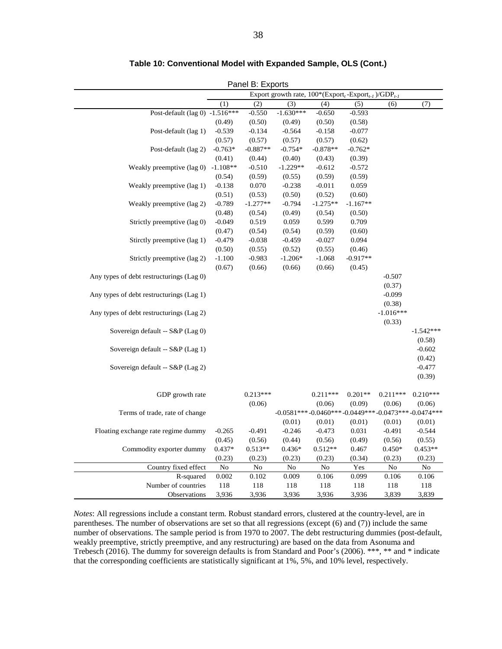|                                          |            | $\overline{a}$ and $\overline{b}$ . Lapons |                                                                                      |            |            |                                                      |             |
|------------------------------------------|------------|--------------------------------------------|--------------------------------------------------------------------------------------|------------|------------|------------------------------------------------------|-------------|
|                                          |            |                                            | Export growth rate, $100*(\text{Export}_{t} - \text{Export}_{t-1})/\text{GDP}_{t-1}$ |            |            |                                                      |             |
|                                          | (1)        | (2)                                        | (3)                                                                                  | (4)        | (5)        | (6)                                                  | (7)         |
| Post-default (lag 0) $-1.516***$         |            | $-0.550$                                   | $-1.630***$                                                                          | $-0.650$   | $-0.593$   |                                                      |             |
|                                          | (0.49)     | (0.50)                                     | (0.49)                                                                               | (0.50)     | (0.58)     |                                                      |             |
| Post-default (lag 1)                     | $-0.539$   | $-0.134$                                   | $-0.564$                                                                             | $-0.158$   | $-0.077$   |                                                      |             |
|                                          | (0.57)     | (0.57)                                     | (0.57)                                                                               | (0.57)     | (0.62)     |                                                      |             |
| Post-default (lag 2)                     | $-0.763*$  | $-0.887**$                                 | $-0.754*$                                                                            | $-0.878**$ | $-0.762*$  |                                                      |             |
|                                          | (0.41)     | (0.44)                                     | (0.40)                                                                               | (0.43)     | (0.39)     |                                                      |             |
| Weakly preemptive (lag 0)                | $-1.108**$ | $-0.510$                                   | $-1.229**$                                                                           | $-0.612$   | $-0.572$   |                                                      |             |
|                                          | (0.54)     | (0.59)                                     | (0.55)                                                                               | (0.59)     | (0.59)     |                                                      |             |
| Weakly preemptive (lag 1)                | $-0.138$   | 0.070                                      | $-0.238$                                                                             | $-0.011$   | 0.059      |                                                      |             |
|                                          | (0.51)     | (0.53)                                     | (0.50)                                                                               | (0.52)     | (0.60)     |                                                      |             |
| Weakly preemptive (lag 2)                | $-0.789$   | $-1.277**$                                 | $-0.794$                                                                             | $-1.275**$ | $-1.167**$ |                                                      |             |
|                                          | (0.48)     | (0.54)                                     | (0.49)                                                                               | (0.54)     | (0.50)     |                                                      |             |
| Strictly preemptive (lag 0)              | $-0.049$   | 0.519                                      | 0.059                                                                                | 0.599      | 0.709      |                                                      |             |
|                                          | (0.47)     | (0.54)                                     | (0.54)                                                                               | (0.59)     | (0.60)     |                                                      |             |
| Stirctly preemptive (lag 1)              | $-0.479$   | $-0.038$                                   | $-0.459$                                                                             | $-0.027$   | 0.094      |                                                      |             |
|                                          | (0.50)     | (0.55)                                     | (0.52)                                                                               | (0.55)     | (0.46)     |                                                      |             |
| Strictly preemptive (lag 2)              | $-1.100$   | $-0.983$                                   | $-1.206*$                                                                            | $-1.068$   | $-0.917**$ |                                                      |             |
|                                          | (0.67)     | (0.66)                                     | (0.66)                                                                               | (0.66)     | (0.45)     |                                                      |             |
| Any types of debt restructurings (Lag 0) |            |                                            |                                                                                      |            |            | $-0.507$                                             |             |
|                                          |            |                                            |                                                                                      |            |            | (0.37)                                               |             |
| Any types of debt restructurings (Lag 1) |            |                                            |                                                                                      |            |            | $-0.099$                                             |             |
|                                          |            |                                            |                                                                                      |            |            | (0.38)                                               |             |
| Any types of debt restructurings (Lag 2) |            |                                            |                                                                                      |            |            | $-1.016***$<br>(0.33)                                |             |
| Sovereign default -- S&P (Lag 0)         |            |                                            |                                                                                      |            |            |                                                      | $-1.542***$ |
|                                          |            |                                            |                                                                                      |            |            |                                                      | (0.58)      |
| Sovereign default -- S&P (Lag 1)         |            |                                            |                                                                                      |            |            |                                                      | $-0.602$    |
|                                          |            |                                            |                                                                                      |            |            |                                                      | (0.42)      |
| Sovereign default -- S&P (Lag 2)         |            |                                            |                                                                                      |            |            |                                                      | $-0.477$    |
|                                          |            |                                            |                                                                                      |            |            |                                                      | (0.39)      |
|                                          |            |                                            |                                                                                      |            |            |                                                      |             |
| GDP growth rate                          |            | $0.213***$                                 |                                                                                      | $0.211***$ | $0.201**$  | $0.211***$                                           | $0.210***$  |
|                                          |            | (0.06)                                     |                                                                                      | (0.06)     | (0.09)     | (0.06)                                               | (0.06)      |
| Terms of trade, rate of change           |            |                                            |                                                                                      |            |            | $-0.0581***-0.0460***-0.0449***-0.0473***-0.0474***$ |             |
|                                          |            |                                            | (0.01)                                                                               | (0.01)     | (0.01)     | (0.01)                                               | (0.01)      |
| Floating exchange rate regime dummy      | $-0.265$   | $-0.491$                                   | $-0.246$                                                                             | $-0.473$   | 0.031      | $-0.491$                                             | $-0.544$    |
|                                          | (0.45)     | (0.56)                                     | (0.44)                                                                               | (0.56)     | (0.49)     | (0.56)                                               | (0.55)      |
| Commodity exporter dummy                 | $0.437*$   | $0.513**$                                  | $0.436*$                                                                             | $0.512**$  | 0.467      | $0.450*$                                             | $0.453**$   |
|                                          | (0.23)     | (0.23)                                     | (0.23)                                                                               | (0.23)     | (0.34)     | (0.23)                                               | (0.23)      |
| Country fixed effect                     | No         | $\rm No$                                   | $\rm No$                                                                             | No         | Yes        | No                                                   | No          |
| R-squared                                | 0.002      | 0.102                                      | 0.009                                                                                | 0.106      | 0.099      | 0.106                                                | 0.106       |
| Number of countries                      | 118        | 118                                        | 118                                                                                  | 118        | 118        | 118                                                  | 118         |
| Observations                             | 3,936      | 3,936                                      | 3,936                                                                                | 3,936      | 3,936      | 3,839                                                | 3,839       |

#### **Table 10: Conventional Model with Expanded Sample, OLS (Cont.)**

Panel B: Exports

*Notes*: All regressions include a constant term. Robust standard errors, clustered at the country-level, are in parentheses. The number of observations are set so that all regressions (except (6) and (7)) include the same number of observations. The sample period is from 1970 to 2007. The debt restructuring dummies (post-default, weakly preemptive, strictly preemptive, and any restructuring) are based on the data from Asonuma and Trebesch (2016). The dummy for sovereign defaults is from Standard and Poor's (2006). \*\*\*, \*\* and \* indicate that the corresponding coefficients are statistically significant at 1%, 5%, and 10% level, respectively.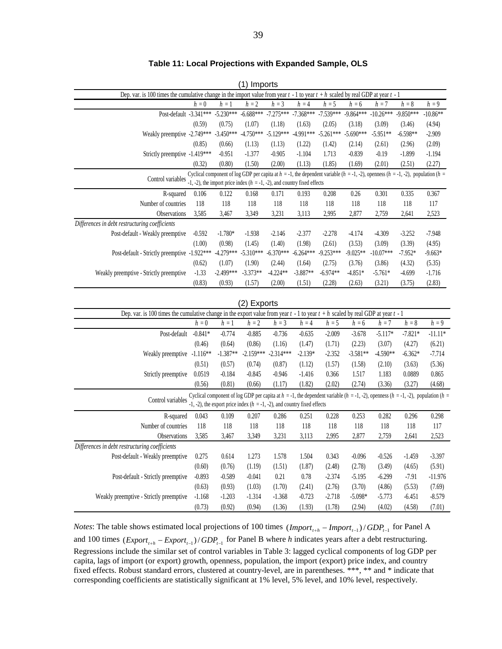| (1) Imports                                                                                                                           |           |             |                                                                                                                                                                                                                              |             |             |                         |             |             |             |                                                                                                                                                    |
|---------------------------------------------------------------------------------------------------------------------------------------|-----------|-------------|------------------------------------------------------------------------------------------------------------------------------------------------------------------------------------------------------------------------------|-------------|-------------|-------------------------|-------------|-------------|-------------|----------------------------------------------------------------------------------------------------------------------------------------------------|
| Dep. var. is 100 times the cumulative change in the import value from year $t - 1$ to year $t + h$ scaled by real GDP at year $t - 1$ |           |             |                                                                                                                                                                                                                              |             |             |                         |             |             |             |                                                                                                                                                    |
|                                                                                                                                       | $h=0$     | $h\,=1$     | $h = 2$                                                                                                                                                                                                                      | $h = 3$     | $h = 4$     | $h = 5$                 | $h = 6$     | $h = 7$     | $h = 8$     | $h = 9$                                                                                                                                            |
| Post-default -3.341***                                                                                                                |           | $-5.230***$ | $-6.688***$                                                                                                                                                                                                                  | $-7.275***$ | $-7.368***$ | $-7.539***$             | $-9.864***$ | $-10.26***$ | $-9.850***$ | $-10.86**$                                                                                                                                         |
|                                                                                                                                       | (0.59)    | (0.75)      | (1.07)                                                                                                                                                                                                                       | (1.18)      | (1.63)      | (2.05)                  | (3.18)      | (3.09)      | (3.46)      | (4.94)                                                                                                                                             |
| Weakly preemptive -2.749***                                                                                                           |           | $-3.450***$ | $-4.750***$                                                                                                                                                                                                                  | $-5.129***$ | $-4.991***$ | $-5.261***$ $-5.690***$ |             | $-5.951**$  | $-6.598**$  | $-2.909$                                                                                                                                           |
|                                                                                                                                       | (0.85)    | (0.66)      | (1.13)                                                                                                                                                                                                                       | (1.13)      | (1.22)      | (1.42)                  | (2.14)      | (2.61)      | (2.96)      | (2.09)                                                                                                                                             |
| Strictly preemptive -1.419***                                                                                                         |           | $-0.951$    | $-1.377$                                                                                                                                                                                                                     | $-0.905$    | $-1.104$    | 1.713                   | $-0.839$    | $-0.19$     | $-1.899$    | $-1.194$                                                                                                                                           |
|                                                                                                                                       | (0.32)    | (0.80)      | (1.50)                                                                                                                                                                                                                       | (2.00)      | (1.13)      | (1.85)                  | (1.69)      | (2.01)      | (2.51)      | (2.27)                                                                                                                                             |
| Control variables                                                                                                                     |           |             | Cyclical component of log GDP per capita at $h = -1$ , the dependent variable ( $h = -1, -2$ ), openness ( $h = -1, -2$ ), population ( $h =$<br>-1, -2), the import price index ( $h = -1, -2$ ), and country fixed effects |             |             |                         |             |             |             |                                                                                                                                                    |
| R-squared                                                                                                                             | 0.106     | 0.122       | 0.168                                                                                                                                                                                                                        | 0.171       | 0.193       | 0.208                   | 0.26        | 0.301       | 0.335       | 0.367                                                                                                                                              |
| Number of countries                                                                                                                   | 118       | 118         | 118                                                                                                                                                                                                                          | 118         | 118         | 118                     | 118         | 118         | 118         | 117                                                                                                                                                |
| Observations                                                                                                                          | 3,585     | 3,467       | 3,349                                                                                                                                                                                                                        | 3,231       | 3,113       | 2,995                   | 2,877       | 2,759       | 2,641       | 2,523                                                                                                                                              |
| Differences in debt restructuring coefficients                                                                                        |           |             |                                                                                                                                                                                                                              |             |             |                         |             |             |             |                                                                                                                                                    |
| Post-default - Weakly preemptive                                                                                                      | $-0.592$  | $-1.780*$   | $-1.938$                                                                                                                                                                                                                     | $-2.146$    | $-2.377$    | $-2.278$                | $-4.174$    | $-4.309$    | $-3.252$    | $-7.948$                                                                                                                                           |
|                                                                                                                                       | (1.00)    | (0.98)      | (1.45)                                                                                                                                                                                                                       | (1.40)      | (1.98)      | (2.61)                  | (3.53)      | (3.09)      | (3.39)      | (4.95)                                                                                                                                             |
| Post-default - Strictly preemptive -1.922 ***                                                                                         |           | $-4.279***$ | $-5.310***$                                                                                                                                                                                                                  | $-6.370***$ | $-6.264***$ | $-9.253***$             | $-9.025**$  | $-10.07***$ | $-7.952*$   | $-9.663*$                                                                                                                                          |
|                                                                                                                                       | (0.62)    | (1.07)      | (1.90)                                                                                                                                                                                                                       | (2.44)      | (1.64)      | (2.75)                  | (3.76)      | (3.86)      | (4.32)      | (5.35)                                                                                                                                             |
| Weakly preemptive - Strictly preemptive                                                                                               | $-1.33$   | $-2.499***$ | $-3.373**$                                                                                                                                                                                                                   | $-4.224**$  | $-3.887**$  | $-6.974**$              | $-4.851*$   | $-5.761*$   | $-4.699$    | $-1.716$                                                                                                                                           |
|                                                                                                                                       | (0.83)    | (0.93)      | (1.57)                                                                                                                                                                                                                       | (2.00)      | (1.51)      | (2.28)                  | (2.63)      | (3.21)      | (3.75)      | (2.83)                                                                                                                                             |
|                                                                                                                                       |           |             |                                                                                                                                                                                                                              |             |             |                         |             |             |             |                                                                                                                                                    |
|                                                                                                                                       |           |             | (2) Exports                                                                                                                                                                                                                  |             |             |                         |             |             |             |                                                                                                                                                    |
| Dep. var. is 100 times the cumulative change in the export value from year $t - 1$ to year $t + h$ scaled by real GDP at year $t - 1$ |           |             |                                                                                                                                                                                                                              |             |             |                         |             |             |             |                                                                                                                                                    |
|                                                                                                                                       | $h=0$     | $h=1$       | $h = 2$                                                                                                                                                                                                                      | $h = 3$     | $h = 4$     | $h=5\,$                 | $h=6$       | $h\,=7$     | $h=8$       | $h=9$                                                                                                                                              |
| Post-default                                                                                                                          | $-0.841*$ | $-0.774$    | $-0.885$                                                                                                                                                                                                                     | $-0.736$    | $-0.635$    | $-2.009$                | $-3.678$    | $-5.117*$   | $-7.821*$   | $-11.11*$                                                                                                                                          |
|                                                                                                                                       | (0.46)    | (0.64)      | (0.86)                                                                                                                                                                                                                       | (1.16)      | (1.47)      | (1.71)                  | (2.23)      | (3.07)      | (4.27)      | (6.21)                                                                                                                                             |
| Weakly preemptive -1.116**                                                                                                            |           | $-1.387**$  | $-2.159***$                                                                                                                                                                                                                  | $-2.314***$ | $-2.139*$   | $-2.352$                | $-3.581**$  | $-4.590**$  | $-6.362*$   | $-7.714$                                                                                                                                           |
|                                                                                                                                       | (0.51)    | (0.57)      | (0.74)                                                                                                                                                                                                                       | (0.87)      | (1.12)      | (1.57)                  | (1.58)      | (2.10)      | (3.63)      | (5.36)                                                                                                                                             |
| Strictly preemptive                                                                                                                   | 0.0519    | $-0.184$    | $-0.845$                                                                                                                                                                                                                     | $-0.946$    | $-1.416$    | 0.366                   | 1.517       | 1.183       | 0.0889      | 0.865                                                                                                                                              |
|                                                                                                                                       | (0.56)    | (0.81)      | (0.66)                                                                                                                                                                                                                       | (1.17)      | (1.82)      | (2.02)                  | (2.74)      | (3.36)      | (3.27)      | (4.68)                                                                                                                                             |
|                                                                                                                                       |           |             |                                                                                                                                                                                                                              |             |             |                         |             |             |             | Cyclical component of log GDP per capita at $h = -1$ , the dependent variable $(h = -1, -2)$ , openness $(h = -1, -2)$ , population $(h = -1, -2)$ |
| Control variables                                                                                                                     |           |             | -1, -2), the export price index $(h = -1, -2)$ , and country fixed effects                                                                                                                                                   |             |             |                         |             |             |             |                                                                                                                                                    |
| R-squared                                                                                                                             | 0.043     | 0.109       | 0.207                                                                                                                                                                                                                        | 0.286       | 0.251       | 0.228                   | 0.253       | 0.282       | 0.296       | 0.298                                                                                                                                              |
| Number of countries                                                                                                                   | 118       | 118         | 118                                                                                                                                                                                                                          | 118         | 118         | 118                     | 118         | 118         | 118         | 117                                                                                                                                                |
| Observations                                                                                                                          | 3,585     | 3,467       | 3,349                                                                                                                                                                                                                        | 3,231       | 3,113       | 2,995                   | 2,877       | 2,759       | 2,641       | 2,523                                                                                                                                              |
| Differences in debt restructuring coefficients                                                                                        |           |             |                                                                                                                                                                                                                              |             |             |                         |             |             |             |                                                                                                                                                    |
| Post-default - Weakly preemptive                                                                                                      | 0.275     | 0.614       | 1.273                                                                                                                                                                                                                        | 1.578       | 1.504       | 0.343                   | $-0.096$    | $-0.526$    | $-1.459$    | $-3.397$                                                                                                                                           |
|                                                                                                                                       | (0.60)    | (0.76)      | (1.19)                                                                                                                                                                                                                       | (1.51)      | (1.87)      | (2.48)                  | (2.78)      | (3.49)      | (4.65)      | (5.91)                                                                                                                                             |
| Post-default - Strictly preemptive                                                                                                    | $-0.893$  | $-0.589$    | $-0.041$                                                                                                                                                                                                                     | 0.21        | 0.78        | $-2.374$                | $-5.195$    | $-6.299$    | $-7.91$     | $-11.976$                                                                                                                                          |
|                                                                                                                                       | (0.63)    | (0.93)      | (1.03)                                                                                                                                                                                                                       | (1.70)      | (2.41)      | (2.76)                  | (3.70)      | (4.86)      | (5.53)      | (7.69)                                                                                                                                             |
| Weakly preemptive - Strictly preemptive                                                                                               | $-1.168$  | $-1.203$    | $-1.314$                                                                                                                                                                                                                     | $-1.368$    | $-0.723$    | $-2.718$                | $-5.098*$   | $-5.773$    | $-6.451$    | $-8.579$                                                                                                                                           |
|                                                                                                                                       | (0.73)    | (0.92)      | (0.94)                                                                                                                                                                                                                       | (1.36)      | (1.93)      | (1.78)                  | (2.94)      | (4.02)      | (4.58)      | (7.01)                                                                                                                                             |

**Table 11: Local Projections with Expanded Sample, OLS**

*Notes*: The table shows estimated local projections of 100 times  $(Import_{t+h} - Import_{t-1})/ GDP_{t-1}$  for Panel A and 100 times  $(\text{Expert}_{t+h} - \text{Expert}_{t-1}) / GDP_{t-1}$  for Panel B where *h* indicates years after a debt restructuring. Regressions include the similar set of control variables in Table 3: lagged cyclical components of log GDP per capita, lags of import (or export) growth, openness, population, the import (export) price index, and country fixed effects. Robust standard errors, clustered at country-level, are in parentheses. \*\*\*, \*\* and \* indicate that corresponding coefficients are statistically significant at 1% level, 5% level, and 10% level, respectively.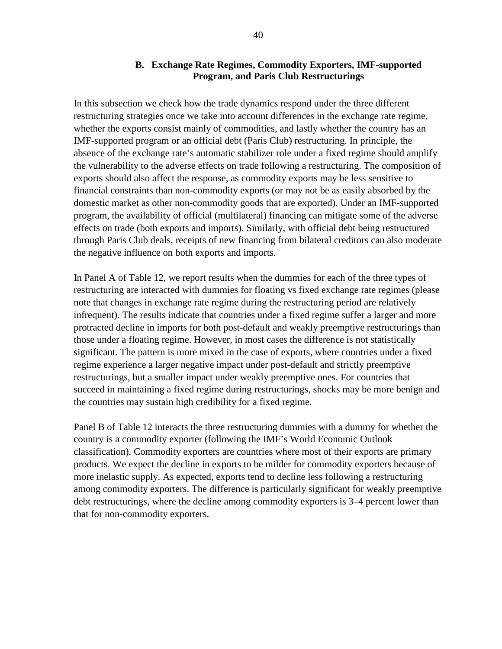#### **B. Exchange Rate Regimes, Commodity Exporters, IMF-supported Program, and Paris Club Restructurings**

In this subsection we check how the trade dynamics respond under the three different restructuring strategies once we take into account differences in the exchange rate regime, whether the exports consist mainly of commodities, and lastly whether the country has an IMF-supported program or an official debt (Paris Club) restructuring. In principle, the absence of the exchange rate's automatic stabilizer role under a fixed regime should amplify the vulnerability to the adverse effects on trade following a restructuring. The composition of exports should also affect the response, as commodity exports may be less sensitive to financial constraints than non-commodity exports (or may not be as easily absorbed by the domestic market as other non-commodity goods that are exported). Under an IMF-supported program, the availability of official (multilateral) financing can mitigate some of the adverse effects on trade (both exports and imports). Similarly, with official debt being restructured through Paris Club deals, receipts of new financing from bilateral creditors can also moderate the negative influence on both exports and imports.

In Panel A of Table 12, we report results when the dummies for each of the three types of restructuring are interacted with dummies for floating vs fixed exchange rate regimes (please note that changes in exchange rate regime during the restructuring period are relatively infrequent). The results indicate that countries under a fixed regime suffer a larger and more protracted decline in imports for both post-default and weakly preemptive restructurings than those under a floating regime. However, in most cases the difference is not statistically significant. The pattern is more mixed in the case of exports, where countries under a fixed regime experience a larger negative impact under post-default and strictly preemptive restructurings, but a smaller impact under weakly preemptive ones. For countries that succeed in maintaining a fixed regime during restructurings, shocks may be more benign and the countries may sustain high credibility for a fixed regime.

Panel B of Table 12 interacts the three restructuring dummies with a dummy for whether the country is a commodity exporter (following the IMF's World Economic Outlook classification). Commodity exporters are countries where most of their exports are primary products. We expect the decline in exports to be milder for commodity exporters because of more inelastic supply. As expected, exports tend to decline less following a restructuring among commodity exporters. The difference is particularly significant for weakly preemptive debt restructurings, where the decline among commodity exporters is 3–4 percent lower than that for non-commodity exporters.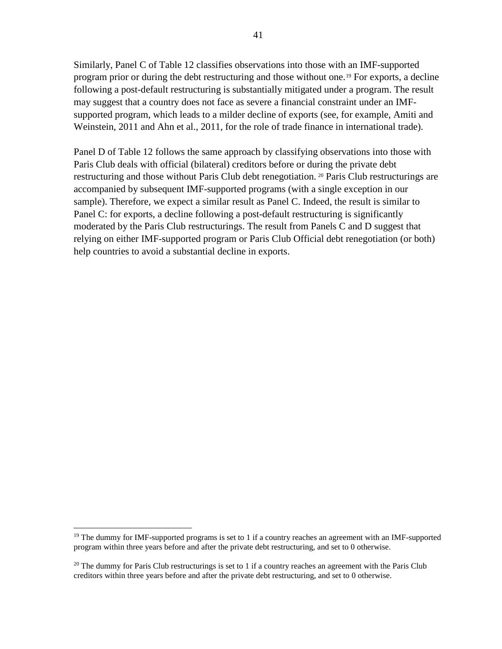Similarly, Panel C of Table 12 classifies observations into those with an IMF-supported program prior or during the debt restructuring and those without one.[19](#page-41-0) For exports, a decline following a post-default restructuring is substantially mitigated under a program. The result may suggest that a country does not face as severe a financial constraint under an IMFsupported program, which leads to a milder decline of exports (see, for example, Amiti and Weinstein, 2011 and Ahn et al., 2011, for the role of trade finance in international trade).

Panel D of Table 12 follows the same approach by classifying observations into those with Paris Club deals with official (bilateral) creditors before or during the private debt restructuring and those without Paris Club debt renegotiation.<sup>[20](#page-41-1)</sup> Paris Club restructurings are accompanied by subsequent IMF-supported programs (with a single exception in our sample). Therefore, we expect a similar result as Panel C. Indeed, the result is similar to Panel C: for exports, a decline following a post-default restructuring is significantly moderated by the Paris Club restructurings. The result from Panels C and D suggest that relying on either IMF-supported program or Paris Club Official debt renegotiation (or both) help countries to avoid a substantial decline in exports.

<span id="page-41-0"></span> $19$  The dummy for IMF-supported programs is set to 1 if a country reaches an agreement with an IMF-supported program within three years before and after the private debt restructuring, and set to 0 otherwise.

<span id="page-41-1"></span><sup>&</sup>lt;sup>20</sup> The dummy for Paris Club restructurings is set to 1 if a country reaches an agreement with the Paris Club creditors within three years before and after the private debt restructuring, and set to 0 otherwise.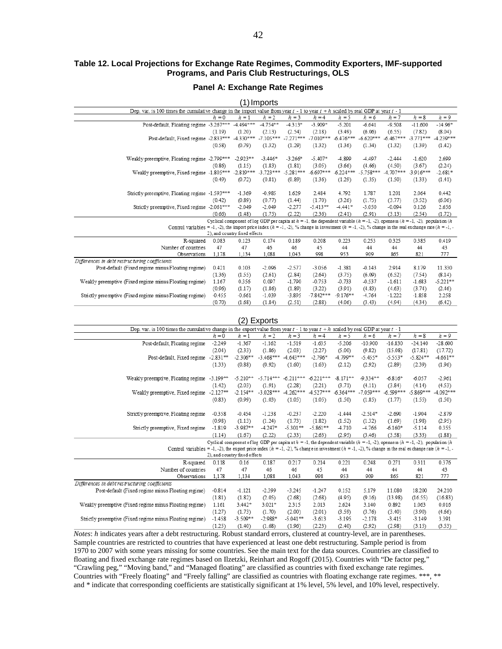#### **Table 12. Local Projections for Exchange Rate Regimes, Commodity Exporters, IMF-supported Programs, and Paris Club Restructurings, OLS**

#### **Panel A: Exchange Rate Regimes**

|                                                                                                                                                                |             | $\left( \begin{matrix} 1 \end{matrix} \right)$ | Imports     |             |                                                                                                                                          |             |             |             |             |             |
|----------------------------------------------------------------------------------------------------------------------------------------------------------------|-------------|------------------------------------------------|-------------|-------------|------------------------------------------------------------------------------------------------------------------------------------------|-------------|-------------|-------------|-------------|-------------|
| Dep. var. is 100 times the cumulative change in the import value from year $t - 1$ to year $t + h$ scaled by real GDP at year $t - 1$                          |             |                                                |             |             |                                                                                                                                          |             |             |             |             |             |
|                                                                                                                                                                | $h = 0$     | $h=1$                                          | $h = 2$     | $h = 3$     | $h = 4$                                                                                                                                  | $h = 5$     | $h = 6$     | $h = 7$     | $h = 8$     | $h = 9$     |
| Post-default, Floating regime -3.267***                                                                                                                        |             | $-4.494***$                                    | $-4.754**$  | $-4.313*$   | $-3.909*$                                                                                                                                | $-5.201$    | $-6.641$    | $-9.508$    | $-11.600$   | $-14.96*$   |
|                                                                                                                                                                | (1.19)      | (1.20)                                         | (2.13)      | (2.54)      | (2.18)                                                                                                                                   | (3.49)      | (6.06)      | (6.55)      | (7.82)      | (8.04)      |
| Post-default. Fixed regime -2.833***                                                                                                                           |             | $-4.330***$                                    | $-7.105***$ | $-7.271***$ | $-7.010***$                                                                                                                              | $-6.476***$ | $-6.620***$ | $-6.467***$ | $-3.771***$ | $-4.239***$ |
|                                                                                                                                                                | (0.58)      | (0.79)                                         | (1.32)      | (1.29)      | (1.32)                                                                                                                                   | (1.36)      | (1.34)      | (1.32)      | (1.39)      | (1.42)      |
| Weakly preemptive, Floating regime                                                                                                                             | $-2.799***$ | $-2.923**$                                     | $-3.446*$   | $-3.266*$   | $-5.407*$                                                                                                                                | -4.899      | -4.497      | $-2.444$    | $-1.620$    | 2.699       |
|                                                                                                                                                                | (0.86)      | (1.15)                                         | (1.83)      | (1.81)      | (3.05)                                                                                                                                   | (3.66)      | (4.66)      | (4.50)      | (3.67)      | (2.24)      |
| Weakly preemptive, Fixed regime -1.805***                                                                                                                      |             | $-2.819***$                                    | $-3.723***$ | $-5.281***$ | $-6.697***$                                                                                                                              | $-6.224***$ | $-5.758***$ | $4.707***$  | $-3.916***$ | $-2.681*$   |
|                                                                                                                                                                | (0.49)      | (0.72)                                         | (0.81)      | (0.89)      | (1.36)                                                                                                                                   | (1.29)      | (1.35)      | (1.50)      | (1.33)      | (1.41)      |
|                                                                                                                                                                |             |                                                |             |             |                                                                                                                                          |             |             |             |             |             |
| Strictly preemptive, Floating regime -1.593***                                                                                                                 |             | $-1.369$                                       | $-0.985$    | 1.629       | 2.484                                                                                                                                    | 4.792       | 1.787       | 1.201       | 2.064       | 0.442       |
|                                                                                                                                                                | (0.42)      | (0.89)                                         | (0.77)      | (1.44)      | (1.70)                                                                                                                                   | (3.26)      | (1.75)      | (3.77)      | (3.52)      | (6.06)      |
| Strictly preemptive, Fixed regime                                                                                                                              | $-2.061***$ | $-2.049$                                       | $-2.049$    | $-2.277$    | $-5.413**$                                                                                                                               | $-4.441*$   | $-3.050$    | $-0.094$    | 0.126       | 2.656       |
|                                                                                                                                                                | (0.66)      | (1.48)                                         | (1.75)      | (2.22)      | (2.36)                                                                                                                                   | (2.41)      | (2.91)      | (3.13)      | (2.54)      | (1.72)      |
|                                                                                                                                                                |             |                                                |             |             | Cyclical component of log GDP per capita at $h = -1$ , the dependent variable $(h = -1, -2)$ , openness $(h = -1, -2)$ , population $(h$ |             |             |             |             |             |
| Control variables = -1, -2), the import price index $(h = -1, -2)$ , % change in investment $(h = -1, -2)$ , % change in the real exchange rate $(h = -1, -2)$ |             |                                                |             |             |                                                                                                                                          |             |             |             |             |             |
|                                                                                                                                                                |             | 2), and country fixed effects                  |             |             |                                                                                                                                          |             |             |             |             |             |
| R-squared                                                                                                                                                      | 0.083       | 0.123                                          | 0.174       | 0.189       | 0.208                                                                                                                                    | 0.223       | 0.253       | 0.325       | 0.385       | 0.419       |
| Number of countries                                                                                                                                            | 47          | 47                                             | 46          | 46          | 45                                                                                                                                       | 44          | 44          | 44          | 44          | 43          |
| Observations                                                                                                                                                   | 1.178       | 1.134                                          | 1.088       | 1.043       | 998                                                                                                                                      | 953         | 909         | 865         | 821         | 777         |
| Differences in debt restructuring coefficients                                                                                                                 |             |                                                |             |             |                                                                                                                                          |             |             |             |             |             |
| Post-default (Fixed regime minus Floating regime)                                                                                                              | 0.421       | 0.103                                          | $-2.096$    | $-2.577$    | $-3.056$                                                                                                                                 | $-1.381$    | $-0.143$    | 2.914       | 8.179       | 11.330      |
|                                                                                                                                                                | (1.36)      | (1.55)                                         | (2.61)      | (2.84)      | (2.64)                                                                                                                                   | (3.75)      | (6.09)      | (6.52)      | (7.54)      | (8.14)      |
| Weakly preemptive (Fixed regime minus Floating regime)                                                                                                         | 1.167       | 0.356                                          | 0.097       | $-1.790$    | $-0.753$                                                                                                                                 | $-0.733$    | $-0.537$    | $-1.611$    | $-1.683$    | $-5.221**$  |
|                                                                                                                                                                | (0.96)      | (1.17)                                         | (1.86)      | (1.89)      | (3.22)                                                                                                                                   | (3.91)      | (4.83)      | (4.63)      | (3.74)      | (2.46)      |
| Strictly preemptive (Fixed regime minus Floating regime)                                                                                                       | $-0.455$    | $-0.661$                                       | $-1.039$    | $-3.895$    | $-7.842***$                                                                                                                              | $-9.176**$  | -4.764      | $-1.222$    | $-1.858$    | 2.258       |
|                                                                                                                                                                | (0.70)      | (1.68)                                         | (1.84)      | (2.51)      | (2.88)                                                                                                                                   | (4.06)      | (3.43)      | (4.94)      | (4.34)      | (6.42)      |

| (2) Exports                                                                                                                                                    |            |                               |             |                                                                                                                                          |             |             |             |             |             |             |
|----------------------------------------------------------------------------------------------------------------------------------------------------------------|------------|-------------------------------|-------------|------------------------------------------------------------------------------------------------------------------------------------------|-------------|-------------|-------------|-------------|-------------|-------------|
| Dep. var. is 100 times the cumulative change in the export value from year $t - 1$ to year $t + h$ scaled by real GDP at year $t - 1$                          |            |                               |             |                                                                                                                                          |             |             |             |             |             |             |
|                                                                                                                                                                | $h = 0$    | $h = 1$                       | $h = 2$     | $h = 3$                                                                                                                                  | $h = 4$     | $h = 5$     | $h = 6$     | $h = 7$     | $h = 8$     | $h = 9$     |
| Post-default. Floating regime                                                                                                                                  | $-2.249$   | $-1.367$                      | $-1.162$    | $-1.519$                                                                                                                                 | $-1.635$    | $-5.206$    | $-10.900$   | $-16.830$   | $-24.140$   | $-28.600$   |
|                                                                                                                                                                | (2.04)     | (2.33)                        | (1.86)      | (2.03)                                                                                                                                   | (2.27)      | (5.00)      | (9.82)      | (15.08)     | (17.81)     | (17.72)     |
| Post-default, Fixed regime                                                                                                                                     | $-2.831**$ | $-2.306**$                    | $-3.468***$ | $-4.643***$                                                                                                                              | $-2.796*$   | $4.799**$   | $-5.455*$   | $-5.553*$   | $-5.824**$  | $-4.661**$  |
|                                                                                                                                                                | (1.33)     | (0.88)                        | (0.92)      | (1.60)                                                                                                                                   | (1.63)      | (2.12)      | (2.92)      | (2.89)      | (2.39)      | (1.96)      |
| Weakly preemptive, Floating regime                                                                                                                             | $-3.199**$ | $-5.210**$                    | $-5.714***$ | $-6.211***$                                                                                                                              | $-6.221***$ | $-8.171**$  | $-9.334**$  | $-6.816*$   | $-6.057$    | $-2.961$    |
|                                                                                                                                                                | (1.42)     | (2.03)                        | (1.91)      | (2.28)                                                                                                                                   | (2.21)      | (3.71)      | (4.11)      | (3.84)      | (4.14)      | (4.53)      |
| Weakly preemptive, Fixed regime                                                                                                                                | $-2.127**$ | $-2.154**$                    | $-3.028***$ | $-4.262***$                                                                                                                              | $-4.527***$ | $-6.364***$ | $-7.059***$ | $-6.599***$ | $-5.869***$ | $-4.092***$ |
|                                                                                                                                                                | (0.83)     | (0.99)                        | (1.03)      | (1.05)                                                                                                                                   | (1.05)      | (1.50)      | (1.85)      | (1.77)      | (1.55)      | (1.50)      |
| Strictly preemptive, Floating regime                                                                                                                           | $-0.358$   | $-0.454$                      | $-1.238$    | $-0.237$                                                                                                                                 | $-2.220$    | $-1.444$    | $-2.514*$   | $-2.690$    | $-1.904$    | $-2.879$    |
|                                                                                                                                                                | (0.98)     | (1.13)                        | (1.24)      | (1.73)                                                                                                                                   | (1.82)      | (1.52)      | (1.32)      | (1.69)      | (1.98)      | (2.95)      |
| Strictly preemptive, Fixed regime                                                                                                                              | $-1.819$   | $-3.987**$                    | $-4.247*$   | $-5.301**$                                                                                                                               | $-5.861**$  | -4.710      | $-4.766$    | $-6.160*$   | $-5.114$    | 0.355       |
|                                                                                                                                                                | (1.14)     | (1.67)                        | (2.22)      | (2.33)                                                                                                                                   | (2.63)      | (2.95)      | (3.46)      | (3.58)      | (3.33)      | (1.88)      |
|                                                                                                                                                                |            |                               |             | Cyclical component of log GDP per capita at $h = -1$ , the dependent variable $(h = -1, -2)$ , openness $(h = -1, -2)$ , population $(h$ |             |             |             |             |             |             |
| Control variables = -1, -2), the export price index $(h = -1, -2)$ , % change in investment $(h = -1, -2)$ , % change in the real exchange rate $(h = -1, -2)$ |            |                               |             |                                                                                                                                          |             |             |             |             |             |             |
|                                                                                                                                                                |            | 2), and country fixed effects |             |                                                                                                                                          |             |             |             |             |             |             |
| R-squared                                                                                                                                                      | 0.118      | 0.16                          | 0.187       | 0.217                                                                                                                                    | 0.214       | 0.221       | 0.248       | 0.271       | 0.311       | 0.376       |
| Number of countries                                                                                                                                            | 47         | 47                            | 46          | 46                                                                                                                                       | 45          | 44          | 44          | 44          | 44          | 43          |
| Observations                                                                                                                                                   | 1.178      | 1,134                         | 1,088       | 1,043                                                                                                                                    | 998         | 953         | 909         | 865         | 821         | 777         |
| Differences in debt restructuring coefficients                                                                                                                 |            |                               |             |                                                                                                                                          |             |             |             |             |             |             |
| Post-default (Fixed regime minus Floating regime)                                                                                                              | $-0.814$   | $-1.121$                      | $-2.399$    | $-3.245$                                                                                                                                 | $-1.247$    | 0.152       | 5.179       | 11.080      | 18.200      | 24.210      |
|                                                                                                                                                                | (1.81)     | (1.82)                        | (2.05)      | (2.68)                                                                                                                                   | (2.68)      | (4.95)      | (9.16)      | (13.98)     | (16.55)     | (16.83)     |
| Weakly preemptive (Fixed regime minus Floating regime)                                                                                                         | 1.161      | 3.442*                        | $3.021*$    | 2.315                                                                                                                                    | 2.013       | 2.624       | 3.140       | 0.892       | 1.063       | 0.016       |
|                                                                                                                                                                | (1.27)     | (1.73)                        | (1.70)      | (2.00)                                                                                                                                   | (2.01)      | (3.59)      | (3.76)      | (3.40)      | (3.90)      | (4.66)      |
| Strictly preemptive (Fixed regime minus Floating regime)                                                                                                       | $-1.458$   | $-3.509**$                    | $-2.988*$   | $-5.041**$                                                                                                                               | $-3.613$    | $-3.195$    | $-2.178$    | $-3.415$    | $-3.149$    | 3.391       |
|                                                                                                                                                                | (1.25)     | (1.40)                        | (1.68)      | (1.96)                                                                                                                                   | (2.23)      | (2.40)      | (2.92)      | (2.98)      | (3.15)      | (3.53)      |

*Notes*: *h* indicates years after a debt restructuring. Robust standard errors, clustered at country-level, are in parentheses. Sample countries are restricted to countries that have experienced at least one debt restructuring. Sample period is from 1970 to 2007 with some years missing for some countries. See the main text for the data sources. Countries are classified to floating and fixed exchange rate regimes based on Ilzetzki, Reinhart and Rogoff (2015). Countries with "De factor peg," "Crawling peg," "Moving band," and "Managed floating" are classified as countries with fixed exchange rate regimes. Countries with "Freely floating" and "Freely falling" are classified as countries with floating exchange rate regimes. \*\*\*, \*\* and \* indicate that corresponding coefficients are statistically significant at 1% level, 5% level, and 10% level, respectively.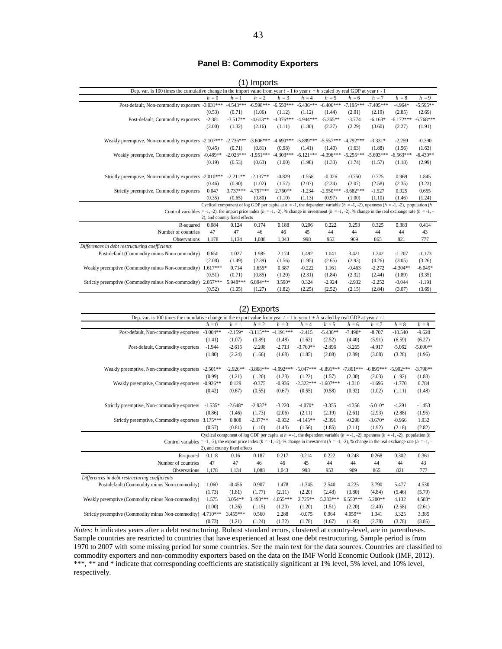#### **Panel B: Commodity Exporters**

|                                                                                                                                                                |            |                               | (1) Imports |             |             |             |             |             |                                                                                                                                          |             |
|----------------------------------------------------------------------------------------------------------------------------------------------------------------|------------|-------------------------------|-------------|-------------|-------------|-------------|-------------|-------------|------------------------------------------------------------------------------------------------------------------------------------------|-------------|
| Dep. var. is 100 times the cumulative change in the import value from year $t - 1$ to year $t + h$ scaled by real GDP at year $t - 1$                          |            |                               |             |             |             |             |             |             |                                                                                                                                          |             |
|                                                                                                                                                                | $h=0$      | $h = 1$                       | $h = 2$     | $h = 3$     | $h = 4$     | $h = 5$     | $h = 6$     | $h = 7$     | $h=8$                                                                                                                                    | $h = 9$     |
| Post-default, Non-commodity exporters -3.031***                                                                                                                |            | $-4.543***$                   | $-6.598***$ | $-6.550***$ | $-6.436***$ | $-6.406***$ | $-7.195***$ | $-7.405***$ | $-4.964*$                                                                                                                                | $-5.595**$  |
|                                                                                                                                                                | (0.53)     | (0.71)                        | (1.06)      | (1.12)      | (1.12)      | (1.44)      | (2.01)      | (2.19)      | (2.85)                                                                                                                                   | (2.69)      |
| Post-default, Commodity exporters                                                                                                                              | $-2.381$   | $-3.517**$                    | $-4.613**$  | $-4.376***$ | $-4.944***$ | $-5.365**$  | $-3.774$    | $-6.163*$   | $-6.172***$                                                                                                                              | $-6.768***$ |
|                                                                                                                                                                | (2.00)     | (1.32)                        | (2.16)      | (1.11)      | (1.80)      | (2.27)      | (2.29)      | (3.60)      | (2.27)                                                                                                                                   | (1.91)      |
| Weakly preemptive, Non-commodity exporters -2.107***                                                                                                           |            | $-2.736***$                   | $-3.606***$ | $-4.690***$ | $-5.899***$ | $-5.557***$ | $-4.792***$ | $-3.331*$   | $-2.259$                                                                                                                                 | $-0.390$    |
|                                                                                                                                                                | (0.45)     | (0.71)                        | (0.81)      | (0.98)      | (1.41)      | (1.40)      | (1.63)      | (1.88)      | (1.56)                                                                                                                                   | (1.63)      |
| Weakly preemptive, Commodity exporters                                                                                                                         | $-0.489**$ | $-2.023***$                   | $-1.951***$ | $-4.303***$ | $-6.121***$ | $-4.396***$ | $-5.255***$ | $-5.603***$ | $-6.563***$                                                                                                                              | $-6.439**$  |
|                                                                                                                                                                | (0.19)     | (0.53)                        | (0.63)      | (1.00)      | (1.98)      | (1.33)      | (1.74)      | (1.57)      | (1.18)                                                                                                                                   | (2.99)      |
| Strictly preemptive, Non-commodity exporters -2.010***                                                                                                         |            | $-2.211**$                    | $-2.137**$  | $-0.829$    | $-1.558$    | $-0.026$    | $-0.750$    | 0.725       | 0.969                                                                                                                                    | 1.845       |
|                                                                                                                                                                | (0.46)     | (0.90)                        | (1.02)      | (1.57)      | (2.07)      | (2.34)      | (2.07)      | (2.58)      | (2.35)                                                                                                                                   | (3.23)      |
| Strictly preemptive, Commodity exporters                                                                                                                       | 0.047      | 3.737***                      | $4.757***$  | $2.760**$   | $-1.234$    | $-2.950***$ | $-3.682***$ | $-1.527$    | 0.925                                                                                                                                    | 0.655       |
|                                                                                                                                                                | (0.35)     | (0.65)                        | (0.80)      | (1.10)      | (1.13)      | (0.97)      | (1.00)      | (1.10)      | (1.46)                                                                                                                                   | (1.24)      |
|                                                                                                                                                                |            |                               |             |             |             |             |             |             | Cyclical component of log GDP per capita at $h = -1$ , the dependent variable $(h = -1, -2)$ , openness $(h = -1, -2)$ , population $(h$ |             |
| Control variables = -1, -2), the import price index $(h = -1, -2)$ , % change in investment $(h = -1, -2)$ , % change in the real exchange rate $(h = -1, -2)$ |            |                               |             |             |             |             |             |             |                                                                                                                                          |             |
|                                                                                                                                                                |            | 2), and country fixed effects |             |             |             |             |             |             |                                                                                                                                          |             |
| R-squared                                                                                                                                                      | 0.084      | 0.124                         | 0.174       | 0.188       | 0.206       | 0.222       | 0.253       | 0.325       | 0.383                                                                                                                                    | 0.414       |
| Number of countries                                                                                                                                            | 47         | 47                            | 46          | 46          | 45          | 44          | 44          | 44          | 44                                                                                                                                       | 43          |
| Observations                                                                                                                                                   | 1,178      | 1,134                         | 1,088       | 1,043       | 998         | 953         | 909         | 865         | 821                                                                                                                                      | 777         |
| Differences in debt restructuring coefficients                                                                                                                 |            |                               |             |             |             |             |             |             |                                                                                                                                          |             |
| Post-default (Commodity minus Non-commodity)                                                                                                                   | 0.650      | 1.027                         | 1.985       | 2.174       | 1.492       | 1.041       | 3.421       | 1.242       | $-1.207$                                                                                                                                 | $-1.173$    |
|                                                                                                                                                                | (2.08)     | (1.49)                        | (2.39)      | (1.56)      | (1.95)      | (2.65)      | (2.93)      | (4.26)      | (3.05)                                                                                                                                   | (3.26)      |
| Weakly preemptive (Commodity minus Non-commodity)                                                                                                              | $1.617***$ | 0.714                         | $1.655*$    | 0.387       | $-0.222$    | 1.161       | $-0.463$    | $-2.272$    | $-4.304**$                                                                                                                               | $-6.049*$   |
|                                                                                                                                                                | (0.51)     | (0.71)                        | (0.85)      | (1.20)      | (2.31)      | (1.84)      | (2.32)      | (2.44)      | (1.89)                                                                                                                                   | (3.35)      |
| Strictly preemptive (Commodity minus Non-commodity) 2.057***                                                                                                   |            | 5.948***                      | $6.894***$  | $3.590*$    | 0.324       | $-2.924$    | $-2.932$    | $-2.252$    | $-0.044$                                                                                                                                 | $-1.191$    |
|                                                                                                                                                                | (0.52)     | (1.05)                        | (1.27)      | (1.82)      | (2.25)      | (2.52)      | (2.15)      | (2.84)      | (3.07)                                                                                                                                   | (3.69)      |

#### (2) Exports

|                                                                                                                                                                |                                                                                                                                       |            | $\mathsf{L}$ $\mathsf{L}$ $\mathsf{NP}$ $\mathsf{U}$ $\mathsf{U}$ |             |             |             |             |             |                                                                                                                                          |            |  |  |  |
|----------------------------------------------------------------------------------------------------------------------------------------------------------------|---------------------------------------------------------------------------------------------------------------------------------------|------------|-------------------------------------------------------------------|-------------|-------------|-------------|-------------|-------------|------------------------------------------------------------------------------------------------------------------------------------------|------------|--|--|--|
|                                                                                                                                                                | Dep. var. is 100 times the cumulative change in the export value from year $t - 1$ to year $t + h$ scaled by real GDP at year $t - 1$ |            |                                                                   |             |             |             |             |             |                                                                                                                                          |            |  |  |  |
|                                                                                                                                                                | $h = 0$                                                                                                                               | $h = 1$    | $h = 2$                                                           | $h = 3$     | $h = 4$     | $h = 5$     | $h = 6$     | $h = 7$     | $h = 8$                                                                                                                                  | $h = 9$    |  |  |  |
| Post-default, Non-commodity exporters                                                                                                                          | $-3.004**$                                                                                                                            | $-2.159*$  | $-3.115***$                                                       | $-4.191***$ | $-2.415$    | $-5.436**$  | $-7.490*$   | $-8.707$    | $-10.540$                                                                                                                                | $-9.620$   |  |  |  |
|                                                                                                                                                                | (1.41)                                                                                                                                | (1.07)     | (0.89)                                                            | (1.48)      | (1.62)      | (2.52)      | (4.40)      | (5.91)      | (6.59)                                                                                                                                   | (6.27)     |  |  |  |
| Post-default, Commodity exporters                                                                                                                              | $-1.944$                                                                                                                              | $-2.615$   | $-2.208$                                                          | $-2.713$    | $-3.760**$  | $-2.896$    | $-3.265$    | $-4.917$    | $-5.062$                                                                                                                                 | $-5.090**$ |  |  |  |
|                                                                                                                                                                | (1.80)                                                                                                                                | (2.24)     | (1.66)                                                            | (1.68)      | (1.85)      | (2.08)      | (2.89)      | (3.08)      | (3.28)                                                                                                                                   | (1.96)     |  |  |  |
| Weakly preemptive, Non-commodity exporters                                                                                                                     | $-2.501**$                                                                                                                            | $-2.926**$ | $-3.868***$                                                       | $-4.992***$ | $-5.047***$ | $-6.891***$ | $-7.861***$ | $-6.895***$ | $-5.902***$                                                                                                                              | $-3.798**$ |  |  |  |
|                                                                                                                                                                | (0.99)                                                                                                                                | (1.21)     | (1.20)                                                            | (1.23)      | (1.22)      | (1.57)      | (2.00)      | (2.03)      | (1.92)                                                                                                                                   | (1.83)     |  |  |  |
| Weakly preemptive, Commodity exporters                                                                                                                         | $-0.926**$                                                                                                                            | 0.129      | $-0.375$                                                          | $-0.936$    | $-2.322***$ | $-1.607***$ | $-1.310$    | $-1.696$    | $-1.770$                                                                                                                                 | 0.784      |  |  |  |
|                                                                                                                                                                | (0.42)                                                                                                                                | (0.67)     | (0.55)                                                            | (0.67)      | (0.55)      | (0.58)      | (0.92)      | (1.02)      | (1.11)                                                                                                                                   | (1.48)     |  |  |  |
| Strictly preemptive, Non-commodity exporters                                                                                                                   | $-1.535*$                                                                                                                             | $-2.648*$  | $-2.937*$                                                         | $-3.220$    | $-4.070*$   | $-3.355$    | $-4.356$    | $-5.010*$   | $-4.291$                                                                                                                                 | $-1.453$   |  |  |  |
|                                                                                                                                                                | (0.86)                                                                                                                                | (1.46)     | (1.73)                                                            | (2.06)      | (2.11)      | (2.19)      | (2.61)      | (2.93)      | (2.88)                                                                                                                                   | (1.95)     |  |  |  |
| Strictly preemptive, Commodity exporters 3.175***                                                                                                              |                                                                                                                                       | 0.808      | $-2.377**$                                                        | $-0.932$    | $-4.145**$  | $-2.391$    | $-0.298$    | $-3.670*$   | $-0.966$                                                                                                                                 | 1.932      |  |  |  |
|                                                                                                                                                                | (0.57)                                                                                                                                | (0.81)     | (1.10)                                                            | (1.43)      | (1.56)      | (1.85)      | (2.11)      | (1.92)      | (2.18)                                                                                                                                   | (2.82)     |  |  |  |
|                                                                                                                                                                |                                                                                                                                       |            |                                                                   |             |             |             |             |             | Cyclical component of log GDP per capita at $h = -1$ , the dependent variable $(h = -1, -2)$ , openness $(h = -1, -2)$ , population $(h$ |            |  |  |  |
| Control variables = -1, -2), the export price index $(h = -1, -2)$ , % change in investment $(h = -1, -2)$ , % change in the real exchange rate $(h = -1, -2)$ |                                                                                                                                       |            |                                                                   |             |             |             |             |             |                                                                                                                                          |            |  |  |  |
|                                                                                                                                                                | 2), and country fixed effects                                                                                                         |            |                                                                   |             |             |             |             |             |                                                                                                                                          |            |  |  |  |
| R-squared                                                                                                                                                      | 0.118                                                                                                                                 | 0.16       | 0.187                                                             | 0.217       | 0.214       | 0.222       | 0.248       | 0.268       | 0.302                                                                                                                                    | 0.361      |  |  |  |
| Number of countries                                                                                                                                            | 47                                                                                                                                    | 47         | 46                                                                | 46          | 45          | 44          | 44          | 44          | 44                                                                                                                                       | 43         |  |  |  |
| <b>Observations</b>                                                                                                                                            | 1.178                                                                                                                                 | 1.134      | 1.088                                                             | 1.043       | 998         | 953         | 909         | 865         | 821                                                                                                                                      | 777        |  |  |  |
| Differences in debt restructuring coefficients                                                                                                                 |                                                                                                                                       |            |                                                                   |             |             |             |             |             |                                                                                                                                          |            |  |  |  |
| Post-default (Commodity minus Non-commodity)                                                                                                                   | 1.060                                                                                                                                 | $-0.456$   | 0.907                                                             | 1.478       | $-1.345$    | 2.540       | 4.225       | 3.790       | 5.477                                                                                                                                    | 4.530      |  |  |  |
|                                                                                                                                                                | (1.73)                                                                                                                                | (1.81)     | (1.77)                                                            | (2.11)      | (2.20)      | (2.48)      | (3.80)      | (4.84)      | (5.46)                                                                                                                                   | (5.79)     |  |  |  |
| Weakly preemptive (Commodity minus Non-commodity)                                                                                                              | 1.575                                                                                                                                 | $3.054**$  | 3.493***                                                          | $4.055***$  | $2.725**$   | 5.283***    | $6.550***$  | 5.200**     | 4.132                                                                                                                                    | 4.583*     |  |  |  |
|                                                                                                                                                                | (1.00)                                                                                                                                | (1.26)     | (1.15)                                                            | (1.20)      | (1.20)      | (1.51)      | (2.20)      | (2.40)      | (2.58)                                                                                                                                   | (2.61)     |  |  |  |
| Strictly preemptive (Commodity minus Non-commodity)                                                                                                            | $4.710***$                                                                                                                            | 3.455***   | 0.560                                                             | 2.288       | $-0.075$    | 0.964       | 4.059**     | 1.341       | 3.325                                                                                                                                    | 3.385      |  |  |  |
|                                                                                                                                                                | (0.73)                                                                                                                                | (1.21)     | (1.24)                                                            | (1.72)      | (1.78)      | (1.67)      | (1.95)      | (2.78)      | (3.78)                                                                                                                                   | (3.85)     |  |  |  |

*Notes*: *h* indicates years after a debt restructuring. Robust standard errors, clustered at country-level, are in parentheses. Sample countries are restricted to countries that have experienced at least one debt restructuring. Sample period is from 1970 to 2007 with some missing period for some countries. See the main text for the data sources. Countries are classified to commodity exporters and non-commodity exporters based on the data on the IMF World Economic Outlook (IMF, 2012). \*\*\*, \*\* and \* indicate that corresponding coefficients are statistically significant at 1% level, 5% level, and 10% level, respectively.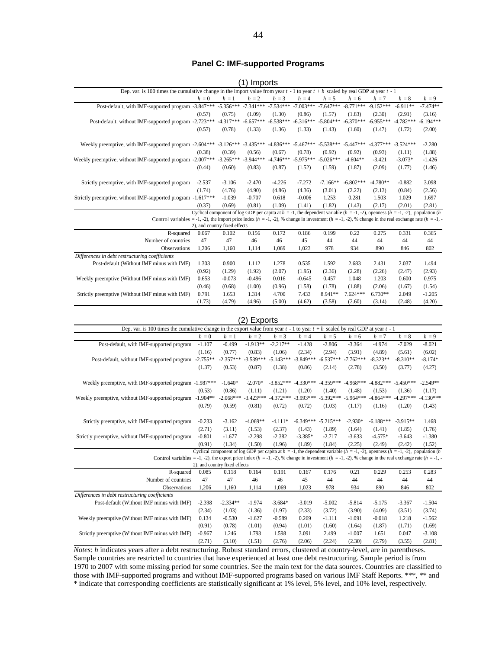#### **Panel C: IMF-supported Programs**

|                                                                                                                                                                |          |                               | 17 1111 PUL 13 |             |             |             |             |             |                                                                                                                                          |             |  |
|----------------------------------------------------------------------------------------------------------------------------------------------------------------|----------|-------------------------------|----------------|-------------|-------------|-------------|-------------|-------------|------------------------------------------------------------------------------------------------------------------------------------------|-------------|--|
| Dep. var. is 100 times the cumulative change in the import value from year $t - 1$ to year $t + h$ scaled by real GDP at year $t - 1$                          |          |                               |                |             |             |             |             |             |                                                                                                                                          |             |  |
|                                                                                                                                                                | $h=0$    | $h=1$                         | $h = 2$        | $h = 3$     | $h = 4$     | $h = 5$     | $h = 6$     | $h = 7$     | $h=8$                                                                                                                                    | $h = 9$     |  |
| Post-default, with IMF-supported program -3.847*** -5.356***                                                                                                   |          |                               | $-7.341***$    | $-7.534***$ | $-7.003***$ | $-7.647***$ | $-8.771***$ | $-9.152***$ | $-6.911**$                                                                                                                               | $-7.474**$  |  |
|                                                                                                                                                                | (0.57)   | (0.75)                        | (1.09)         | (1.30)      | (0.86)      | (1.57)      | (1.83)      | (2.30)      | (2.91)                                                                                                                                   | (3.16)      |  |
| Post-default, without IMF-supported program -2.723***                                                                                                          |          | $-4.317***$                   | $-6.657***$    | $-6.538***$ | $-6.316***$ | $-5.804***$ | $-6.370***$ | $-6.955***$ | $-4.782***$                                                                                                                              | $-6.194***$ |  |
|                                                                                                                                                                | (0.57)   | (0.78)                        | (1.33)         | (1.36)      | (1.33)      | (1.43)      | (1.60)      | (1.47)      | (1.72)                                                                                                                                   | (2.00)      |  |
|                                                                                                                                                                |          |                               |                |             |             |             |             |             |                                                                                                                                          |             |  |
| Weekly preemptive, with IMF-supported program -2.604*** -3.126***                                                                                              |          |                               | $-3.435***$    | $-4.836***$ | $-5.467***$ | $-5.538***$ | $-5.447***$ | $-4.377***$ | $-3.524***$                                                                                                                              | $-2.280$    |  |
|                                                                                                                                                                | (0.38)   | (0.39)                        | (0.56)         | (0.67)      | (0.78)      | (0.92)      | (0.92)      | (0.93)      | (1.11)                                                                                                                                   | (1.88)      |  |
| Weekly preemptive, without IMF-supported program -2.007***                                                                                                     |          | $-3.265***$                   | $-3.944***$    | $-4.746***$ | $-5.975***$ | $-5.026***$ | $-4.604**$  | $-3.421$    | $-3.073*$                                                                                                                                | $-1.426$    |  |
|                                                                                                                                                                | (0.44)   | (0.60)                        | (0.83)         | (0.87)      | (1.52)      | (1.59)      | (1.87)      | (2.09)      | (1.77)                                                                                                                                   | (1.46)      |  |
| Strictly preemptive, with IMF-supported program                                                                                                                | $-2.537$ | $-3.106$                      | $-2.470$       | $-4.226$    | $-7.272$    | $-7.166**$  | $-6.802***$ | $-4.780**$  | $-0.882$                                                                                                                                 | 3.098       |  |
|                                                                                                                                                                | (1.74)   | (4.76)                        | (4.90)         | (4.86)      | (4.36)      | (3.01)      | (2.22)      | (2.13)      | (0.84)                                                                                                                                   | (2.56)      |  |
| Strictly preemptive, without IMF-supported program -1.617***                                                                                                   |          | $-1.039$                      | $-0.707$       | 0.618       | $-0.006$    | 1.253       | 0.281       | 1.503       | 1.029                                                                                                                                    | 1.697       |  |
|                                                                                                                                                                | (0.37)   | (0.69)                        | (0.81)         | (1.09)      | (1.41)      | (1.82)      | (1.43)      | (2.17)      | (2.01)                                                                                                                                   | (2.81)      |  |
|                                                                                                                                                                |          |                               |                |             |             |             |             |             | Cyclical component of log GDP per capita at $h = -1$ , the dependent variable $(h = -1, -2)$ , openness $(h = -1, -2)$ , population $(h$ |             |  |
| Control variables = -1, -2), the import price index $(h = -1, -2)$ , % change in investment $(h = -1, -2)$ , % change in the real exchange rate $(h = -1, -2)$ |          |                               |                |             |             |             |             |             |                                                                                                                                          |             |  |
|                                                                                                                                                                |          | 2), and country fixed effects |                |             |             |             |             |             |                                                                                                                                          |             |  |
| R-squared                                                                                                                                                      | 0.067    | 0.102                         | 0.156          | 0.172       | 0.186       | 0.199       | 0.22        | 0.275       | 0.331                                                                                                                                    | 0.365       |  |
| Number of countries                                                                                                                                            | 47       | 47                            | 46             | 46          | 45          | 44          | 44          | 44          | 44                                                                                                                                       | 44          |  |
| Observations                                                                                                                                                   | 1,206    | 1,160                         | 1,114          | 1,069       | 1,023       | 978         | 934         | 890         | 846                                                                                                                                      | 802         |  |
| Differences in debt restructuring coefficients                                                                                                                 |          |                               |                |             |             |             |             |             |                                                                                                                                          |             |  |
| Post-default (Without IMF minus with IMF)                                                                                                                      | 1.303    | 0.900                         | 1.112          | 1.278       | 0.535       | 1.592       | 2.683       | 2.431       | 2.037                                                                                                                                    | 1.494       |  |
|                                                                                                                                                                | (0.92)   | (1.29)                        | (1.92)         | (2.07)      | (1.95)      | (2.36)      | (2.28)      | (2.26)      | (2.47)                                                                                                                                   | (2.93)      |  |
| Weekly preemptive (Without IMF minus with IMF)                                                                                                                 | 0.653    | $-0.073$                      | $-0.496$       | 0.016       | $-0.645$    | 0.457       | 1.048       | 1.203       | 0.600                                                                                                                                    | 0.975       |  |
|                                                                                                                                                                | (0.46)   | (0.68)                        | (1.00)         | (0.96)      | (1.58)      | (1.78)      | (1.88)      | (2.06)      | (1.67)                                                                                                                                   | (1.54)      |  |
| Strictly preemptive (Without IMF minus with IMF)                                                                                                               | 0.791    | 1.653                         | 1.314          | 4.700       | 7.433       | 8.941**     | $7.624***$  | $6.730**$   | 2.049                                                                                                                                    | $-1.205$    |  |
|                                                                                                                                                                | (1.73)   | (4.79)                        | (4.96)         | (5.00)      | (4.62)      | (3.58)      | (2.60)      | (3.14)      | (2.48)                                                                                                                                   | (4.20)      |  |

#### (1) Imports

| Dep. var. is 100 times the cumulative change in the export value from year $t - 1$ to year $t + h$ scaled by real GDP at year $t - 1$<br>$h = 2$<br>$h = 3$<br>$h=8$<br>$h = 9$<br>$h=0$<br>$h=1$<br>$h = 4$<br>$h = 5$<br>$h = 7$<br>$h = 6$<br>Post-default, with IMF-supported program<br>$-1.913**$<br>$-2.217**$<br>$-8.021$<br>$-1.107$<br>$-0.499$<br>$-2.806$<br>$-3.364$<br>$-4.974$<br>$-7.029$<br>$-1.428$<br>(2.94)<br>(6.02)<br>(1.16)<br>(0.77)<br>(0.83)<br>(1.06)<br>(2.34)<br>(3.91)<br>(4.89)<br>(5.61)<br>$-2.357***$<br>$-5.143***$<br>$-6.537***$<br>$-2.755**$<br>$-3.539***$<br>$-3.849***$<br>$-7.762***$<br>$-8.323**$<br>$-8.310**$<br>$-8.174*$<br>Post-default, without IMF-supported program<br>(1.37)<br>(0.53)<br>(0.87)<br>(1.38)<br>(0.86)<br>(2.14)<br>(2.78)<br>(3.50)<br>(3.77)<br>(4.27)<br>$-4.359***$<br>$-4.968***$<br>$-4.882***$<br>Weekly preemptive, with IMF-supported program -1.987***<br>$-1.640*$<br>$-2.070*$<br>$-3.852***$<br>$-4.330***$<br>$-5.450***$<br>$-2.549**$<br>(0.53)<br>(0.86)<br>(1.11)<br>(1.21)<br>(1.20)<br>(1.40)<br>(1.48)<br>(1.53)<br>(1.36)<br>(1.17)<br>$-1.904**$<br>$-2.068***$<br>$-3.423***$<br>$-4.372***$<br>$-3.993***$<br>$-5.392***$<br>$-5.964***$<br>$-4.864***$<br>$-4.297***$<br>$-4.130***$<br>Weekly preemptive, without IMF-supported program<br>(0.79)<br>(0.59)<br>(1.03)<br>(0.81)<br>(0.72)<br>(0.72)<br>(1.17)<br>(1.16)<br>(1.20)<br>(1.43)<br>$-3.162$<br>$-4.069**$<br>$-4.111*$<br>$-6.349***$<br>$-5.215***$<br>$-2.930*$<br>$-6.188***$<br>$-0.233$<br>$-3.915**$<br>1.468<br>Strictly preemptive, with IMF-supported program<br>(3.11)<br>(2.37)<br>(1.76)<br>(2.71)<br>(1.53)<br>(1.43)<br>(1.89)<br>(1.41)<br>(1.85)<br>(1.64)<br>$-1.677$<br>$-2.382$<br>$-3.385*$<br>$-2.717$<br>$-4.575*$<br>$-1.380$<br>Strictly preemptive, without IMF-supported program<br>$-0.801$<br>$-2.298$<br>$-3.633$<br>$-3.643$<br>(0.91)<br>(1.34)<br>(1.50)<br>(1.96)<br>(1.89)<br>(1.84)<br>(2.25)<br>(2.49)<br>(2.42)<br>(1.52)<br>Cyclical component of log GDP per capita at $h = -1$ , the dependent variable $(h = -1, -2)$ , openness $(h = -1, -2)$ , population $(h$<br>Control variables = -1, -2), the export price index $(h = -1, -2)$ , % change in investment $(h = -1, -2)$ , % change in the real exchange rate $(h = -1, -2)$<br>2), and country fixed effects<br>0.283<br>0.191<br>0.229<br>0.253<br>0.085<br>0.118<br>0.164<br>0.167<br>0.176<br>0.21<br>R-squared<br>Number of countries<br>47<br>47<br>45<br>44<br>46<br>46<br>44<br>44<br>44<br>44<br>802<br>1.206<br>1.160<br>978<br>934<br>890<br>1.114<br>1.069<br>1.023<br>846<br><b>Observations</b><br>Differences in debt restructuring coefficients<br>$-3.684*$<br>$-5.002$<br>Post-default (Without IMF minus with IMF)<br>$-2.398$<br>$-2.334**$<br>$-1.974$<br>$-3.019$<br>$-5.814$<br>$-5.175$<br>$-3.367$<br>$-1.504$<br>(1.03)<br>(1.97)<br>(3.72)<br>(4.09)<br>(3.74)<br>(2.34)<br>(1.36)<br>(2.33)<br>(3.90)<br>(3.51)<br>$-0.589$<br>$-0.018$<br>0.134<br>$-0.530$<br>$-1.627$<br>0.269<br>$-1.111$<br>$-1.091$<br>1.218<br>$-1.562$<br>Weekly preemptive (Without IMF minus with IMF)<br>(1.60)<br>(0.91)<br>(0.78)<br>(1.01)<br>(0.94)<br>(1.01)<br>(1.64)<br>(1.87)<br>(1.71)<br>(1.69)<br>3.091<br>2.499<br>1.651<br>0.047<br>$-3.108$<br>Strictly preemptive (Without IMF minus with IMF)<br>$-0.967$<br>1.246<br>1.793<br>1.598<br>$-1.007$ |  |        |        | 2)<br>Exports |        |        |        |        |        |        |        |  |  |
|-------------------------------------------------------------------------------------------------------------------------------------------------------------------------------------------------------------------------------------------------------------------------------------------------------------------------------------------------------------------------------------------------------------------------------------------------------------------------------------------------------------------------------------------------------------------------------------------------------------------------------------------------------------------------------------------------------------------------------------------------------------------------------------------------------------------------------------------------------------------------------------------------------------------------------------------------------------------------------------------------------------------------------------------------------------------------------------------------------------------------------------------------------------------------------------------------------------------------------------------------------------------------------------------------------------------------------------------------------------------------------------------------------------------------------------------------------------------------------------------------------------------------------------------------------------------------------------------------------------------------------------------------------------------------------------------------------------------------------------------------------------------------------------------------------------------------------------------------------------------------------------------------------------------------------------------------------------------------------------------------------------------------------------------------------------------------------------------------------------------------------------------------------------------------------------------------------------------------------------------------------------------------------------------------------------------------------------------------------------------------------------------------------------------------------------------------------------------------------------------------------------------------------------------------------------------------------------------------------------------------------------------------------------------------------------------------------------------------------------------------------------------------------------------------------------------------------------------------------------------------------------------------------------------------------------------------------------------------------------------------------------------------------------------------------------------------------------------------------------------------------------------------------------------------------------------------------------------------------------------------------------------------------------------------------------------------------------------------------------------------------------------------------------------------------------|--|--------|--------|---------------|--------|--------|--------|--------|--------|--------|--------|--|--|
|                                                                                                                                                                                                                                                                                                                                                                                                                                                                                                                                                                                                                                                                                                                                                                                                                                                                                                                                                                                                                                                                                                                                                                                                                                                                                                                                                                                                                                                                                                                                                                                                                                                                                                                                                                                                                                                                                                                                                                                                                                                                                                                                                                                                                                                                                                                                                                                                                                                                                                                                                                                                                                                                                                                                                                                                                                                                                                                                                                                                                                                                                                                                                                                                                                                                                                                                                                                                                                     |  |        |        |               |        |        |        |        |        |        |        |  |  |
|                                                                                                                                                                                                                                                                                                                                                                                                                                                                                                                                                                                                                                                                                                                                                                                                                                                                                                                                                                                                                                                                                                                                                                                                                                                                                                                                                                                                                                                                                                                                                                                                                                                                                                                                                                                                                                                                                                                                                                                                                                                                                                                                                                                                                                                                                                                                                                                                                                                                                                                                                                                                                                                                                                                                                                                                                                                                                                                                                                                                                                                                                                                                                                                                                                                                                                                                                                                                                                     |  |        |        |               |        |        |        |        |        |        |        |  |  |
|                                                                                                                                                                                                                                                                                                                                                                                                                                                                                                                                                                                                                                                                                                                                                                                                                                                                                                                                                                                                                                                                                                                                                                                                                                                                                                                                                                                                                                                                                                                                                                                                                                                                                                                                                                                                                                                                                                                                                                                                                                                                                                                                                                                                                                                                                                                                                                                                                                                                                                                                                                                                                                                                                                                                                                                                                                                                                                                                                                                                                                                                                                                                                                                                                                                                                                                                                                                                                                     |  |        |        |               |        |        |        |        |        |        |        |  |  |
|                                                                                                                                                                                                                                                                                                                                                                                                                                                                                                                                                                                                                                                                                                                                                                                                                                                                                                                                                                                                                                                                                                                                                                                                                                                                                                                                                                                                                                                                                                                                                                                                                                                                                                                                                                                                                                                                                                                                                                                                                                                                                                                                                                                                                                                                                                                                                                                                                                                                                                                                                                                                                                                                                                                                                                                                                                                                                                                                                                                                                                                                                                                                                                                                                                                                                                                                                                                                                                     |  |        |        |               |        |        |        |        |        |        |        |  |  |
|                                                                                                                                                                                                                                                                                                                                                                                                                                                                                                                                                                                                                                                                                                                                                                                                                                                                                                                                                                                                                                                                                                                                                                                                                                                                                                                                                                                                                                                                                                                                                                                                                                                                                                                                                                                                                                                                                                                                                                                                                                                                                                                                                                                                                                                                                                                                                                                                                                                                                                                                                                                                                                                                                                                                                                                                                                                                                                                                                                                                                                                                                                                                                                                                                                                                                                                                                                                                                                     |  |        |        |               |        |        |        |        |        |        |        |  |  |
|                                                                                                                                                                                                                                                                                                                                                                                                                                                                                                                                                                                                                                                                                                                                                                                                                                                                                                                                                                                                                                                                                                                                                                                                                                                                                                                                                                                                                                                                                                                                                                                                                                                                                                                                                                                                                                                                                                                                                                                                                                                                                                                                                                                                                                                                                                                                                                                                                                                                                                                                                                                                                                                                                                                                                                                                                                                                                                                                                                                                                                                                                                                                                                                                                                                                                                                                                                                                                                     |  |        |        |               |        |        |        |        |        |        |        |  |  |
|                                                                                                                                                                                                                                                                                                                                                                                                                                                                                                                                                                                                                                                                                                                                                                                                                                                                                                                                                                                                                                                                                                                                                                                                                                                                                                                                                                                                                                                                                                                                                                                                                                                                                                                                                                                                                                                                                                                                                                                                                                                                                                                                                                                                                                                                                                                                                                                                                                                                                                                                                                                                                                                                                                                                                                                                                                                                                                                                                                                                                                                                                                                                                                                                                                                                                                                                                                                                                                     |  |        |        |               |        |        |        |        |        |        |        |  |  |
|                                                                                                                                                                                                                                                                                                                                                                                                                                                                                                                                                                                                                                                                                                                                                                                                                                                                                                                                                                                                                                                                                                                                                                                                                                                                                                                                                                                                                                                                                                                                                                                                                                                                                                                                                                                                                                                                                                                                                                                                                                                                                                                                                                                                                                                                                                                                                                                                                                                                                                                                                                                                                                                                                                                                                                                                                                                                                                                                                                                                                                                                                                                                                                                                                                                                                                                                                                                                                                     |  |        |        |               |        |        |        |        |        |        |        |  |  |
|                                                                                                                                                                                                                                                                                                                                                                                                                                                                                                                                                                                                                                                                                                                                                                                                                                                                                                                                                                                                                                                                                                                                                                                                                                                                                                                                                                                                                                                                                                                                                                                                                                                                                                                                                                                                                                                                                                                                                                                                                                                                                                                                                                                                                                                                                                                                                                                                                                                                                                                                                                                                                                                                                                                                                                                                                                                                                                                                                                                                                                                                                                                                                                                                                                                                                                                                                                                                                                     |  |        |        |               |        |        |        |        |        |        |        |  |  |
|                                                                                                                                                                                                                                                                                                                                                                                                                                                                                                                                                                                                                                                                                                                                                                                                                                                                                                                                                                                                                                                                                                                                                                                                                                                                                                                                                                                                                                                                                                                                                                                                                                                                                                                                                                                                                                                                                                                                                                                                                                                                                                                                                                                                                                                                                                                                                                                                                                                                                                                                                                                                                                                                                                                                                                                                                                                                                                                                                                                                                                                                                                                                                                                                                                                                                                                                                                                                                                     |  |        |        |               |        |        |        |        |        |        |        |  |  |
|                                                                                                                                                                                                                                                                                                                                                                                                                                                                                                                                                                                                                                                                                                                                                                                                                                                                                                                                                                                                                                                                                                                                                                                                                                                                                                                                                                                                                                                                                                                                                                                                                                                                                                                                                                                                                                                                                                                                                                                                                                                                                                                                                                                                                                                                                                                                                                                                                                                                                                                                                                                                                                                                                                                                                                                                                                                                                                                                                                                                                                                                                                                                                                                                                                                                                                                                                                                                                                     |  |        |        |               |        |        |        |        |        |        |        |  |  |
|                                                                                                                                                                                                                                                                                                                                                                                                                                                                                                                                                                                                                                                                                                                                                                                                                                                                                                                                                                                                                                                                                                                                                                                                                                                                                                                                                                                                                                                                                                                                                                                                                                                                                                                                                                                                                                                                                                                                                                                                                                                                                                                                                                                                                                                                                                                                                                                                                                                                                                                                                                                                                                                                                                                                                                                                                                                                                                                                                                                                                                                                                                                                                                                                                                                                                                                                                                                                                                     |  |        |        |               |        |        |        |        |        |        |        |  |  |
|                                                                                                                                                                                                                                                                                                                                                                                                                                                                                                                                                                                                                                                                                                                                                                                                                                                                                                                                                                                                                                                                                                                                                                                                                                                                                                                                                                                                                                                                                                                                                                                                                                                                                                                                                                                                                                                                                                                                                                                                                                                                                                                                                                                                                                                                                                                                                                                                                                                                                                                                                                                                                                                                                                                                                                                                                                                                                                                                                                                                                                                                                                                                                                                                                                                                                                                                                                                                                                     |  |        |        |               |        |        |        |        |        |        |        |  |  |
|                                                                                                                                                                                                                                                                                                                                                                                                                                                                                                                                                                                                                                                                                                                                                                                                                                                                                                                                                                                                                                                                                                                                                                                                                                                                                                                                                                                                                                                                                                                                                                                                                                                                                                                                                                                                                                                                                                                                                                                                                                                                                                                                                                                                                                                                                                                                                                                                                                                                                                                                                                                                                                                                                                                                                                                                                                                                                                                                                                                                                                                                                                                                                                                                                                                                                                                                                                                                                                     |  |        |        |               |        |        |        |        |        |        |        |  |  |
|                                                                                                                                                                                                                                                                                                                                                                                                                                                                                                                                                                                                                                                                                                                                                                                                                                                                                                                                                                                                                                                                                                                                                                                                                                                                                                                                                                                                                                                                                                                                                                                                                                                                                                                                                                                                                                                                                                                                                                                                                                                                                                                                                                                                                                                                                                                                                                                                                                                                                                                                                                                                                                                                                                                                                                                                                                                                                                                                                                                                                                                                                                                                                                                                                                                                                                                                                                                                                                     |  |        |        |               |        |        |        |        |        |        |        |  |  |
|                                                                                                                                                                                                                                                                                                                                                                                                                                                                                                                                                                                                                                                                                                                                                                                                                                                                                                                                                                                                                                                                                                                                                                                                                                                                                                                                                                                                                                                                                                                                                                                                                                                                                                                                                                                                                                                                                                                                                                                                                                                                                                                                                                                                                                                                                                                                                                                                                                                                                                                                                                                                                                                                                                                                                                                                                                                                                                                                                                                                                                                                                                                                                                                                                                                                                                                                                                                                                                     |  |        |        |               |        |        |        |        |        |        |        |  |  |
|                                                                                                                                                                                                                                                                                                                                                                                                                                                                                                                                                                                                                                                                                                                                                                                                                                                                                                                                                                                                                                                                                                                                                                                                                                                                                                                                                                                                                                                                                                                                                                                                                                                                                                                                                                                                                                                                                                                                                                                                                                                                                                                                                                                                                                                                                                                                                                                                                                                                                                                                                                                                                                                                                                                                                                                                                                                                                                                                                                                                                                                                                                                                                                                                                                                                                                                                                                                                                                     |  |        |        |               |        |        |        |        |        |        |        |  |  |
|                                                                                                                                                                                                                                                                                                                                                                                                                                                                                                                                                                                                                                                                                                                                                                                                                                                                                                                                                                                                                                                                                                                                                                                                                                                                                                                                                                                                                                                                                                                                                                                                                                                                                                                                                                                                                                                                                                                                                                                                                                                                                                                                                                                                                                                                                                                                                                                                                                                                                                                                                                                                                                                                                                                                                                                                                                                                                                                                                                                                                                                                                                                                                                                                                                                                                                                                                                                                                                     |  |        |        |               |        |        |        |        |        |        |        |  |  |
|                                                                                                                                                                                                                                                                                                                                                                                                                                                                                                                                                                                                                                                                                                                                                                                                                                                                                                                                                                                                                                                                                                                                                                                                                                                                                                                                                                                                                                                                                                                                                                                                                                                                                                                                                                                                                                                                                                                                                                                                                                                                                                                                                                                                                                                                                                                                                                                                                                                                                                                                                                                                                                                                                                                                                                                                                                                                                                                                                                                                                                                                                                                                                                                                                                                                                                                                                                                                                                     |  |        |        |               |        |        |        |        |        |        |        |  |  |
|                                                                                                                                                                                                                                                                                                                                                                                                                                                                                                                                                                                                                                                                                                                                                                                                                                                                                                                                                                                                                                                                                                                                                                                                                                                                                                                                                                                                                                                                                                                                                                                                                                                                                                                                                                                                                                                                                                                                                                                                                                                                                                                                                                                                                                                                                                                                                                                                                                                                                                                                                                                                                                                                                                                                                                                                                                                                                                                                                                                                                                                                                                                                                                                                                                                                                                                                                                                                                                     |  |        |        |               |        |        |        |        |        |        |        |  |  |
|                                                                                                                                                                                                                                                                                                                                                                                                                                                                                                                                                                                                                                                                                                                                                                                                                                                                                                                                                                                                                                                                                                                                                                                                                                                                                                                                                                                                                                                                                                                                                                                                                                                                                                                                                                                                                                                                                                                                                                                                                                                                                                                                                                                                                                                                                                                                                                                                                                                                                                                                                                                                                                                                                                                                                                                                                                                                                                                                                                                                                                                                                                                                                                                                                                                                                                                                                                                                                                     |  |        |        |               |        |        |        |        |        |        |        |  |  |
|                                                                                                                                                                                                                                                                                                                                                                                                                                                                                                                                                                                                                                                                                                                                                                                                                                                                                                                                                                                                                                                                                                                                                                                                                                                                                                                                                                                                                                                                                                                                                                                                                                                                                                                                                                                                                                                                                                                                                                                                                                                                                                                                                                                                                                                                                                                                                                                                                                                                                                                                                                                                                                                                                                                                                                                                                                                                                                                                                                                                                                                                                                                                                                                                                                                                                                                                                                                                                                     |  |        |        |               |        |        |        |        |        |        |        |  |  |
|                                                                                                                                                                                                                                                                                                                                                                                                                                                                                                                                                                                                                                                                                                                                                                                                                                                                                                                                                                                                                                                                                                                                                                                                                                                                                                                                                                                                                                                                                                                                                                                                                                                                                                                                                                                                                                                                                                                                                                                                                                                                                                                                                                                                                                                                                                                                                                                                                                                                                                                                                                                                                                                                                                                                                                                                                                                                                                                                                                                                                                                                                                                                                                                                                                                                                                                                                                                                                                     |  |        |        |               |        |        |        |        |        |        |        |  |  |
|                                                                                                                                                                                                                                                                                                                                                                                                                                                                                                                                                                                                                                                                                                                                                                                                                                                                                                                                                                                                                                                                                                                                                                                                                                                                                                                                                                                                                                                                                                                                                                                                                                                                                                                                                                                                                                                                                                                                                                                                                                                                                                                                                                                                                                                                                                                                                                                                                                                                                                                                                                                                                                                                                                                                                                                                                                                                                                                                                                                                                                                                                                                                                                                                                                                                                                                                                                                                                                     |  |        |        |               |        |        |        |        |        |        |        |  |  |
|                                                                                                                                                                                                                                                                                                                                                                                                                                                                                                                                                                                                                                                                                                                                                                                                                                                                                                                                                                                                                                                                                                                                                                                                                                                                                                                                                                                                                                                                                                                                                                                                                                                                                                                                                                                                                                                                                                                                                                                                                                                                                                                                                                                                                                                                                                                                                                                                                                                                                                                                                                                                                                                                                                                                                                                                                                                                                                                                                                                                                                                                                                                                                                                                                                                                                                                                                                                                                                     |  |        |        |               |        |        |        |        |        |        |        |  |  |
|                                                                                                                                                                                                                                                                                                                                                                                                                                                                                                                                                                                                                                                                                                                                                                                                                                                                                                                                                                                                                                                                                                                                                                                                                                                                                                                                                                                                                                                                                                                                                                                                                                                                                                                                                                                                                                                                                                                                                                                                                                                                                                                                                                                                                                                                                                                                                                                                                                                                                                                                                                                                                                                                                                                                                                                                                                                                                                                                                                                                                                                                                                                                                                                                                                                                                                                                                                                                                                     |  | (2.71) | (3.10) | (1.51)        | (2.76) | (2.06) | (2.24) | (2.30) | (2.79) | (3.55) | (2.81) |  |  |

*Notes*: *h* indicates years after a debt restructuring. Robust standard errors, clustered at country-level, are in parentheses. Sample countries are restricted to countries that have experienced at least one debt restructuring. Sample period is from 1970 to 2007 with some missing period for some countries. See the main text for the data sources. Countries are classified to those with IMF-supported programs and without IMF-supported programs based on various IMF Staff Reports. \*\*\*, \*\* and \* indicate that corresponding coefficients are statistically significant at 1% level, 5% level, and 10% level, respectively.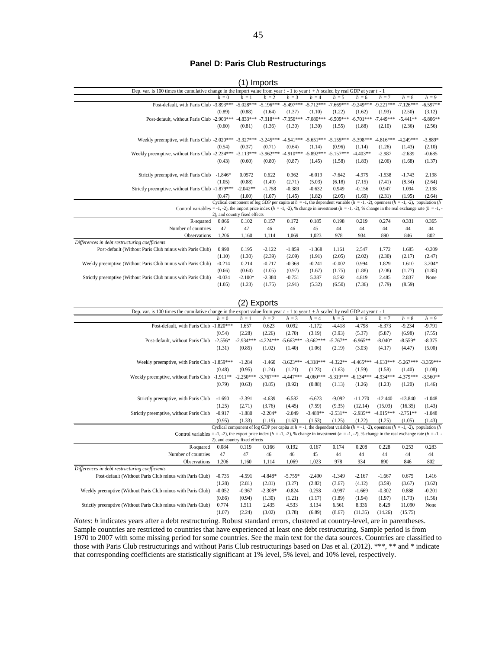#### **Panel D: Paris Club Restructurings**

|                                                                                                                                                                  |           |                                        | Imports     |             |             |             |             |             |                                                                                                                                          |            |  |  |  |
|------------------------------------------------------------------------------------------------------------------------------------------------------------------|-----------|----------------------------------------|-------------|-------------|-------------|-------------|-------------|-------------|------------------------------------------------------------------------------------------------------------------------------------------|------------|--|--|--|
| Dep. var. is 100 times the cumulative change in the import value from year $t - 1$ to year $t + h$ scaled by real GDP at year $t - 1$                            |           |                                        |             |             |             |             |             |             |                                                                                                                                          |            |  |  |  |
|                                                                                                                                                                  | $h=0$     | $h = 1$                                | $h = 2$     | $h = 3$     | $h = 4$     | $h = 5$     | $h = 6$     | $h = 7$     | $h = 8$                                                                                                                                  | $h = 9$    |  |  |  |
| Post-default, with Paris Club -3.893***                                                                                                                          |           | $-5.028***$                            | $-5.196***$ | $-5.497***$ | $-5.712***$ | $-7.669***$ | $-9.249***$ | $-9.221***$ | $-7.126***$                                                                                                                              | $-6.597**$ |  |  |  |
|                                                                                                                                                                  | (0.89)    | (0.88)                                 | (1.64)      | (1.37)      | (1.10)      | (1.22)      | (1.62)      | (1.93)      | (2.50)                                                                                                                                   | (3.12)     |  |  |  |
| Post-default, without Paris Club -2.903***                                                                                                                       |           | $-4.833***$                            | $-7.318***$ | $-7.356***$ | $-7.080***$ | $-6.509***$ | $-6.701***$ | $-7.449***$ | $-5.441**$                                                                                                                               | $-6.806**$ |  |  |  |
|                                                                                                                                                                  | (0.60)    | (0.81)                                 | (1.36)      | (1.30)      | (1.30)      | (1.55)      | (1.88)      | (2.10)      | (2.36)                                                                                                                                   | (2.56)     |  |  |  |
| Weekly preemptive, with Paris Club -2.020*** -3.327*** -3.245*** -4.541*** -5.651*** -5.155***                                                                   |           |                                        |             |             |             |             | $-5.398***$ | $-4.816***$ | $-4.249***$                                                                                                                              | $-3.889*$  |  |  |  |
|                                                                                                                                                                  | (0.54)    | (0.37)                                 | (0.71)      | (0.64)      | (1.14)      | (0.96)      | (1.14)      | (1.26)      | (1.43)                                                                                                                                   | (2.10)     |  |  |  |
| Weekly preemptive, without Paris Club -2.234***                                                                                                                  |           | $-3.113***$                            | $-3.962***$ | $-4.910***$ | $-5.892***$ | $-5.157***$ | $-4.403**$  | $-2.987$    | $-2.639$                                                                                                                                 | $-0.685$   |  |  |  |
|                                                                                                                                                                  | (0.43)    | (0.60)                                 | (0.80)      | (0.87)      | (1.45)      | (1.58)      | (1.83)      | (2.06)      | (1.68)                                                                                                                                   | (1.37)     |  |  |  |
| Strictly preemptive, with Paris Club                                                                                                                             | $-1.846*$ | 0.0572                                 | 0.622       | 0.362       | $-6.019$    | $-7.642$    | $-4.975$    | $-1.538$    | $-1.743$                                                                                                                                 | 2.198      |  |  |  |
|                                                                                                                                                                  | (1.05)    | (0.88)                                 | (1.49)      | (2.71)      | (5.03)      | (6.18)      | (7.15)      | (7.41)      | (8.34)                                                                                                                                   | (2.64)     |  |  |  |
| Strictly preemptive, without Paris Club -1.879***                                                                                                                |           | $-2.042**$                             | $-1.758$    | $-0.389$    | $-0.632$    | 0.949       | $-0.156$    | 0.947       | 1.094                                                                                                                                    | 2.198      |  |  |  |
|                                                                                                                                                                  | (0.47)    | (1.00)                                 | (1.07)      | (1.45)      | (1.82)      | (2.05)      | (1.69)      | (2.31)      | (1.95)                                                                                                                                   | (2.64)     |  |  |  |
|                                                                                                                                                                  |           |                                        |             |             |             |             |             |             | Cyclical component of log GDP per capita at $h = -1$ , the dependent variable $(h = -1, -2)$ , openness $(h = -1, -2)$ , population $(h$ |            |  |  |  |
| Control variables = -1, -2), the import price index $(h = -1, -2)$ , % change in investment $(h = -1, -2)$ , % change in the real exchange rate $(h = -1, -2)$ . |           |                                        |             |             |             |             |             |             |                                                                                                                                          |            |  |  |  |
| R-squared                                                                                                                                                        | 0.066     | 2), and country fixed effects<br>0.102 | 0.157       | 0.172       | 0.185       | 0.198       | 0.219       | 0.274       | 0.331                                                                                                                                    | 0.365      |  |  |  |
| Number of countries                                                                                                                                              | 47        | 47                                     | 46          | 46          | 45          | 44          | 44          | 44          | 44                                                                                                                                       | 44         |  |  |  |
| Observations                                                                                                                                                     | 1.206     | 1.160                                  | 1,114       | 1.069       | 1.023       | 978         | 934         | 890         | 846                                                                                                                                      | 802        |  |  |  |
| Differences in debt restructuring coefficients                                                                                                                   |           |                                        |             |             |             |             |             |             |                                                                                                                                          |            |  |  |  |
| Post-default (Without Paris Club minus with Paris Club)                                                                                                          | 0.990     | 0.195                                  | $-2.122$    | $-1.859$    | $-1.368$    | 1.161       | 2.547       | 1.772       | 1.685                                                                                                                                    | $-0.209$   |  |  |  |
|                                                                                                                                                                  | (1.10)    | (1.30)                                 | (2.39)      | (2.09)      | (1.91)      | (2.05)      | (2.02)      | (2.30)      | (2.17)                                                                                                                                   | (2.47)     |  |  |  |
| Weekly preemptive (Without Paris Club minus with Paris Club)                                                                                                     | $-0.214$  | 0.214                                  | $-0.717$    | $-0.369$    | $-0.241$    | $-0.002$    | 0.994       | 1.829       | 1.610                                                                                                                                    | $3.204*$   |  |  |  |
|                                                                                                                                                                  | (0.66)    | (0.64)                                 | (1.05)      | (0.97)      | (1.67)      | (1.75)      | (1.88)      | (2.08)      | (1.77)                                                                                                                                   | (1.85)     |  |  |  |
| Strictly preemptive (Without Paris Club minus with Paris Club)                                                                                                   | $-0.034$  | $-2.100*$                              | $-2.380$    | $-0.751$    | 5.387       | 8.592       | 4.819       | 2.485       | 2.837                                                                                                                                    | None       |  |  |  |
|                                                                                                                                                                  | (1.05)    | (1.23)                                 | (1.75)      | (2.91)      | (5.32)      | (6.50)      | (7.36)      | (7.79)      | (8.59)                                                                                                                                   |            |  |  |  |

|                                                                                                                                                                  |           | 2)                            | Exports     |             |             |             |             |             |                                                                                                                                          |             |
|------------------------------------------------------------------------------------------------------------------------------------------------------------------|-----------|-------------------------------|-------------|-------------|-------------|-------------|-------------|-------------|------------------------------------------------------------------------------------------------------------------------------------------|-------------|
| Dep. var. is 100 times the cumulative change in the export value from year $t - 1$ to year $t + h$ scaled by real GDP at year $t - 1$                            |           |                               |             |             |             |             |             |             |                                                                                                                                          |             |
|                                                                                                                                                                  | $h = 0$   | $h=1$                         | $h = 2$     | $h = 3$     | $h = 4$     | $h = 5$     | $h = 6$     | $h = 7$     | $h = 8$                                                                                                                                  | $h = 9$     |
| Post-default, with Paris Club -1.820***                                                                                                                          |           | 1.657                         | 0.623       | 0.092       | $-1.172$    | $-4.418$    | $-4.798$    | $-6.373$    | $-9.234$                                                                                                                                 | $-9.791$    |
|                                                                                                                                                                  | (0.54)    | (2.28)                        | (2.26)      | (2.70)      | (3.19)      | (3.93)      | (5.37)      | (5.87)      | (6.98)                                                                                                                                   | (7.55)      |
| Post-default, without Paris Club                                                                                                                                 | $-2.556*$ | $-2.934***$                   | $-4.224***$ | $-5.663***$ | $-3.662***$ | $-5.767**$  | $-6.965**$  | $-8.040*$   | $-8.559*$                                                                                                                                | $-8.375$    |
|                                                                                                                                                                  | (1.31)    | (0.85)                        | (1.02)      | (1.40)      | (1.06)      | (2.19)      | (3.03)      | (4.17)      | (4.47)                                                                                                                                   | (5.00)      |
| Weekly preemptive, with Paris Club -1.859***                                                                                                                     |           | $-1.284$                      | $-1.460$    | $-3.623***$ | $-4.318***$ | $-4.322**$  | $-4.465***$ | $-4.633***$ | $-5.267***$                                                                                                                              | $-3.359***$ |
|                                                                                                                                                                  | (0.48)    | (0.95)                        | (1.24)      | (1.21)      | (1.23)      | (1.63)      | (1.59)      | (1.58)      | (1.40)                                                                                                                                   | (1.08)      |
| Weekly preemptive, without Paris Club -1.911**                                                                                                                   |           | $-2.250***$                   | $-3.767***$ | $-4.447***$ | $-4.060***$ | $-5.319***$ | $-6.134***$ | $-4.934***$ | $-4.379***$                                                                                                                              | $-3.560**$  |
|                                                                                                                                                                  | (0.79)    | (0.63)                        | (0.85)      | (0.92)      | (0.88)      | (1.13)      | (1.26)      | (1.23)      | (1.20)                                                                                                                                   | (1.46)      |
|                                                                                                                                                                  |           |                               |             |             |             |             |             |             |                                                                                                                                          |             |
| Strictly preemptive, with Paris Club                                                                                                                             | $-1.690$  | $-3.391$                      | $-4.639$    | $-6.582$    | $-6.623$    | $-9.092$    | $-11.270$   | $-12.440$   | $-13.840$                                                                                                                                | $-1.048$    |
|                                                                                                                                                                  | (1.25)    | (2.71)                        | (3.76)      | (4.45)      | (7.59)      | (9.35)      | (12.14)     | (15.03)     | (16.35)                                                                                                                                  | (1.43)      |
| Strictly preemptive, without Paris Club                                                                                                                          | $-0.917$  | $-1.880$                      | $-2.204*$   | $-2.049$    | $-3.488**$  | $-2.531**$  | $-2.935**$  | $-4.015***$ | $-2.751**$                                                                                                                               | $-1.048$    |
|                                                                                                                                                                  | (0.95)    | (1.33)                        | (1.19)      | (1.62)      | (1.53)      | (1.25)      | (1.22)      | (1.25)      | (1.05)                                                                                                                                   | (1.43)      |
|                                                                                                                                                                  |           |                               |             |             |             |             |             |             | Cyclical component of log GDP per capita at $h = -1$ , the dependent variable $(h = -1, -2)$ , openness $(h = -1, -2)$ , population $(h$ |             |
| Control variables = -1, -2), the export price index $(h = -1, -2)$ , % change in investment $(h = -1, -2)$ , % change in the real exchange rate $(h = -1, -2)$ . |           |                               |             |             |             |             |             |             |                                                                                                                                          |             |
|                                                                                                                                                                  |           | 2), and country fixed effects |             |             |             |             |             |             |                                                                                                                                          |             |
| R-squared                                                                                                                                                        | 0.084     | 0.119                         | 0.166       | 0.192       | 0.167       | 0.174       | 0.208       | 0.228       | 0.253                                                                                                                                    | 0.283       |
| Number of countries                                                                                                                                              | 47        | 47                            | 46          | 46          | 45          | 44          | 44          | 44          | 44                                                                                                                                       | 44          |
| Observations                                                                                                                                                     | 1,206     | 1.160                         | 1,114       | 1,069       | 1,023       | 978         | 934         | 890         | 846                                                                                                                                      | 802         |
| Differences in debt restructuring coefficients                                                                                                                   |           |                               |             |             |             |             |             |             |                                                                                                                                          |             |
| Post-default (Without Paris Club minus with Paris Club)                                                                                                          | $-0.735$  | $-4.591$                      | $-4.848*$   | $-5.755*$   | $-2.490$    | $-1.349$    | $-2.167$    | $-1.667$    | 0.675                                                                                                                                    | 1.416       |
|                                                                                                                                                                  | (1.28)    | (2.81)                        | (2.81)      | (3.27)      | (2.82)      | (3.67)      | (4.12)      | (3.59)      | (3.67)                                                                                                                                   | (3.62)      |
| Weekly preemptive (Without Paris Club minus with Paris Club)                                                                                                     | $-0.052$  | $-0.967$                      | $-2.308*$   | $-0.824$    | 0.258       | $-0.997$    | $-1.669$    | $-0.302$    | 0.888                                                                                                                                    | $-0.201$    |
|                                                                                                                                                                  | (0.86)    | (0.94)                        | (1.30)      | (1.21)      | (1.17)      | (1.89)      | (1.94)      | (1.97)      | (1.73)                                                                                                                                   | (1.56)      |

 $\overline{\phantom{a}}$ 

*Notes*: *h* indicates years after a debt restructuring. Robust standard errors, clustered at country-level, are in parentheses. Sample countries are restricted to countries that have experienced at least one debt restructuring. Sample period is from 1970 to 2007 with some missing period for some countries. See the main text for the data sources. Countries are classified to those with Paris Club restructurings and without Paris Club restructurings based on Das et al. (2012). \*\*\*, \*\* and \* indicate that corresponding coefficients are statistically significant at 1% level, 5% level, and 10% level, respectively.

Strictly preemptive (Without Paris Club minus with Paris Club) 0.774 1.511 2.435 4.533 3.134 6.561 8.336 8.429 11.090 None

(1.07) (2.24) (3.02) (3.78) (6.89) (8.67) (11.35) (14.26) (15.75)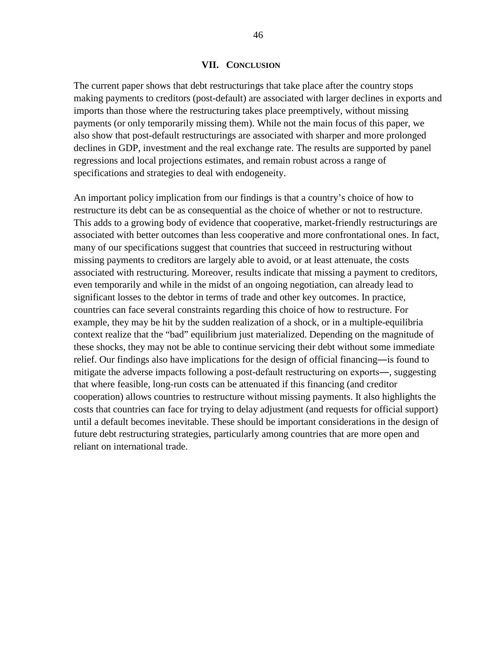#### **VII. CONCLUSION**

The current paper shows that debt restructurings that take place after the country stops making payments to creditors (post-default) are associated with larger declines in exports and imports than those where the restructuring takes place preemptively, without missing payments (or only temporarily missing them). While not the main focus of this paper, we also show that post-default restructurings are associated with sharper and more prolonged declines in GDP, investment and the real exchange rate. The results are supported by panel regressions and local projections estimates, and remain robust across a range of specifications and strategies to deal with endogeneity.

An important policy implication from our findings is that a country's choice of how to restructure its debt can be as consequential as the choice of whether or not to restructure. This adds to a growing body of evidence that cooperative, market-friendly restructurings are associated with better outcomes than less cooperative and more confrontational ones. In fact, many of our specifications suggest that countries that succeed in restructuring without missing payments to creditors are largely able to avoid, or at least attenuate, the costs associated with restructuring. Moreover, results indicate that missing a payment to creditors, even temporarily and while in the midst of an ongoing negotiation, can already lead to significant losses to the debtor in terms of trade and other key outcomes. In practice, countries can face several constraints regarding this choice of how to restructure. For example, they may be hit by the sudden realization of a shock, or in a multiple-equilibria context realize that the "bad" equilibrium just materialized. Depending on the magnitude of these shocks, they may not be able to continue servicing their debt without some immediate relief. Our findings also have implications for the design of official financing—is found to mitigate the adverse impacts following a post-default restructuring on exports―, suggesting that where feasible, long-run costs can be attenuated if this financing (and creditor cooperation) allows countries to restructure without missing payments. It also highlights the costs that countries can face for trying to delay adjustment (and requests for official support) until a default becomes inevitable. These should be important considerations in the design of future debt restructuring strategies, particularly among countries that are more open and reliant on international trade.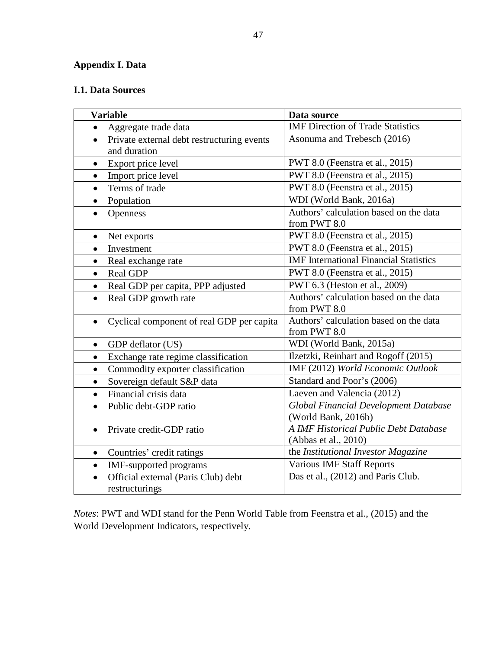# **Appendix I. Data**

# **I.1. Data Sources**

| <b>Variable</b>                                                         | Data source                                                   |
|-------------------------------------------------------------------------|---------------------------------------------------------------|
| Aggregate trade data<br>$\bullet$                                       | <b>IMF Direction of Trade Statistics</b>                      |
| Private external debt restructuring events<br>$\bullet$<br>and duration | Asonuma and Trebesch (2016)                                   |
| Export price level                                                      | PWT 8.0 (Feenstra et al., 2015)                               |
| Import price level<br>$\bullet$                                         | PWT 8.0 (Feenstra et al., 2015)                               |
| Terms of trade<br>$\bullet$                                             | PWT 8.0 (Feenstra et al., 2015)                               |
| Population<br>$\bullet$                                                 | WDI (World Bank, 2016a)                                       |
| Openness<br>$\bullet$                                                   | Authors' calculation based on the data<br>from PWT 8.0        |
| Net exports<br>$\bullet$                                                | PWT 8.0 (Feenstra et al., 2015)                               |
| Investment<br>$\bullet$                                                 | PWT 8.0 (Feenstra et al., 2015)                               |
| Real exchange rate<br>$\bullet$                                         | <b>IMF</b> International Financial Statistics                 |
| Real GDP<br>$\bullet$                                                   | PWT 8.0 (Feenstra et al., 2015)                               |
| Real GDP per capita, PPP adjusted<br>$\bullet$                          | PWT 6.3 (Heston et al., 2009)                                 |
| Real GDP growth rate<br>$\bullet$                                       | Authors' calculation based on the data<br>from PWT 8.0        |
| Cyclical component of real GDP per capita<br>$\bullet$                  | Authors' calculation based on the data<br>from PWT 8.0        |
| GDP deflator (US)<br>$\bullet$                                          | WDI (World Bank, 2015a)                                       |
| Exchange rate regime classification<br>$\bullet$                        | Ilzetzki, Reinhart and Rogoff (2015)                          |
| Commodity exporter classification<br>$\bullet$                          | IMF (2012) World Economic Outlook                             |
| Sovereign default S&P data<br>$\bullet$                                 | Standard and Poor's (2006)                                    |
| Financial crisis data<br>$\bullet$                                      | Laeven and Valencia (2012)                                    |
| Public debt-GDP ratio<br>$\bullet$                                      | Global Financial Development Database<br>(World Bank, 2016b)  |
| Private credit-GDP ratio<br>$\bullet$                                   | A IMF Historical Public Debt Database<br>(Abbas et al., 2010) |
| Countries' credit ratings<br>$\bullet$                                  | the Institutional Investor Magazine                           |
| IMF-supported programs<br>$\bullet$                                     | <b>Various IMF Staff Reports</b>                              |
| Official external (Paris Club) debt<br>$\bullet$<br>restructurings      | Das et al., (2012) and Paris Club.                            |

*Notes*: PWT and WDI stand for the Penn World Table from Feenstra et al., (2015) and the World Development Indicators, respectively.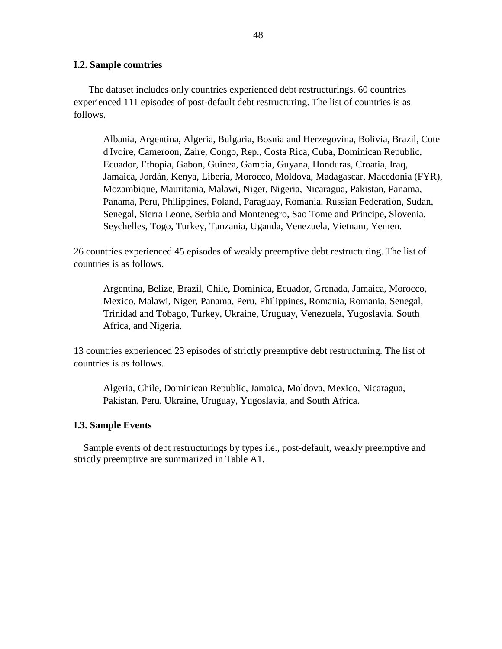#### **I.2. Sample countries**

 The dataset includes only countries experienced debt restructurings. 60 countries experienced 111 episodes of post-default debt restructuring. The list of countries is as follows.

Albania, Argentina, Algeria, Bulgaria, Bosnia and Herzegovina, Bolivia, Brazil, Cote d'Ivoire, Cameroon, Zaire, Congo, Rep., Costa Rica, Cuba, Dominican Republic, Ecuador, Ethopia, Gabon, Guinea, Gambia, Guyana, Honduras, Croatia, Iraq, Jamaica, Jordàn, Kenya, Liberia, Morocco, Moldova, Madagascar, Macedonia (FYR), Mozambique, Mauritania, Malawi, Niger, Nigeria, Nicaragua, Pakistan, Panama, Panama, Peru, Philippines, Poland, Paraguay, Romania, Russian Federation, Sudan, Senegal, Sierra Leone, Serbia and Montenegro, Sao Tome and Principe, Slovenia, Seychelles, Togo, Turkey, Tanzania, Uganda, Venezuela, Vietnam, Yemen.

26 countries experienced 45 episodes of weakly preemptive debt restructuring. The list of countries is as follows.

Argentina, Belize, Brazil, Chile, Dominica, Ecuador, Grenada, Jamaica, Morocco, Mexico, Malawi, Niger, Panama, Peru, Philippines, Romania, Romania, Senegal, Trinidad and Tobago, Turkey, Ukraine, Uruguay, Venezuela, Yugoslavia, South Africa, and Nigeria.

13 countries experienced 23 episodes of strictly preemptive debt restructuring. The list of countries is as follows.

Algeria, Chile, Dominican Republic, Jamaica, Moldova, Mexico, Nicaragua, Pakistan, Peru, Ukraine, Uruguay, Yugoslavia, and South Africa.

#### **I.3. Sample Events**

 Sample events of debt restructurings by types i.e., post-default, weakly preemptive and strictly preemptive are summarized in Table A1.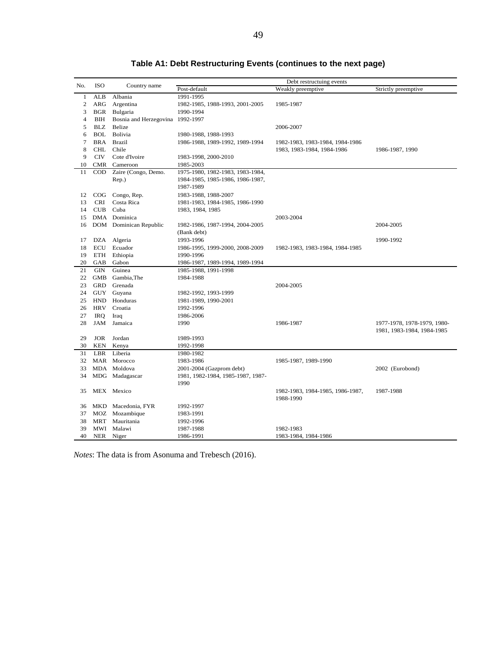| No.            | <b>ISO</b> | Country name                     |                                                         | Debt restructuing events         |                             |  |  |  |
|----------------|------------|----------------------------------|---------------------------------------------------------|----------------------------------|-----------------------------|--|--|--|
|                |            |                                  | Post-default                                            | Weakly preemptive                | Strictly preemptive         |  |  |  |
| $\mathbf{1}$   | ALB        | Albania                          | 1991-1995                                               |                                  |                             |  |  |  |
| $\overline{c}$ | ARG        | Argentina                        | 1982-1985, 1988-1993, 2001-2005                         | 1985-1987                        |                             |  |  |  |
| 3              | <b>BGR</b> | Bulgaria                         | 1990-1994                                               |                                  |                             |  |  |  |
| $\overline{4}$ | BIH        | Bosnia and Herzegovina 1992-1997 |                                                         |                                  |                             |  |  |  |
| 5              | <b>BLZ</b> | Belize                           |                                                         | 2006-2007                        |                             |  |  |  |
| 6              | BOL        | Bolivia                          | 1980-1988, 1988-1993                                    |                                  |                             |  |  |  |
| $\overline{7}$ | <b>BRA</b> | <b>Brazil</b>                    | 1986-1988, 1989-1992, 1989-1994                         | 1982-1983, 1983-1984, 1984-1986  |                             |  |  |  |
| 8              | <b>CHL</b> | Chile                            |                                                         | 1983, 1983-1984, 1984-1986       | 1986-1987, 1990             |  |  |  |
| 9              | <b>CIV</b> | Cote d'Ivoire                    | 1983-1998, 2000-2010                                    |                                  |                             |  |  |  |
| 10             |            | CMR Cameroon                     | 1985-2003                                               |                                  |                             |  |  |  |
| 11             | $\rm{COD}$ | Zaire (Congo, Demo.              | 1975-1980, 1982-1983, 1983-1984,                        |                                  |                             |  |  |  |
|                |            | Rep.)                            | 1984-1985, 1985-1986, 1986-1987,                        |                                  |                             |  |  |  |
|                |            |                                  | 1987-1989                                               |                                  |                             |  |  |  |
| 12             |            | COG Congo, Rep.                  | 1983-1988, 1988-2007                                    |                                  |                             |  |  |  |
| 13             | <b>CRI</b> | Costa Rica                       | 1981-1983, 1984-1985, 1986-1990                         |                                  |                             |  |  |  |
| 14             | CUB        | Cuba                             | 1983, 1984, 1985                                        |                                  |                             |  |  |  |
| 15             |            | DMA Dominica                     |                                                         | 2003-2004                        |                             |  |  |  |
| 16             |            | DOM Dominican Republic           | 1982-1986, 1987-1994, 2004-2005                         |                                  | 2004-2005                   |  |  |  |
|                |            |                                  | (Bank debt)                                             |                                  |                             |  |  |  |
| 17             |            | DZA Algeria                      | 1993-1996                                               |                                  | 1990-1992                   |  |  |  |
| 18             | ECU        | Ecuador                          |                                                         |                                  |                             |  |  |  |
|                | ETH        |                                  | 1986-1995, 1999-2000, 2008-2009                         | 1982-1983, 1983-1984, 1984-1985  |                             |  |  |  |
| 19<br>20       | GAB        | Ethiopia<br>Gabon                | 1990-1996                                               |                                  |                             |  |  |  |
| 21             | GIN        | Guinea                           | 1986-1987, 1989-1994, 1989-1994<br>1985-1988, 1991-1998 |                                  |                             |  |  |  |
| 22             | <b>GMB</b> |                                  |                                                         |                                  |                             |  |  |  |
|                | GRD        | Gambia, The                      | 1984-1988                                               |                                  |                             |  |  |  |
| 23             |            | Grenada                          |                                                         | 2004-2005                        |                             |  |  |  |
| 24             | GUY        | Guyana                           | 1982-1992, 1993-1999                                    |                                  |                             |  |  |  |
| 25             | <b>HND</b> | Honduras                         | 1981-1989, 1990-2001                                    |                                  |                             |  |  |  |
| 26             | <b>HRV</b> | Croatia                          | 1992-1996                                               |                                  |                             |  |  |  |
| 27             | IRQ        | Iraq                             | 1986-2006                                               |                                  |                             |  |  |  |
| 28             | JAM        | Jamaica                          | 1990                                                    | 1986-1987                        | 1977-1978, 1978-1979, 1980- |  |  |  |
|                |            |                                  |                                                         |                                  | 1981, 1983-1984, 1984-1985  |  |  |  |
| 29             | <b>JOR</b> | Jordan                           | 1989-1993                                               |                                  |                             |  |  |  |
| 30             | <b>KEN</b> | Kenya                            | 1992-1998                                               |                                  |                             |  |  |  |
| 31             | <b>LBR</b> | Liberia                          | 1980-1982                                               |                                  |                             |  |  |  |
| 32             |            | MAR Morocco                      | 1983-1986                                               | 1985-1987, 1989-1990             |                             |  |  |  |
| 33             |            | MDA Moldova                      | 2001-2004 (Gazprom debt)                                |                                  | 2002 (Eurobond)             |  |  |  |
| 34             |            | MDG Madagascar                   | 1981, 1982-1984, 1985-1987, 1987-                       |                                  |                             |  |  |  |
|                |            |                                  | 1990                                                    |                                  |                             |  |  |  |
| 35             |            | MEX Mexico                       |                                                         | 1982-1983, 1984-1985, 1986-1987, | 1987-1988                   |  |  |  |
|                |            |                                  |                                                         | 1988-1990                        |                             |  |  |  |
| 36             |            | MKD Macedonia, FYR               | 1992-1997                                               |                                  |                             |  |  |  |
| 37             |            | MOZ Mozambique                   | 1983-1991                                               |                                  |                             |  |  |  |
| 38             | MRT        | Mauritania                       | 1992-1996                                               |                                  |                             |  |  |  |
| 39             |            | MWI Malawi                       | 1987-1988                                               | 1982-1983                        |                             |  |  |  |
| 40             | NER        | Niger                            | 1986-1991                                               | 1983-1984, 1984-1986             |                             |  |  |  |

# **Table A1: Debt Restructuring Events (continues to the next page)**

*Notes*: The data is from Asonuma and Trebesch (2016).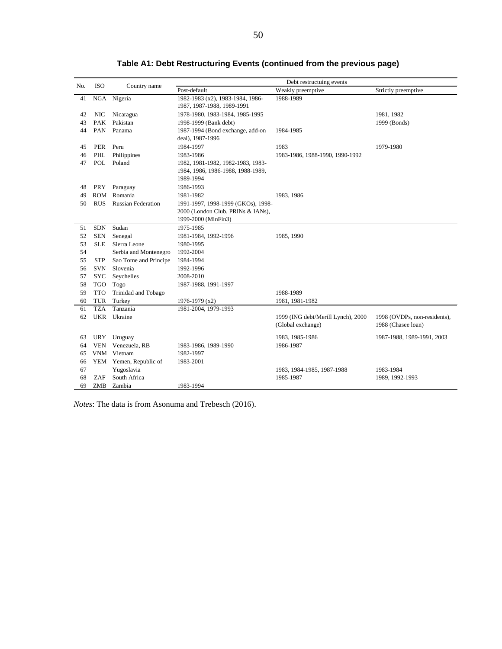|     |            |                           |                                    | Debt restructuing events           |                              |
|-----|------------|---------------------------|------------------------------------|------------------------------------|------------------------------|
| No. | <b>ISO</b> | Country name              | Post-default                       | Weakly preemptive                  | Strictly preemptive          |
| 41  |            | NGA Nigeria               | 1982-1983 (x2), 1983-1984, 1986-   | 1988-1989                          |                              |
|     |            |                           | 1987, 1987-1988, 1989-1991         |                                    |                              |
| 42  | <b>NIC</b> | Nicaragua                 | 1978-1980, 1983-1984, 1985-1995    |                                    | 1981, 1982                   |
| 43  | <b>PAK</b> | Pakistan                  | 1998-1999 (Bank debt)              |                                    | 1999 (Bonds)                 |
| 44  | PAN        | Panama                    | 1987-1994 (Bond exchange, add-on   | 1984-1985                          |                              |
|     |            |                           | deal), 1987-1996                   |                                    |                              |
| 45  | <b>PER</b> | Peru                      | 1984-1997                          | 1983                               | 1979-1980                    |
| 46  | PHL        | Philippines               | 1983-1986                          | 1983-1986, 1988-1990, 1990-1992    |                              |
| 47  | POL        | Poland                    | 1982, 1981-1982, 1982-1983, 1983-  |                                    |                              |
|     |            |                           | 1984, 1986, 1986-1988, 1988-1989,  |                                    |                              |
|     |            |                           | 1989-1994                          |                                    |                              |
| 48  | PRY        | Paraguay                  | 1986-1993                          |                                    |                              |
| 49  | ROM        | Romania                   | 1981-1982                          | 1983, 1986                         |                              |
| 50  | <b>RUS</b> | <b>Russian Federation</b> | 1991-1997, 1998-1999 (GKOs), 1998- |                                    |                              |
|     |            |                           | 2000 (London Club, PRINs & IANs),  |                                    |                              |
|     |            |                           | 1999-2000 (MinFin3)                |                                    |                              |
| 51  | <b>SDN</b> | Sudan                     | 1975-1985                          |                                    |                              |
| 52  | <b>SEN</b> | Senegal                   | 1981-1984, 1992-1996               | 1985, 1990                         |                              |
| 53  | <b>SLE</b> | Sierra Leone              | 1980-1995                          |                                    |                              |
| 54  |            | Serbia and Montenegro     | 1992-2004                          |                                    |                              |
| 55  | <b>STP</b> | Sao Tome and Principe     | 1984-1994                          |                                    |                              |
| 56  | <b>SVN</b> | Slovenia                  | 1992-1996                          |                                    |                              |
| 57  | <b>SYC</b> | Seychelles                | 2008-2010                          |                                    |                              |
| 58  | <b>TGO</b> | Togo                      | 1987-1988, 1991-1997               |                                    |                              |
| 59  | <b>TTO</b> | Trinidad and Tobago       |                                    | 1988-1989                          |                              |
| 60  | <b>TUR</b> | Turkey                    | 1976-1979 (x2)                     | 1981, 1981-1982                    |                              |
| 61  | <b>TZA</b> | Tanzania                  | 1981-2004, 1979-1993               |                                    |                              |
| 62  |            | UKR Ukraine               |                                    | 1999 (ING debt/Merill Lynch), 2000 | 1998 (OVDPs, non-residents), |
|     |            |                           |                                    | (Global exchange)                  | 1988 (Chasee loan)           |
| 63  | <b>URY</b> | Uruguay                   |                                    | 1983, 1985-1986                    | 1987-1988, 1989-1991, 2003   |
| 64  | <b>VEN</b> | Venezuela, RB             | 1983-1986, 1989-1990               | 1986-1987                          |                              |
| 65  |            | VNM Vietnam               | 1982-1997                          |                                    |                              |
| 66  |            | YEM Yemen, Republic of    | 1983-2001                          |                                    |                              |
| 67  |            | Yugoslavia                |                                    | 1983, 1984-1985, 1987-1988         | 1983-1984                    |
| 68  | ZAF        | South Africa              |                                    | 1985-1987                          | 1989, 1992-1993              |
| 69  | ZMB        | Zambia                    | 1983-1994                          |                                    |                              |

**Table A1: Debt Restructuring Events (continued from the previous page)**

*Notes*: The data is from Asonuma and Trebesch (2016).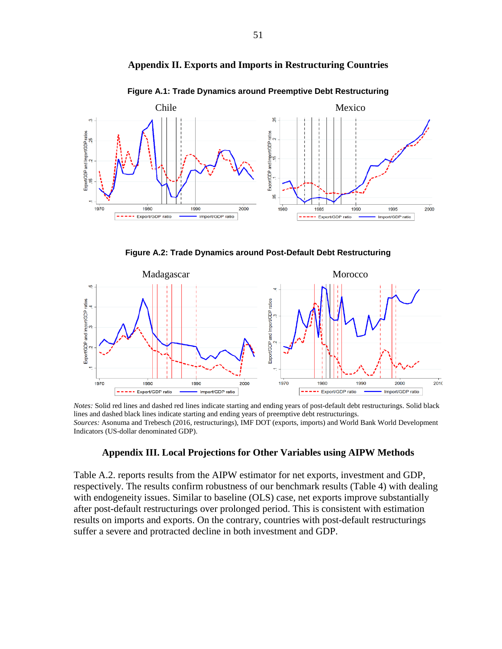



**Figure A.1: Trade Dynamics around Preemptive Debt Restructuring**

**Figure A.2: Trade Dynamics around Post-Default Debt Restructuring**



*Notes:* Solid red lines and dashed red lines indicate starting and ending years of post-default debt restructurings. Solid black lines and dashed black lines indicate starting and ending years of preemptive debt restructurings. *Sources:* Asonuma and Trebesch (2016, restructurings), IMF DOT (exports, imports) and World Bank World Development Indicators (US-dollar denominated GDP).

#### **Appendix III. Local Projections for Other Variables using AIPW Methods**

Table A.2. reports results from the AIPW estimator for net exports, investment and GDP, respectively. The results confirm robustness of our benchmark results (Table 4) with dealing with endogeneity issues. Similar to baseline (OLS) case, net exports improve substantially after post-default restructurings over prolonged period. This is consistent with estimation results on imports and exports. On the contrary, countries with post-default restructurings suffer a severe and protracted decline in both investment and GDP.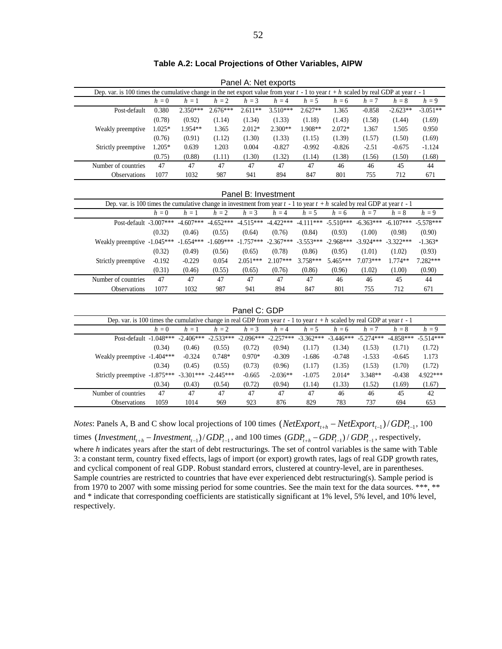|                                                                                                                                 | Dep. var. is 100 times the cumulative change in the net export value from year $t - 1$ to year $t + h$ scaled by real GDP at year $t - 1$ |          |             |                       |                                     |                                                 |                         |                                     |                         |             |             |  |  |
|---------------------------------------------------------------------------------------------------------------------------------|-------------------------------------------------------------------------------------------------------------------------------------------|----------|-------------|-----------------------|-------------------------------------|-------------------------------------------------|-------------------------|-------------------------------------|-------------------------|-------------|-------------|--|--|
|                                                                                                                                 |                                                                                                                                           | $h=0$    | $h=1$       | $h = 2$               | $h = 3$                             | $h = 4$                                         | $h = 5$                 | $h = 6$                             | $h = 7$                 | $h = 8$     | $h = 9$     |  |  |
|                                                                                                                                 | Post-default                                                                                                                              | 0.380    | $2.350***$  | $2.676***$            | $2.611**$                           | $3.510***$                                      | $2.627**$               | 1.365                               | $-0.858$                | $-2.623**$  | $-3.051**$  |  |  |
|                                                                                                                                 |                                                                                                                                           | (0.78)   | (0.92)      | (1.14)                | (1.34)                              | (1.33)                                          | (1.18)                  | (1.43)                              | (1.58)                  | (1.44)      | (1.69)      |  |  |
|                                                                                                                                 | Weakly preemptive                                                                                                                         | $1.025*$ | 1.954**     | 1.365                 | $2.012*$                            | $2.300**$                                       | 1.908**                 | 2.072*                              | 1.367                   | 1.505       | 0.950       |  |  |
|                                                                                                                                 |                                                                                                                                           | (0.76)   | (0.91)      | (1.12)                | (1.30)                              | (1.33)                                          | (1.15)                  | (1.39)                              | (1.57)                  | (1.50)      | (1.69)      |  |  |
|                                                                                                                                 | Strictly preemptive                                                                                                                       | $1.205*$ | 0.639       | 1.203                 | 0.004                               | $-0.827$                                        | $-0.992$                | $-0.826$                            | $-2.51$                 | $-0.675$    | $-1.124$    |  |  |
|                                                                                                                                 |                                                                                                                                           | (0.75)   | (0.88)      | (1.11)                | (1.30)                              | (1.32)                                          | (1.14)                  | (1.38)                              | (1.56)                  | (1.50)      | (1.68)      |  |  |
|                                                                                                                                 | Number of countries                                                                                                                       | 47       | 47          | 47                    | 47                                  | 47                                              | 47                      | 46                                  | 46                      | 45          | 44          |  |  |
|                                                                                                                                 | <b>Observations</b>                                                                                                                       | 1077     | 1032        | 987                   | 941                                 | 894                                             | 847                     | 801                                 | 755                     | 712         | 671         |  |  |
|                                                                                                                                 |                                                                                                                                           |          |             |                       |                                     |                                                 |                         |                                     |                         |             |             |  |  |
|                                                                                                                                 | Panel B: Investment                                                                                                                       |          |             |                       |                                     |                                                 |                         |                                     |                         |             |             |  |  |
| Dep. var. is 100 times the cumulative change in investment from year $t - 1$ to year $t + h$ scaled by real GDP at year $t - 1$ |                                                                                                                                           |          |             |                       |                                     |                                                 |                         |                                     |                         |             |             |  |  |
|                                                                                                                                 |                                                                                                                                           | $h=0$    | $h=1$       | $h = 2$               | $h = 3$                             | $h = 4$                                         | $h = 5$                 | $h = 6$                             | $h = 7$                 | $h = 8$     | $h = 9$     |  |  |
|                                                                                                                                 | Post-default $-3.007***$                                                                                                                  |          | $-4.607***$ |                       | $-4.652***$ $-4.515***$ $-4.422***$ |                                                 |                         | $-4.111***$ $-5.510***$ $-6.363***$ |                         | $-6.107***$ | $-5.578***$ |  |  |
|                                                                                                                                 |                                                                                                                                           | (0.32)   | (0.46)      | (0.55)                | (0.64)                              | (0.76)                                          | (0.84)                  | (0.93)                              | (1.00)                  | (0.98)      | (0.90)      |  |  |
|                                                                                                                                 | Weakly preemptive -1.045***                                                                                                               |          | $-1.654***$ | $-1.609***$           | $-1.757***$ $-2.367***$             |                                                 | $-3.553***$ $-2.968***$ |                                     | $-3.924***$             | $-3.322***$ | $-1.363*$   |  |  |
|                                                                                                                                 |                                                                                                                                           | (0.32)   | (0.49)      | (0.56)                | (0.65)                              | (0.78)                                          | (0.86)                  | (0.95)                              | (1.01)                  | (1.02)      | (0.93)      |  |  |
|                                                                                                                                 | Strictly preemptive                                                                                                                       | $-0.192$ | $-0.229$    | 0.054                 | $2.051***$                          | $2.107***$                                      | $3.758***$              | 5.465***                            | 7.073***                | $1.774**$   | 7.282***    |  |  |
|                                                                                                                                 |                                                                                                                                           | (0.31)   | (0.46)      | (0.55)                | (0.65)                              | (0.76)                                          | (0.86)                  | (0.96)                              | (1.02)                  | (1.00)      | (0.90)      |  |  |
|                                                                                                                                 | Number of countries                                                                                                                       | 47       | 47          | 47                    | 47                                  | 47                                              | 47                      | 46                                  | 46                      | 45          | 44          |  |  |
|                                                                                                                                 | Observations                                                                                                                              | 1077     | 1032        | 987                   | 941                                 | 894                                             | 847                     | 801                                 | 755                     | 712         | 671         |  |  |
|                                                                                                                                 |                                                                                                                                           |          |             |                       |                                     |                                                 |                         |                                     |                         |             |             |  |  |
| Panel C: GDP                                                                                                                    |                                                                                                                                           |          |             |                       |                                     |                                                 |                         |                                     |                         |             |             |  |  |
|                                                                                                                                 | Dep. var. is 100 times the cumulative change in real GDP from year $t - 1$ to year $t + h$ scaled by real GDP at year $t - 1$             |          |             |                       |                                     |                                                 |                         |                                     |                         |             |             |  |  |
|                                                                                                                                 |                                                                                                                                           | $h=0$    | $h=1$       | $h = 2$               | $h = 3$                             | $h = 4$                                         | $h = 5$                 | $h = 6$                             | $h = 7$                 | $h=8$       | $h = 9$     |  |  |
|                                                                                                                                 | Post-default -1.048***                                                                                                                    |          | $-2.406***$ |                       |                                     | $-2.533***$ $-2.096***$ $-2.257***$ $-3.362***$ |                         |                                     | $-3.446***$ $-5.274***$ | $-4.858***$ | $-5.514***$ |  |  |
|                                                                                                                                 |                                                                                                                                           | (0.34)   | (0.46)      | (0.55)                | (0.72)                              | (0.94)                                          | (1.17)                  | (1.34)                              | (1.53)                  | (1.71)      | (1.72)      |  |  |
|                                                                                                                                 |                                                                                                                                           |          |             | $\sim$ $ \sim$ $\sim$ | $\alpha$ $\alpha$ $\alpha$ .        | 0.000                                           | $\sim$ $\sim$           | $\sim$ $ \sim$                      |                         |             |             |  |  |

**Table A.2: Local Projections of Other Variables, AIPW**

Panel A: Net exports

# Post-default -1.048\*\*\* -2.406\*\*\* -2.533\*\*\* -2.096\*\*\* -2.257\*\*\* -3.362\*\*\* -3.446\*\*\* -5.274\*\*\* -4.858\*\*\* -5.514\*\*\* Weakly preemptive -1.404\*\*\* -0.324 0.748\* 0.970\* -0.309 -1.686 -0.748 -1.533 -0.645 1.173 (0.34) (0.45) (0.55) (0.73) (0.96) (1.17) (1.35) (1.53) (1.70) (1.72) Strictly preemptive -1.875\*\*\* -3.301\*\*\* -2.445\*\*\* -0.665 -2.036\*\* -1.075 2.014\* 3.348\*\* -0.438 4.922\*\*\* (0.34) (0.43) (0.54) (0.72) (0.94) (1.14) (1.33) (1.52) (1.69) (1.67) Number of countries  $47$   $47$   $47$   $47$   $47$   $47$   $46$   $46$   $45$   $42$ Observations 1059 1014 969 923 876 829 783 737 694 653

*Notes*: Panels A, B and C show local projections of 100 times  $(NetExport_{t+h} - NetExport_{t-1}) / GDP_{t-1}$ , 100 times  $\frac{1}{(hvestment_{t+h} - Investment_{t-1})}/GDP_{t-1}$ , and 100 times  $\frac{1}{(GDP_{t+h} - GDP_{t-1})}/GDP_{t-1}$ , respectively, where *h* indicates years after the start of debt restructurings. The set of control variables is the same with Table 3: a constant term, country fixed effects, lags of import (or export) growth rates, lags of real GDP growth rates, and cyclical component of real GDP. Robust standard errors, clustered at country-level, are in parentheses. Sample countries are restricted to countries that have ever experienced debt restructuring(s). Sample period is from 1970 to 2007 with some missing period for some countries. See the main text for the data sources. \*\*\*, \*\* and \* indicate that corresponding coefficients are statistically significant at 1% level, 5% level, and 10% level, respectively.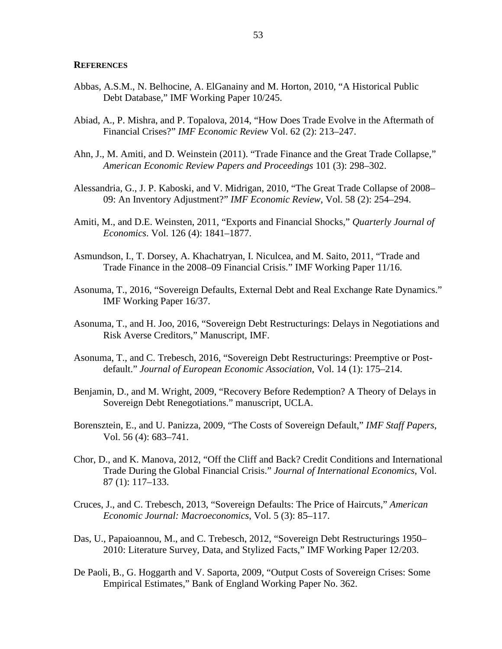#### **REFERENCES**

- Abbas, A.S.M., N. Belhocine, A. ElGanainy and M. Horton, 2010, "A Historical Public Debt Database," IMF Working Paper 10/245.
- Abiad, A., P. Mishra, and P. Topalova, 2014, "How Does Trade Evolve in the Aftermath of Financial Crises?" *IMF Economic Review* Vol. 62 (2): 213–247.
- Ahn, J., M. Amiti, and D. Weinstein (2011). "Trade Finance and the Great Trade Collapse," *American Economic Review Papers and Proceedings* 101 (3): 298–302.
- Alessandria, G., J. P. Kaboski, and V. Midrigan, 2010, "The Great Trade Collapse of 2008– 09: An Inventory Adjustment?" *IMF Economic Review*, Vol. 58 (2): 254–294.
- Amiti, M., and D.E. Weinsten, 2011, "Exports and Financial Shocks," *Quarterly Journal of Economics*. Vol. 126 (4): 1841–1877.
- Asmundson, I., T. Dorsey, A. Khachatryan, I. Niculcea, and M. Saito, 2011, "Trade and Trade Finance in the 2008–09 Financial Crisis." IMF Working Paper 11/16.
- Asonuma, T., 2016, "Sovereign Defaults, External Debt and Real Exchange Rate Dynamics." IMF Working Paper 16/37.
- Asonuma, T., and H. Joo, 2016, "Sovereign Debt Restructurings: Delays in Negotiations and Risk Averse Creditors," Manuscript, IMF.
- Asonuma, T., and C. Trebesch, 2016, "Sovereign Debt Restructurings: Preemptive or Postdefault." *Journal of European Economic Association*, Vol. 14 (1): 175–214.
- Benjamin, D., and M. Wright, 2009, "Recovery Before Redemption? A Theory of Delays in Sovereign Debt Renegotiations." manuscript, UCLA.
- Borensztein, E., and U. Panizza, 2009, "The Costs of Sovereign Default," *IMF Staff Papers*, Vol. 56 (4): 683–741.
- Chor, D., and K. Manova, 2012, "Off the Cliff and Back? Credit Conditions and International Trade During the Global Financial Crisis." *Journal of International Economics*, Vol. 87 (1): 117–133.
- Cruces, J., and C. Trebesch, 2013, "Sovereign Defaults: The Price of Haircuts," *American Economic Journal: Macroeconomics*, Vol. 5 (3): 85–117.
- Das, U., Papaioannou, M., and C. Trebesch, 2012, "Sovereign Debt Restructurings 1950– 2010: Literature Survey, Data, and Stylized Facts," IMF Working Paper 12/203.
- De Paoli, B., G. Hoggarth and V. Saporta, 2009, "Output Costs of Sovereign Crises: Some Empirical Estimates," Bank of England Working Paper No. 362.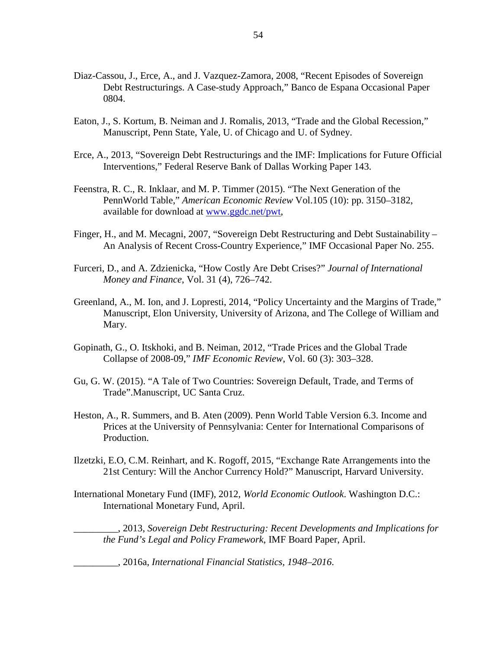- Diaz-Cassou, J., Erce, A., and J. Vazquez-Zamora, 2008, "Recent Episodes of Sovereign Debt Restructurings. A Case-study Approach," Banco de Espana Occasional Paper 0804.
- Eaton, J., S. Kortum, B. Neiman and J. Romalis, 2013, "Trade and the Global Recession," Manuscript, Penn State, Yale, U. of Chicago and U. of Sydney.
- Erce, A., 2013, "Sovereign Debt Restructurings and the IMF: Implications for Future Official Interventions," Federal Reserve Bank of Dallas Working Paper 143.
- Feenstra, R. C., R. Inklaar, and M. P. Timmer (2015). "The Next Generation of the PennWorld Table," *American Economic Review* Vol.105 (10): pp. 3150–3182, available for download at [www.ggdc.net/pwt,](http://www.ggdc.net/pwt)
- Finger, H., and M. Mecagni, 2007, "Sovereign Debt Restructuring and Debt Sustainability An Analysis of Recent Cross-Country Experience," IMF Occasional Paper No. 255.
- Furceri, D., and A. Zdzienicka, "How Costly Are Debt Crises?" *Journal of International Money and Finance*, Vol. 31 (4), 726–742.
- Greenland, A., M. Ion, and J. Lopresti, 2014, "Policy Uncertainty and the Margins of Trade," Manuscript, Elon University, University of Arizona, and The College of William and Mary.
- Gopinath, G., O. Itskhoki, and B. Neiman, 2012, "Trade Prices and the Global Trade Collapse of 2008-09," *IMF Economic Review*, Vol. 60 (3): 303–328.
- Gu, G. W. (2015). "A Tale of Two Countries: Sovereign Default, Trade, and Terms of Trade".Manuscript, UC Santa Cruz.
- Heston, A., R. Summers, and B. Aten (2009). Penn World Table Version 6.3. Income and Prices at the University of Pennsylvania: Center for International Comparisons of Production.
- Ilzetzki, E.O, C.M. Reinhart, and K. Rogoff, 2015, "Exchange Rate Arrangements into the 21st Century: Will the Anchor Currency Hold?" Manuscript, Harvard University.
- International Monetary Fund (IMF), 2012, *World Economic Outlook*. Washington D.C.: International Monetary Fund, April.

\_\_\_\_\_\_\_\_\_, 2013, *Sovereign Debt Restructuring: Recent Developments and Implications for the Fund's Legal and Policy Framework*, IMF Board Paper, April.

\_\_\_\_\_\_\_\_\_, 2016a, *International Financial Statistics, 1948–2016*.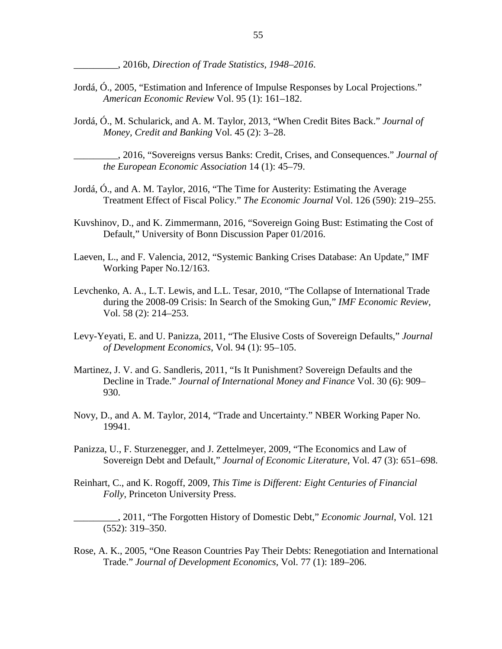\_\_\_\_\_\_\_\_\_, 2016b, *Direction of Trade Statistics, 1948–2016*.

- Jordá, Ó., 2005, "Estimation and Inference of Impulse Responses by Local Projections." *American Economic Review* Vol. 95 (1): 161–182.
- Jordá, Ó., M. Schularick, and A. M. Taylor, 2013, "When Credit Bites Back." *Journal of Money, Credit and Banking* Vol. 45 (2): 3–28.
	- \_\_\_\_\_\_\_\_\_, 2016, "Sovereigns versus Banks: Credit, Crises, and Consequences." *Journal of the European Economic Association* 14 (1): 45–79.
- Jordá, Ó., and A. M. Taylor, 2016, "The Time for Austerity: Estimating the Average Treatment Effect of Fiscal Policy." *The Economic Journal* Vol. 126 (590): 219–255.
- Kuvshinov, D., and K. Zimmermann, 2016, "Sovereign Going Bust: Estimating the Cost of Default," University of Bonn Discussion Paper 01/2016.
- Laeven, L., and F. Valencia, 2012, "Systemic Banking Crises Database: An Update," IMF Working Paper No.12/163.
- Levchenko, A. A., L.T. Lewis, and L.L. Tesar, 2010, "The Collapse of International Trade during the 2008-09 Crisis: In Search of the Smoking Gun," *IMF Economic Review,* Vol. 58 (2): 214–253.
- Levy-Yeyati, E. and U. Panizza, 2011, "The Elusive Costs of Sovereign Defaults," *Journal of Development Economics*, Vol. 94 (1): 95–105.
- Martinez, J. V. and G. Sandleris, 2011, "Is It Punishment? Sovereign Defaults and the Decline in Trade." *Journal of International Money and Finance* Vol. 30 (6): 909– 930.
- Novy, D., and A. M. Taylor, 2014, "Trade and Uncertainty." NBER Working Paper No. 19941.
- Panizza, U., F. Sturzenegger, and J. Zettelmeyer, 2009, "The Economics and Law of Sovereign Debt and Default," *Journal of Economic Literature*, Vol. 47 (3): 651–698.
- Reinhart, C., and K. Rogoff, 2009, *This Time is Different: Eight Centuries of Financial Folly*, Princeton University Press.
	- \_\_\_\_\_\_\_\_\_, 2011, "The Forgotten History of Domestic Debt," *Economic Journal*, Vol. 121 (552): 319–350.
- Rose, A. K., 2005, "One Reason Countries Pay Their Debts: Renegotiation and International Trade." *Journal of Development Economics,* Vol. 77 (1): 189–206.